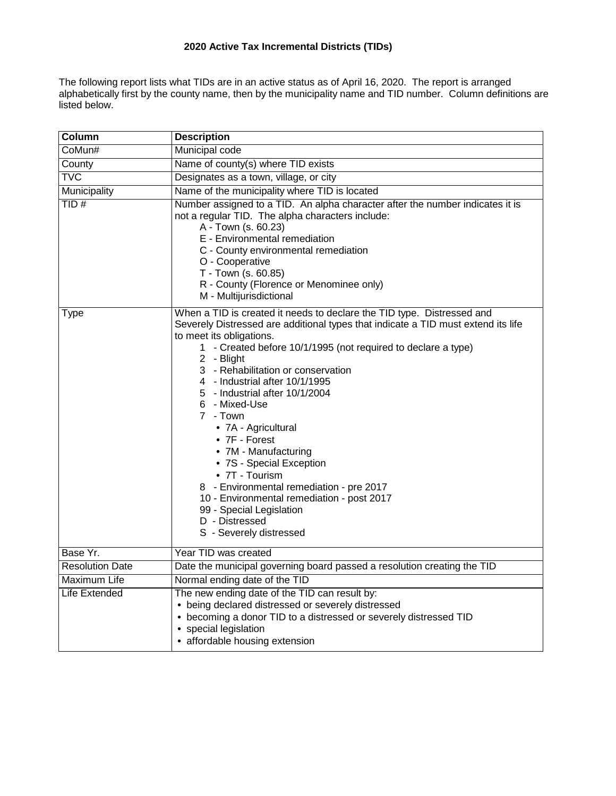# **2020 Active Tax Incremental Districts (TIDs)**

The following report lists what TIDs are in an active status as of April 16, 2020. The report is arranged alphabetically first by the county name, then by the municipality name and TID number. Column definitions are listed below.

| Column                 | <b>Description</b>                                                                                                                                                                                                                                                                                                                                                                                                                                                                                                                                                                                                                                                                             |
|------------------------|------------------------------------------------------------------------------------------------------------------------------------------------------------------------------------------------------------------------------------------------------------------------------------------------------------------------------------------------------------------------------------------------------------------------------------------------------------------------------------------------------------------------------------------------------------------------------------------------------------------------------------------------------------------------------------------------|
| CoMun#                 | Municipal code                                                                                                                                                                                                                                                                                                                                                                                                                                                                                                                                                                                                                                                                                 |
| County                 | Name of county(s) where TID exists                                                                                                                                                                                                                                                                                                                                                                                                                                                                                                                                                                                                                                                             |
| <b>TVC</b>             | Designates as a town, village, or city                                                                                                                                                                                                                                                                                                                                                                                                                                                                                                                                                                                                                                                         |
| Municipality           | Name of the municipality where TID is located                                                                                                                                                                                                                                                                                                                                                                                                                                                                                                                                                                                                                                                  |
| TID#                   | Number assigned to a TID. An alpha character after the number indicates it is<br>not a regular TID. The alpha characters include:<br>A - Town (s. 60.23)<br>E - Environmental remediation<br>C - County environmental remediation<br>O - Cooperative<br>T - Town (s. 60.85)<br>R - County (Florence or Menominee only)<br>M - Multijurisdictional                                                                                                                                                                                                                                                                                                                                              |
| Type                   | When a TID is created it needs to declare the TID type. Distressed and<br>Severely Distressed are additional types that indicate a TID must extend its life<br>to meet its obligations.<br>1 - Created before 10/1/1995 (not required to declare a type)<br>2 - Blight<br>3 - Rehabilitation or conservation<br>4 - Industrial after 10/1/1995<br>5 - Industrial after 10/1/2004<br>6 - Mixed-Use<br>7 - Town<br>• 7A - Agricultural<br>• 7F - Forest<br>• 7M - Manufacturing<br>• 7S - Special Exception<br>• 7T - Tourism<br>8 - Environmental remediation - pre 2017<br>10 - Environmental remediation - post 2017<br>99 - Special Legislation<br>D - Distressed<br>S - Severely distressed |
| Base Yr.               | Year TID was created                                                                                                                                                                                                                                                                                                                                                                                                                                                                                                                                                                                                                                                                           |
| <b>Resolution Date</b> | Date the municipal governing board passed a resolution creating the TID                                                                                                                                                                                                                                                                                                                                                                                                                                                                                                                                                                                                                        |
| Maximum Life           | Normal ending date of the TID                                                                                                                                                                                                                                                                                                                                                                                                                                                                                                                                                                                                                                                                  |
| Life Extended          | The new ending date of the TID can result by:<br>• being declared distressed or severely distressed<br>• becoming a donor TID to a distressed or severely distressed TID<br>• special legislation<br>• affordable housing extension                                                                                                                                                                                                                                                                                                                                                                                                                                                            |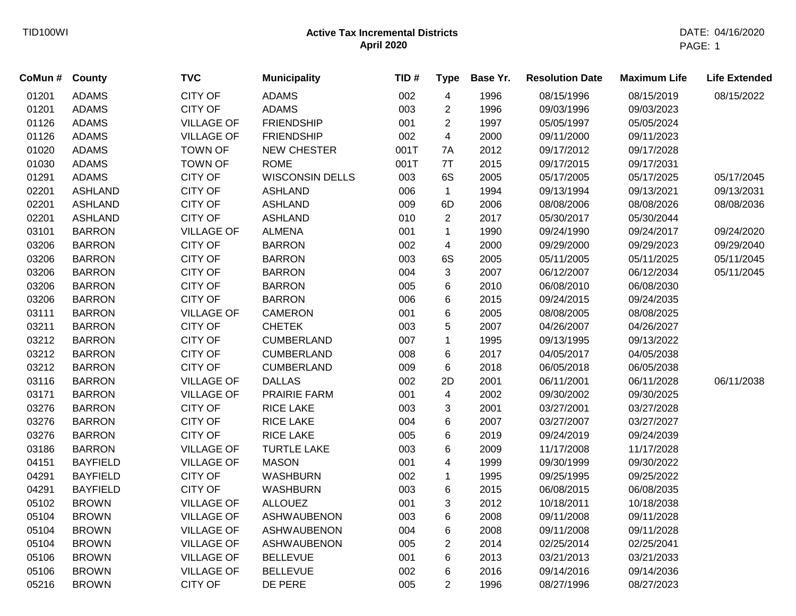| CoMun # | County          | <b>TVC</b>        | <b>Municipality</b>    | TID# | <b>Type</b>              | Base Yr. | <b>Resolution Date</b> | <b>Maximum Life</b> | <b>Life Extended</b> |
|---------|-----------------|-------------------|------------------------|------|--------------------------|----------|------------------------|---------------------|----------------------|
| 01201   | <b>ADAMS</b>    | <b>CITY OF</b>    | <b>ADAMS</b>           | 002  | $\overline{4}$           | 1996     | 08/15/1996             | 08/15/2019          | 08/15/2022           |
| 01201   | <b>ADAMS</b>    | <b>CITY OF</b>    | <b>ADAMS</b>           | 003  | $\overline{2}$           | 1996     | 09/03/1996             | 09/03/2023          |                      |
| 01126   | <b>ADAMS</b>    | <b>VILLAGE OF</b> | <b>FRIENDSHIP</b>      | 001  | $\overline{2}$           | 1997     | 05/05/1997             | 05/05/2024          |                      |
| 01126   | <b>ADAMS</b>    | <b>VILLAGE OF</b> | <b>FRIENDSHIP</b>      | 002  | 4                        | 2000     | 09/11/2000             | 09/11/2023          |                      |
| 01020   | <b>ADAMS</b>    | <b>TOWN OF</b>    | <b>NEW CHESTER</b>     | 001T | 7A                       | 2012     | 09/17/2012             | 09/17/2028          |                      |
| 01030   | <b>ADAMS</b>    | <b>TOWN OF</b>    | <b>ROME</b>            | 001T | 7T                       | 2015     | 09/17/2015             | 09/17/2031          |                      |
| 01291   | <b>ADAMS</b>    | CITY OF           | <b>WISCONSIN DELLS</b> | 003  | 6S                       | 2005     | 05/17/2005             | 05/17/2025          | 05/17/2045           |
| 02201   | <b>ASHLAND</b>  | CITY OF           | <b>ASHLAND</b>         | 006  | $\mathbf{1}$             | 1994     | 09/13/1994             | 09/13/2021          | 09/13/2031           |
| 02201   | <b>ASHLAND</b>  | <b>CITY OF</b>    | <b>ASHLAND</b>         | 009  | 6D                       | 2006     | 08/08/2006             | 08/08/2026          | 08/08/2036           |
| 02201   | <b>ASHLAND</b>  | CITY OF           | <b>ASHLAND</b>         | 010  | $\overline{2}$           | 2017     | 05/30/2017             | 05/30/2044          |                      |
| 03101   | <b>BARRON</b>   | <b>VILLAGE OF</b> | <b>ALMENA</b>          | 001  | $\mathbf 1$              | 1990     | 09/24/1990             | 09/24/2017          | 09/24/2020           |
| 03206   | <b>BARRON</b>   | <b>CITY OF</b>    | <b>BARRON</b>          | 002  | $\overline{\mathbf{4}}$  | 2000     | 09/29/2000             | 09/29/2023          | 09/29/2040           |
| 03206   | <b>BARRON</b>   | CITY OF           | <b>BARRON</b>          | 003  | 6S                       | 2005     | 05/11/2005             | 05/11/2025          | 05/11/2045           |
| 03206   | <b>BARRON</b>   | CITY OF           | <b>BARRON</b>          | 004  | $\mathfrak{S}$           | 2007     | 06/12/2007             | 06/12/2034          | 05/11/2045           |
| 03206   | <b>BARRON</b>   | CITY OF           | <b>BARRON</b>          | 005  | 6                        | 2010     | 06/08/2010             | 06/08/2030          |                      |
| 03206   | <b>BARRON</b>   | CITY OF           | <b>BARRON</b>          | 006  | 6                        | 2015     | 09/24/2015             | 09/24/2035          |                      |
| 03111   | <b>BARRON</b>   | <b>VILLAGE OF</b> | <b>CAMERON</b>         | 001  | 6                        | 2005     | 08/08/2005             | 08/08/2025          |                      |
| 03211   | <b>BARRON</b>   | <b>CITY OF</b>    | <b>CHETEK</b>          | 003  | 5                        | 2007     | 04/26/2007             | 04/26/2027          |                      |
| 03212   | <b>BARRON</b>   | CITY OF           | <b>CUMBERLAND</b>      | 007  | $\mathbf{1}$             | 1995     | 09/13/1995             | 09/13/2022          |                      |
| 03212   | <b>BARRON</b>   | <b>CITY OF</b>    | <b>CUMBERLAND</b>      | 008  | 6                        | 2017     | 04/05/2017             | 04/05/2038          |                      |
| 03212   | <b>BARRON</b>   | CITY OF           | <b>CUMBERLAND</b>      | 009  | 6                        | 2018     | 06/05/2018             | 06/05/2038          |                      |
| 03116   | <b>BARRON</b>   | <b>VILLAGE OF</b> | <b>DALLAS</b>          | 002  | 2D                       | 2001     | 06/11/2001             | 06/11/2028          | 06/11/2038           |
| 03171   | <b>BARRON</b>   | <b>VILLAGE OF</b> | <b>PRAIRIE FARM</b>    | 001  | $\overline{\mathcal{A}}$ | 2002     | 09/30/2002             | 09/30/2025          |                      |
| 03276   | <b>BARRON</b>   | CITY OF           | <b>RICE LAKE</b>       | 003  | 3                        | 2001     | 03/27/2001             | 03/27/2028          |                      |
| 03276   | <b>BARRON</b>   | <b>CITY OF</b>    | <b>RICE LAKE</b>       | 004  | $\,6$                    | 2007     | 03/27/2007             | 03/27/2027          |                      |
| 03276   | <b>BARRON</b>   | <b>CITY OF</b>    | <b>RICE LAKE</b>       | 005  | $\,6$                    | 2019     | 09/24/2019             | 09/24/2039          |                      |
| 03186   | <b>BARRON</b>   | <b>VILLAGE OF</b> | <b>TURTLE LAKE</b>     | 003  | 6                        | 2009     | 11/17/2008             | 11/17/2028          |                      |
| 04151   | <b>BAYFIELD</b> | <b>VILLAGE OF</b> | <b>MASON</b>           | 001  | $\overline{\mathbf{4}}$  | 1999     | 09/30/1999             | 09/30/2022          |                      |
| 04291   | <b>BAYFIELD</b> | CITY OF           | <b>WASHBURN</b>        | 002  | $\mathbf{1}$             | 1995     | 09/25/1995             | 09/25/2022          |                      |
| 04291   | <b>BAYFIELD</b> | CITY OF           | <b>WASHBURN</b>        | 003  | $\,6\,$                  | 2015     | 06/08/2015             | 06/08/2035          |                      |
| 05102   | <b>BROWN</b>    | <b>VILLAGE OF</b> | <b>ALLOUEZ</b>         | 001  | $\mathbf{3}$             | 2012     | 10/18/2011             | 10/18/2038          |                      |
| 05104   | <b>BROWN</b>    | <b>VILLAGE OF</b> | <b>ASHWAUBENON</b>     | 003  | 6                        | 2008     | 09/11/2008             | 09/11/2028          |                      |
| 05104   | <b>BROWN</b>    | <b>VILLAGE OF</b> | <b>ASHWAUBENON</b>     | 004  | 6                        | 2008     | 09/11/2008             | 09/11/2028          |                      |
| 05104   | <b>BROWN</b>    | <b>VILLAGE OF</b> | <b>ASHWAUBENON</b>     | 005  | $\overline{2}$           | 2014     | 02/25/2014             | 02/25/2041          |                      |
| 05106   | <b>BROWN</b>    | <b>VILLAGE OF</b> | <b>BELLEVUE</b>        | 001  | 6                        | 2013     | 03/21/2013             | 03/21/2033          |                      |
| 05106   | <b>BROWN</b>    | <b>VILLAGE OF</b> | <b>BELLEVUE</b>        | 002  | 6                        | 2016     | 09/14/2016             | 09/14/2036          |                      |
| 05216   | <b>BROWN</b>    | <b>CITY OF</b>    | DE PERE                | 005  | $\overline{2}$           | 1996     | 08/27/1996             | 08/27/2023          |                      |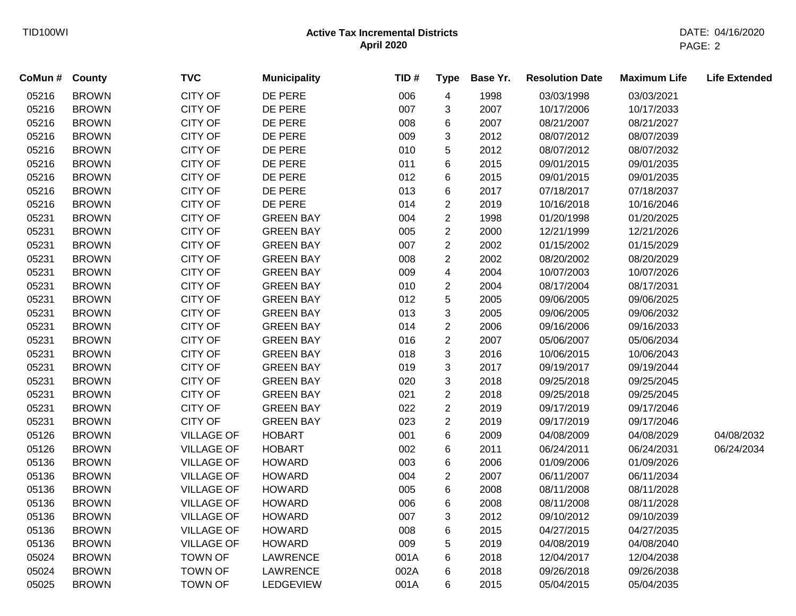| CoMun # | County       | <b>TVC</b>        | <b>Municipality</b> | TID# | <b>Type</b>    | Base Yr. | <b>Resolution Date</b> | <b>Maximum Life</b> | <b>Life Extended</b> |
|---------|--------------|-------------------|---------------------|------|----------------|----------|------------------------|---------------------|----------------------|
| 05216   | <b>BROWN</b> | <b>CITY OF</b>    | DE PERE             | 006  | 4              | 1998     | 03/03/1998             | 03/03/2021          |                      |
| 05216   | <b>BROWN</b> | <b>CITY OF</b>    | DE PERE             | 007  | 3              | 2007     | 10/17/2006             | 10/17/2033          |                      |
| 05216   | <b>BROWN</b> | <b>CITY OF</b>    | DE PERE             | 008  | 6              | 2007     | 08/21/2007             | 08/21/2027          |                      |
| 05216   | <b>BROWN</b> | <b>CITY OF</b>    | DE PERE             | 009  | 3              | 2012     | 08/07/2012             | 08/07/2039          |                      |
| 05216   | <b>BROWN</b> | <b>CITY OF</b>    | DE PERE             | 010  | 5              | 2012     | 08/07/2012             | 08/07/2032          |                      |
| 05216   | <b>BROWN</b> | <b>CITY OF</b>    | DE PERE             | 011  | 6              | 2015     | 09/01/2015             | 09/01/2035          |                      |
| 05216   | <b>BROWN</b> | <b>CITY OF</b>    | DE PERE             | 012  | 6              | 2015     | 09/01/2015             | 09/01/2035          |                      |
| 05216   | <b>BROWN</b> | CITY OF           | DE PERE             | 013  | 6              | 2017     | 07/18/2017             | 07/18/2037          |                      |
| 05216   | <b>BROWN</b> | <b>CITY OF</b>    | DE PERE             | 014  | $\overline{c}$ | 2019     | 10/16/2018             | 10/16/2046          |                      |
| 05231   | <b>BROWN</b> | <b>CITY OF</b>    | <b>GREEN BAY</b>    | 004  | $\overline{2}$ | 1998     | 01/20/1998             | 01/20/2025          |                      |
| 05231   | <b>BROWN</b> | <b>CITY OF</b>    | <b>GREEN BAY</b>    | 005  | $\overline{2}$ | 2000     | 12/21/1999             | 12/21/2026          |                      |
| 05231   | <b>BROWN</b> | <b>CITY OF</b>    | <b>GREEN BAY</b>    | 007  | $\overline{2}$ | 2002     | 01/15/2002             | 01/15/2029          |                      |
| 05231   | <b>BROWN</b> | <b>CITY OF</b>    | <b>GREEN BAY</b>    | 008  | $\overline{2}$ | 2002     | 08/20/2002             | 08/20/2029          |                      |
| 05231   | <b>BROWN</b> | <b>CITY OF</b>    | <b>GREEN BAY</b>    | 009  | 4              | 2004     | 10/07/2003             | 10/07/2026          |                      |
| 05231   | <b>BROWN</b> | <b>CITY OF</b>    | <b>GREEN BAY</b>    | 010  | $\overline{2}$ | 2004     | 08/17/2004             | 08/17/2031          |                      |
| 05231   | <b>BROWN</b> | <b>CITY OF</b>    | <b>GREEN BAY</b>    | 012  | 5              | 2005     | 09/06/2005             | 09/06/2025          |                      |
| 05231   | <b>BROWN</b> | <b>CITY OF</b>    | <b>GREEN BAY</b>    | 013  | 3              | 2005     | 09/06/2005             | 09/06/2032          |                      |
| 05231   | <b>BROWN</b> | <b>CITY OF</b>    | <b>GREEN BAY</b>    | 014  | $\overline{c}$ | 2006     | 09/16/2006             | 09/16/2033          |                      |
| 05231   | <b>BROWN</b> | <b>CITY OF</b>    | <b>GREEN BAY</b>    | 016  | $\overline{c}$ | 2007     | 05/06/2007             | 05/06/2034          |                      |
| 05231   | <b>BROWN</b> | CITY OF           | <b>GREEN BAY</b>    | 018  | 3              | 2016     | 10/06/2015             | 10/06/2043          |                      |
| 05231   | <b>BROWN</b> | <b>CITY OF</b>    | <b>GREEN BAY</b>    | 019  | 3              | 2017     | 09/19/2017             | 09/19/2044          |                      |
| 05231   | <b>BROWN</b> | <b>CITY OF</b>    | <b>GREEN BAY</b>    | 020  | 3              | 2018     | 09/25/2018             | 09/25/2045          |                      |
| 05231   | <b>BROWN</b> | <b>CITY OF</b>    | <b>GREEN BAY</b>    | 021  | $\overline{2}$ | 2018     | 09/25/2018             | 09/25/2045          |                      |
| 05231   | <b>BROWN</b> | <b>CITY OF</b>    | <b>GREEN BAY</b>    | 022  | $\overline{c}$ | 2019     | 09/17/2019             | 09/17/2046          |                      |
| 05231   | <b>BROWN</b> | <b>CITY OF</b>    | <b>GREEN BAY</b>    | 023  | $\overline{c}$ | 2019     | 09/17/2019             | 09/17/2046          |                      |
| 05126   | <b>BROWN</b> | <b>VILLAGE OF</b> | <b>HOBART</b>       | 001  | 6              | 2009     | 04/08/2009             | 04/08/2029          | 04/08/2032           |
| 05126   | <b>BROWN</b> | <b>VILLAGE OF</b> | <b>HOBART</b>       | 002  | 6              | 2011     | 06/24/2011             | 06/24/2031          | 06/24/2034           |
| 05136   | <b>BROWN</b> | <b>VILLAGE OF</b> | <b>HOWARD</b>       | 003  | 6              | 2006     | 01/09/2006             | 01/09/2026          |                      |
| 05136   | <b>BROWN</b> | <b>VILLAGE OF</b> | <b>HOWARD</b>       | 004  | $\overline{2}$ | 2007     | 06/11/2007             | 06/11/2034          |                      |
| 05136   | <b>BROWN</b> | <b>VILLAGE OF</b> | <b>HOWARD</b>       | 005  | 6              | 2008     | 08/11/2008             | 08/11/2028          |                      |
| 05136   | <b>BROWN</b> | <b>VILLAGE OF</b> | <b>HOWARD</b>       | 006  | 6              | 2008     | 08/11/2008             | 08/11/2028          |                      |
| 05136   | <b>BROWN</b> | <b>VILLAGE OF</b> | <b>HOWARD</b>       | 007  | 3              | 2012     | 09/10/2012             | 09/10/2039          |                      |
| 05136   | <b>BROWN</b> | <b>VILLAGE OF</b> | <b>HOWARD</b>       | 008  | 6              | 2015     | 04/27/2015             | 04/27/2035          |                      |
| 05136   | <b>BROWN</b> | <b>VILLAGE OF</b> | <b>HOWARD</b>       | 009  | 5              | 2019     | 04/08/2019             | 04/08/2040          |                      |
| 05024   | <b>BROWN</b> | <b>TOWN OF</b>    | <b>LAWRENCE</b>     | 001A | 6              | 2018     | 12/04/2017             | 12/04/2038          |                      |
| 05024   | <b>BROWN</b> | <b>TOWN OF</b>    | <b>LAWRENCE</b>     | 002A | 6              | 2018     | 09/26/2018             | 09/26/2038          |                      |
| 05025   | <b>BROWN</b> | <b>TOWN OF</b>    | <b>LEDGEVIEW</b>    | 001A | 6              | 2015     | 05/04/2015             | 05/04/2035          |                      |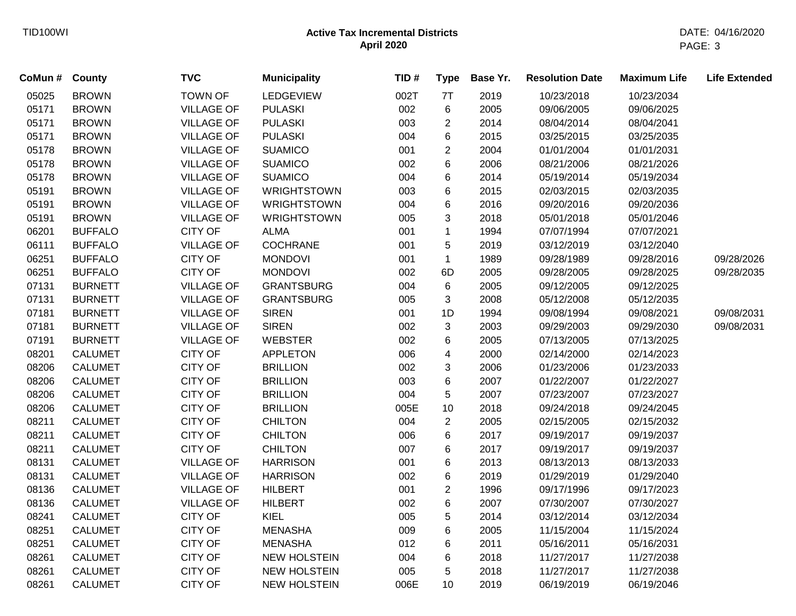| CoMun# | County         | <b>TVC</b>        | <b>Municipality</b> | TID# | <b>Type</b>    | Base Yr. | <b>Resolution Date</b> | <b>Maximum Life</b> | <b>Life Extended</b> |
|--------|----------------|-------------------|---------------------|------|----------------|----------|------------------------|---------------------|----------------------|
| 05025  | <b>BROWN</b>   | <b>TOWN OF</b>    | LEDGEVIEW           | 002T | 7T             | 2019     | 10/23/2018             | 10/23/2034          |                      |
| 05171  | <b>BROWN</b>   | <b>VILLAGE OF</b> | <b>PULASKI</b>      | 002  | 6              | 2005     | 09/06/2005             | 09/06/2025          |                      |
| 05171  | <b>BROWN</b>   | <b>VILLAGE OF</b> | <b>PULASKI</b>      | 003  | $\overline{c}$ | 2014     | 08/04/2014             | 08/04/2041          |                      |
| 05171  | <b>BROWN</b>   | <b>VILLAGE OF</b> | <b>PULASKI</b>      | 004  | 6              | 2015     | 03/25/2015             | 03/25/2035          |                      |
| 05178  | <b>BROWN</b>   | <b>VILLAGE OF</b> | <b>SUAMICO</b>      | 001  | $\overline{c}$ | 2004     | 01/01/2004             | 01/01/2031          |                      |
| 05178  | <b>BROWN</b>   | <b>VILLAGE OF</b> | <b>SUAMICO</b>      | 002  | 6              | 2006     | 08/21/2006             | 08/21/2026          |                      |
| 05178  | <b>BROWN</b>   | <b>VILLAGE OF</b> | <b>SUAMICO</b>      | 004  | 6              | 2014     | 05/19/2014             | 05/19/2034          |                      |
| 05191  | <b>BROWN</b>   | <b>VILLAGE OF</b> | <b>WRIGHTSTOWN</b>  | 003  | 6              | 2015     | 02/03/2015             | 02/03/2035          |                      |
| 05191  | <b>BROWN</b>   | <b>VILLAGE OF</b> | <b>WRIGHTSTOWN</b>  | 004  | 6              | 2016     | 09/20/2016             | 09/20/2036          |                      |
| 05191  | <b>BROWN</b>   | <b>VILLAGE OF</b> | <b>WRIGHTSTOWN</b>  | 005  | 3              | 2018     | 05/01/2018             | 05/01/2046          |                      |
| 06201  | <b>BUFFALO</b> | <b>CITY OF</b>    | <b>ALMA</b>         | 001  | $\mathbf 1$    | 1994     | 07/07/1994             | 07/07/2021          |                      |
| 06111  | <b>BUFFALO</b> | <b>VILLAGE OF</b> | <b>COCHRANE</b>     | 001  | 5              | 2019     | 03/12/2019             | 03/12/2040          |                      |
| 06251  | <b>BUFFALO</b> | <b>CITY OF</b>    | <b>MONDOVI</b>      | 001  | $\mathbf{1}$   | 1989     | 09/28/1989             | 09/28/2016          | 09/28/2026           |
| 06251  | <b>BUFFALO</b> | <b>CITY OF</b>    | <b>MONDOVI</b>      | 002  | 6D             | 2005     | 09/28/2005             | 09/28/2025          | 09/28/2035           |
| 07131  | <b>BURNETT</b> | <b>VILLAGE OF</b> | <b>GRANTSBURG</b>   | 004  | 6              | 2005     | 09/12/2005             | 09/12/2025          |                      |
| 07131  | <b>BURNETT</b> | <b>VILLAGE OF</b> | <b>GRANTSBURG</b>   | 005  | 3              | 2008     | 05/12/2008             | 05/12/2035          |                      |
| 07181  | <b>BURNETT</b> | <b>VILLAGE OF</b> | <b>SIREN</b>        | 001  | 1D             | 1994     | 09/08/1994             | 09/08/2021          | 09/08/2031           |
| 07181  | <b>BURNETT</b> | <b>VILLAGE OF</b> | <b>SIREN</b>        | 002  | 3              | 2003     | 09/29/2003             | 09/29/2030          | 09/08/2031           |
| 07191  | <b>BURNETT</b> | <b>VILLAGE OF</b> | <b>WEBSTER</b>      | 002  | 6              | 2005     | 07/13/2005             | 07/13/2025          |                      |
| 08201  | <b>CALUMET</b> | <b>CITY OF</b>    | <b>APPLETON</b>     | 006  | 4              | 2000     | 02/14/2000             | 02/14/2023          |                      |
| 08206  | <b>CALUMET</b> | <b>CITY OF</b>    | <b>BRILLION</b>     | 002  | 3              | 2006     | 01/23/2006             | 01/23/2033          |                      |
| 08206  | <b>CALUMET</b> | <b>CITY OF</b>    | <b>BRILLION</b>     | 003  | 6              | 2007     | 01/22/2007             | 01/22/2027          |                      |
| 08206  | <b>CALUMET</b> | <b>CITY OF</b>    | <b>BRILLION</b>     | 004  | 5              | 2007     | 07/23/2007             | 07/23/2027          |                      |
| 08206  | <b>CALUMET</b> | <b>CITY OF</b>    | <b>BRILLION</b>     | 005E | 10             | 2018     | 09/24/2018             | 09/24/2045          |                      |
| 08211  | <b>CALUMET</b> | <b>CITY OF</b>    | <b>CHILTON</b>      | 004  | $\overline{c}$ | 2005     | 02/15/2005             | 02/15/2032          |                      |
| 08211  | <b>CALUMET</b> | <b>CITY OF</b>    | <b>CHILTON</b>      | 006  | 6              | 2017     | 09/19/2017             | 09/19/2037          |                      |
| 08211  | <b>CALUMET</b> | <b>CITY OF</b>    | <b>CHILTON</b>      | 007  | 6              | 2017     | 09/19/2017             | 09/19/2037          |                      |
| 08131  | <b>CALUMET</b> | <b>VILLAGE OF</b> | <b>HARRISON</b>     | 001  | 6              | 2013     | 08/13/2013             | 08/13/2033          |                      |
| 08131  | <b>CALUMET</b> | <b>VILLAGE OF</b> | <b>HARRISON</b>     | 002  | 6              | 2019     | 01/29/2019             | 01/29/2040          |                      |
| 08136  | <b>CALUMET</b> | <b>VILLAGE OF</b> | <b>HILBERT</b>      | 001  | $\overline{c}$ | 1996     | 09/17/1996             | 09/17/2023          |                      |
| 08136  | <b>CALUMET</b> | <b>VILLAGE OF</b> | <b>HILBERT</b>      | 002  | 6              | 2007     | 07/30/2007             | 07/30/2027          |                      |
| 08241  | <b>CALUMET</b> | <b>CITY OF</b>    | <b>KIEL</b>         | 005  | 5              | 2014     | 03/12/2014             | 03/12/2034          |                      |
| 08251  | <b>CALUMET</b> | <b>CITY OF</b>    | <b>MENASHA</b>      | 009  | 6              | 2005     | 11/15/2004             | 11/15/2024          |                      |
| 08251  | <b>CALUMET</b> | <b>CITY OF</b>    | <b>MENASHA</b>      | 012  | 6              | 2011     | 05/16/2011             | 05/16/2031          |                      |
| 08261  | <b>CALUMET</b> | <b>CITY OF</b>    | <b>NEW HOLSTEIN</b> | 004  | 6              | 2018     | 11/27/2017             | 11/27/2038          |                      |
| 08261  | <b>CALUMET</b> | <b>CITY OF</b>    | <b>NEW HOLSTEIN</b> | 005  | 5              | 2018     | 11/27/2017             | 11/27/2038          |                      |
| 08261  | <b>CALUMET</b> | <b>CITY OF</b>    | <b>NEW HOLSTEIN</b> | 006E | 10             | 2019     | 06/19/2019             | 06/19/2046          |                      |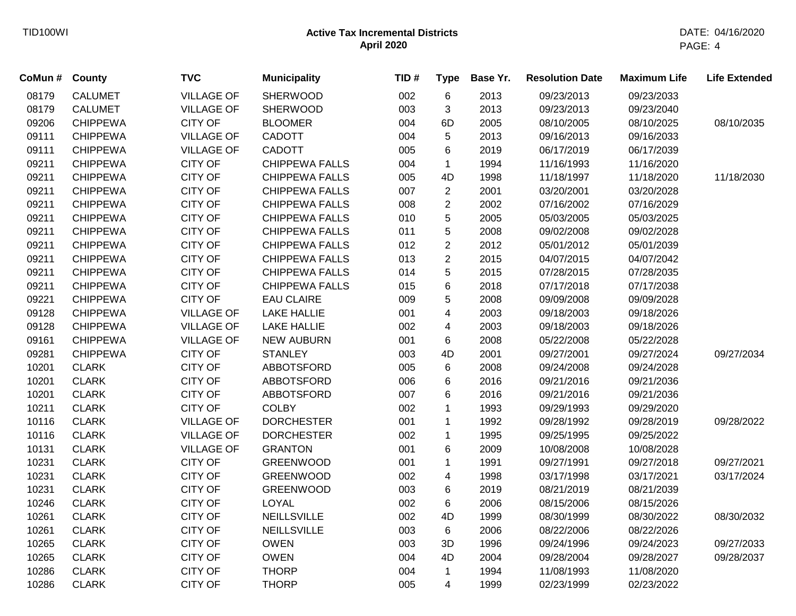| CoMun # | County          | <b>TVC</b>        | <b>Municipality</b>   | TID# | <b>Type</b>             | Base Yr. | <b>Resolution Date</b> | <b>Maximum Life</b> | <b>Life Extended</b> |
|---------|-----------------|-------------------|-----------------------|------|-------------------------|----------|------------------------|---------------------|----------------------|
| 08179   | <b>CALUMET</b>  | <b>VILLAGE OF</b> | <b>SHERWOOD</b>       | 002  | 6                       | 2013     | 09/23/2013             | 09/23/2033          |                      |
| 08179   | <b>CALUMET</b>  | <b>VILLAGE OF</b> | <b>SHERWOOD</b>       | 003  | 3                       | 2013     | 09/23/2013             | 09/23/2040          |                      |
| 09206   | <b>CHIPPEWA</b> | <b>CITY OF</b>    | <b>BLOOMER</b>        | 004  | 6D                      | 2005     | 08/10/2005             | 08/10/2025          | 08/10/2035           |
| 09111   | <b>CHIPPEWA</b> | <b>VILLAGE OF</b> | <b>CADOTT</b>         | 004  | 5                       | 2013     | 09/16/2013             | 09/16/2033          |                      |
| 09111   | <b>CHIPPEWA</b> | <b>VILLAGE OF</b> | <b>CADOTT</b>         | 005  | 6                       | 2019     | 06/17/2019             | 06/17/2039          |                      |
| 09211   | <b>CHIPPEWA</b> | <b>CITY OF</b>    | <b>CHIPPEWA FALLS</b> | 004  | $\mathbf{1}$            | 1994     | 11/16/1993             | 11/16/2020          |                      |
| 09211   | <b>CHIPPEWA</b> | <b>CITY OF</b>    | <b>CHIPPEWA FALLS</b> | 005  | 4D                      | 1998     | 11/18/1997             | 11/18/2020          | 11/18/2030           |
| 09211   | <b>CHIPPEWA</b> | <b>CITY OF</b>    | <b>CHIPPEWA FALLS</b> | 007  | $\overline{c}$          | 2001     | 03/20/2001             | 03/20/2028          |                      |
| 09211   | <b>CHIPPEWA</b> | <b>CITY OF</b>    | <b>CHIPPEWA FALLS</b> | 008  | $\overline{c}$          | 2002     | 07/16/2002             | 07/16/2029          |                      |
| 09211   | <b>CHIPPEWA</b> | <b>CITY OF</b>    | <b>CHIPPEWA FALLS</b> | 010  | 5                       | 2005     | 05/03/2005             | 05/03/2025          |                      |
| 09211   | <b>CHIPPEWA</b> | <b>CITY OF</b>    | <b>CHIPPEWA FALLS</b> | 011  | 5                       | 2008     | 09/02/2008             | 09/02/2028          |                      |
| 09211   | <b>CHIPPEWA</b> | <b>CITY OF</b>    | <b>CHIPPEWA FALLS</b> | 012  | $\overline{2}$          | 2012     | 05/01/2012             | 05/01/2039          |                      |
| 09211   | <b>CHIPPEWA</b> | <b>CITY OF</b>    | <b>CHIPPEWA FALLS</b> | 013  | $\overline{2}$          | 2015     | 04/07/2015             | 04/07/2042          |                      |
| 09211   | <b>CHIPPEWA</b> | <b>CITY OF</b>    | <b>CHIPPEWA FALLS</b> | 014  | 5                       | 2015     | 07/28/2015             | 07/28/2035          |                      |
| 09211   | <b>CHIPPEWA</b> | CITY OF           | <b>CHIPPEWA FALLS</b> | 015  | 6                       | 2018     | 07/17/2018             | 07/17/2038          |                      |
| 09221   | <b>CHIPPEWA</b> | <b>CITY OF</b>    | <b>EAU CLAIRE</b>     | 009  | 5                       | 2008     | 09/09/2008             | 09/09/2028          |                      |
| 09128   | <b>CHIPPEWA</b> | <b>VILLAGE OF</b> | <b>LAKE HALLIE</b>    | 001  | $\overline{\mathbf{4}}$ | 2003     | 09/18/2003             | 09/18/2026          |                      |
| 09128   | <b>CHIPPEWA</b> | <b>VILLAGE OF</b> | <b>LAKE HALLIE</b>    | 002  | 4                       | 2003     | 09/18/2003             | 09/18/2026          |                      |
| 09161   | <b>CHIPPEWA</b> | <b>VILLAGE OF</b> | <b>NEW AUBURN</b>     | 001  | 6                       | 2008     | 05/22/2008             | 05/22/2028          |                      |
| 09281   | <b>CHIPPEWA</b> | <b>CITY OF</b>    | <b>STANLEY</b>        | 003  | 4D                      | 2001     | 09/27/2001             | 09/27/2024          | 09/27/2034           |
| 10201   | <b>CLARK</b>    | <b>CITY OF</b>    | <b>ABBOTSFORD</b>     | 005  | 6                       | 2008     | 09/24/2008             | 09/24/2028          |                      |
| 10201   | <b>CLARK</b>    | <b>CITY OF</b>    | <b>ABBOTSFORD</b>     | 006  | 6                       | 2016     | 09/21/2016             | 09/21/2036          |                      |
| 10201   | <b>CLARK</b>    | <b>CITY OF</b>    | <b>ABBOTSFORD</b>     | 007  | 6                       | 2016     | 09/21/2016             | 09/21/2036          |                      |
| 10211   | <b>CLARK</b>    | <b>CITY OF</b>    | <b>COLBY</b>          | 002  | $\mathbf{1}$            | 1993     | 09/29/1993             | 09/29/2020          |                      |
| 10116   | <b>CLARK</b>    | <b>VILLAGE OF</b> | <b>DORCHESTER</b>     | 001  | $\mathbf{1}$            | 1992     | 09/28/1992             | 09/28/2019          | 09/28/2022           |
| 10116   | <b>CLARK</b>    | <b>VILLAGE OF</b> | <b>DORCHESTER</b>     | 002  | $\mathbf{1}$            | 1995     | 09/25/1995             | 09/25/2022          |                      |
| 10131   | <b>CLARK</b>    | <b>VILLAGE OF</b> | <b>GRANTON</b>        | 001  | 6                       | 2009     | 10/08/2008             | 10/08/2028          |                      |
| 10231   | <b>CLARK</b>    | <b>CITY OF</b>    | <b>GREENWOOD</b>      | 001  | $\mathbf{1}$            | 1991     | 09/27/1991             | 09/27/2018          | 09/27/2021           |
| 10231   | <b>CLARK</b>    | <b>CITY OF</b>    | <b>GREENWOOD</b>      | 002  | 4                       | 1998     | 03/17/1998             | 03/17/2021          | 03/17/2024           |
| 10231   | <b>CLARK</b>    | <b>CITY OF</b>    | <b>GREENWOOD</b>      | 003  | 6                       | 2019     | 08/21/2019             | 08/21/2039          |                      |
| 10246   | <b>CLARK</b>    | <b>CITY OF</b>    | <b>LOYAL</b>          | 002  | 6                       | 2006     | 08/15/2006             | 08/15/2026          |                      |
| 10261   | <b>CLARK</b>    | <b>CITY OF</b>    | <b>NEILLSVILLE</b>    | 002  | 4D                      | 1999     | 08/30/1999             | 08/30/2022          | 08/30/2032           |
| 10261   | <b>CLARK</b>    | <b>CITY OF</b>    | <b>NEILLSVILLE</b>    | 003  | 6                       | 2006     | 08/22/2006             | 08/22/2026          |                      |
| 10265   | <b>CLARK</b>    | <b>CITY OF</b>    | <b>OWEN</b>           | 003  | 3D                      | 1996     | 09/24/1996             | 09/24/2023          | 09/27/2033           |
| 10265   | <b>CLARK</b>    | <b>CITY OF</b>    | <b>OWEN</b>           | 004  | 4D                      | 2004     | 09/28/2004             | 09/28/2027          | 09/28/2037           |
| 10286   | <b>CLARK</b>    | <b>CITY OF</b>    | <b>THORP</b>          | 004  | $\mathbf{1}$            | 1994     | 11/08/1993             | 11/08/2020          |                      |
| 10286   | <b>CLARK</b>    | <b>CITY OF</b>    | <b>THORP</b>          | 005  | 4                       | 1999     | 02/23/1999             | 02/23/2022          |                      |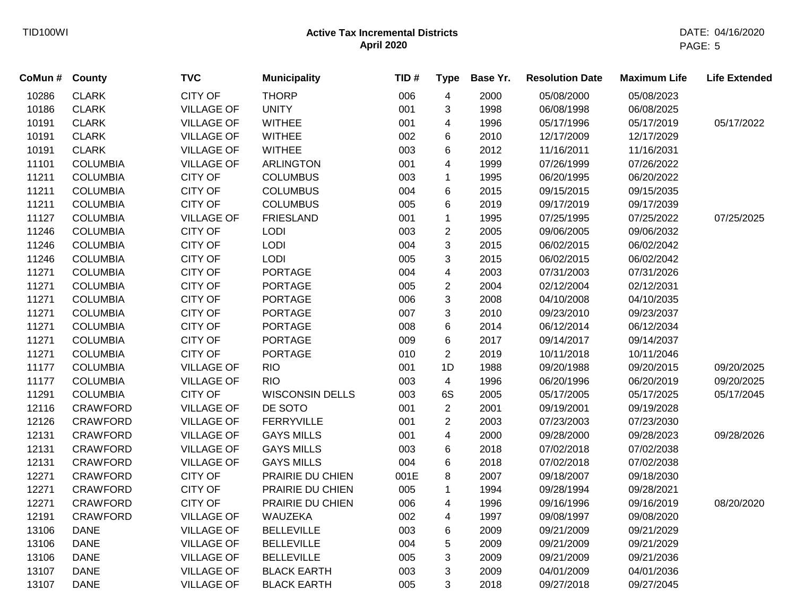| CoMun # | <b>County</b>   | <b>TVC</b>        | <b>Municipality</b>    | TID# | <b>Type</b>             | Base Yr. | <b>Resolution Date</b> | <b>Maximum Life</b> | <b>Life Extended</b> |
|---------|-----------------|-------------------|------------------------|------|-------------------------|----------|------------------------|---------------------|----------------------|
| 10286   | <b>CLARK</b>    | <b>CITY OF</b>    | <b>THORP</b>           | 006  | $\overline{\mathbf{4}}$ | 2000     | 05/08/2000             | 05/08/2023          |                      |
| 10186   | <b>CLARK</b>    | <b>VILLAGE OF</b> | <b>UNITY</b>           | 001  | 3                       | 1998     | 06/08/1998             | 06/08/2025          |                      |
| 10191   | <b>CLARK</b>    | <b>VILLAGE OF</b> | <b>WITHEE</b>          | 001  | 4                       | 1996     | 05/17/1996             | 05/17/2019          | 05/17/2022           |
| 10191   | <b>CLARK</b>    | <b>VILLAGE OF</b> | <b>WITHEE</b>          | 002  | 6                       | 2010     | 12/17/2009             | 12/17/2029          |                      |
| 10191   | <b>CLARK</b>    | <b>VILLAGE OF</b> | <b>WITHEE</b>          | 003  | 6                       | 2012     | 11/16/2011             | 11/16/2031          |                      |
| 11101   | <b>COLUMBIA</b> | <b>VILLAGE OF</b> | <b>ARLINGTON</b>       | 001  | 4                       | 1999     | 07/26/1999             | 07/26/2022          |                      |
| 11211   | <b>COLUMBIA</b> | <b>CITY OF</b>    | <b>COLUMBUS</b>        | 003  | $\mathbf 1$             | 1995     | 06/20/1995             | 06/20/2022          |                      |
| 11211   | <b>COLUMBIA</b> | <b>CITY OF</b>    | <b>COLUMBUS</b>        | 004  | 6                       | 2015     | 09/15/2015             | 09/15/2035          |                      |
| 11211   | <b>COLUMBIA</b> | <b>CITY OF</b>    | <b>COLUMBUS</b>        | 005  | 6                       | 2019     | 09/17/2019             | 09/17/2039          |                      |
| 11127   | <b>COLUMBIA</b> | <b>VILLAGE OF</b> | <b>FRIESLAND</b>       | 001  | $\mathbf 1$             | 1995     | 07/25/1995             | 07/25/2022          | 07/25/2025           |
| 11246   | <b>COLUMBIA</b> | <b>CITY OF</b>    | LODI                   | 003  | $\overline{c}$          | 2005     | 09/06/2005             | 09/06/2032          |                      |
| 11246   | <b>COLUMBIA</b> | <b>CITY OF</b>    | LODI                   | 004  | 3                       | 2015     | 06/02/2015             | 06/02/2042          |                      |
| 11246   | <b>COLUMBIA</b> | <b>CITY OF</b>    | <b>LODI</b>            | 005  | 3                       | 2015     | 06/02/2015             | 06/02/2042          |                      |
| 11271   | <b>COLUMBIA</b> | <b>CITY OF</b>    | <b>PORTAGE</b>         | 004  | $\overline{\mathbf{4}}$ | 2003     | 07/31/2003             | 07/31/2026          |                      |
| 11271   | <b>COLUMBIA</b> | <b>CITY OF</b>    | <b>PORTAGE</b>         | 005  | $\overline{c}$          | 2004     | 02/12/2004             | 02/12/2031          |                      |
| 11271   | <b>COLUMBIA</b> | <b>CITY OF</b>    | <b>PORTAGE</b>         | 006  | 3                       | 2008     | 04/10/2008             | 04/10/2035          |                      |
| 11271   | <b>COLUMBIA</b> | <b>CITY OF</b>    | <b>PORTAGE</b>         | 007  | 3                       | 2010     | 09/23/2010             | 09/23/2037          |                      |
| 11271   | <b>COLUMBIA</b> | <b>CITY OF</b>    | <b>PORTAGE</b>         | 008  | 6                       | 2014     | 06/12/2014             | 06/12/2034          |                      |
| 11271   | <b>COLUMBIA</b> | <b>CITY OF</b>    | <b>PORTAGE</b>         | 009  | 6                       | 2017     | 09/14/2017             | 09/14/2037          |                      |
| 11271   | <b>COLUMBIA</b> | <b>CITY OF</b>    | <b>PORTAGE</b>         | 010  | $\overline{2}$          | 2019     | 10/11/2018             | 10/11/2046          |                      |
| 11177   | <b>COLUMBIA</b> | <b>VILLAGE OF</b> | <b>RIO</b>             | 001  | 1D                      | 1988     | 09/20/1988             | 09/20/2015          | 09/20/2025           |
| 11177   | <b>COLUMBIA</b> | <b>VILLAGE OF</b> | <b>RIO</b>             | 003  | 4                       | 1996     | 06/20/1996             | 06/20/2019          | 09/20/2025           |
| 11291   | <b>COLUMBIA</b> | <b>CITY OF</b>    | <b>WISCONSIN DELLS</b> | 003  | 6S                      | 2005     | 05/17/2005             | 05/17/2025          | 05/17/2045           |
| 12116   | <b>CRAWFORD</b> | <b>VILLAGE OF</b> | DE SOTO                | 001  | $\overline{c}$          | 2001     | 09/19/2001             | 09/19/2028          |                      |
| 12126   | CRAWFORD        | <b>VILLAGE OF</b> | <b>FERRYVILLE</b>      | 001  | $\overline{2}$          | 2003     | 07/23/2003             | 07/23/2030          |                      |
| 12131   | <b>CRAWFORD</b> | <b>VILLAGE OF</b> | <b>GAYS MILLS</b>      | 001  | $\overline{\mathbf{4}}$ | 2000     | 09/28/2000             | 09/28/2023          | 09/28/2026           |
| 12131   | <b>CRAWFORD</b> | <b>VILLAGE OF</b> | <b>GAYS MILLS</b>      | 003  | 6                       | 2018     | 07/02/2018             | 07/02/2038          |                      |
| 12131   | <b>CRAWFORD</b> | <b>VILLAGE OF</b> | <b>GAYS MILLS</b>      | 004  | 6                       | 2018     | 07/02/2018             | 07/02/2038          |                      |
| 12271   | <b>CRAWFORD</b> | <b>CITY OF</b>    | PRAIRIE DU CHIEN       | 001E | 8                       | 2007     | 09/18/2007             | 09/18/2030          |                      |
| 12271   | <b>CRAWFORD</b> | <b>CITY OF</b>    | PRAIRIE DU CHIEN       | 005  | $\mathbf{1}$            | 1994     | 09/28/1994             | 09/28/2021          |                      |
| 12271   | <b>CRAWFORD</b> | <b>CITY OF</b>    | PRAIRIE DU CHIEN       | 006  | 4                       | 1996     | 09/16/1996             | 09/16/2019          | 08/20/2020           |
| 12191   | <b>CRAWFORD</b> | <b>VILLAGE OF</b> | WAUZEKA                | 002  | 4                       | 1997     | 09/08/1997             | 09/08/2020          |                      |
| 13106   | <b>DANE</b>     | <b>VILLAGE OF</b> | <b>BELLEVILLE</b>      | 003  | 6                       | 2009     | 09/21/2009             | 09/21/2029          |                      |
| 13106   | <b>DANE</b>     | <b>VILLAGE OF</b> | <b>BELLEVILLE</b>      | 004  | 5                       | 2009     | 09/21/2009             | 09/21/2029          |                      |
| 13106   | <b>DANE</b>     | <b>VILLAGE OF</b> | <b>BELLEVILLE</b>      | 005  | 3                       | 2009     | 09/21/2009             | 09/21/2036          |                      |
| 13107   | <b>DANE</b>     | <b>VILLAGE OF</b> | <b>BLACK EARTH</b>     | 003  | 3                       | 2009     | 04/01/2009             | 04/01/2036          |                      |
| 13107   | <b>DANE</b>     | <b>VILLAGE OF</b> | <b>BLACK EARTH</b>     | 005  | 3                       | 2018     | 09/27/2018             | 09/27/2045          |                      |
|         |                 |                   |                        |      |                         |          |                        |                     |                      |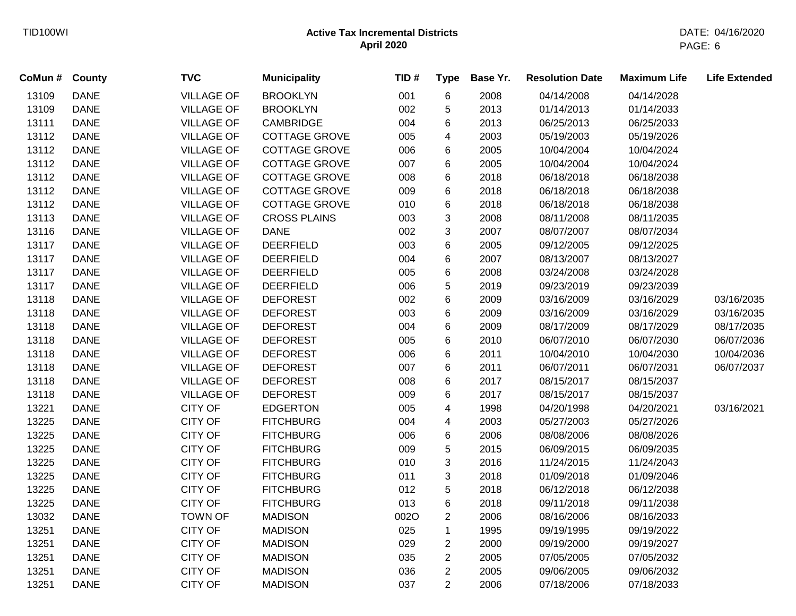| CoMun # | <b>County</b> | <b>TVC</b>        | <b>Municipality</b>  | TID# | <b>Type</b>    | Base Yr. | <b>Resolution Date</b> | <b>Maximum Life</b> | <b>Life Extended</b> |
|---------|---------------|-------------------|----------------------|------|----------------|----------|------------------------|---------------------|----------------------|
| 13109   | <b>DANE</b>   | <b>VILLAGE OF</b> | <b>BROOKLYN</b>      | 001  | 6              | 2008     | 04/14/2008             | 04/14/2028          |                      |
| 13109   | <b>DANE</b>   | <b>VILLAGE OF</b> | <b>BROOKLYN</b>      | 002  | 5              | 2013     | 01/14/2013             | 01/14/2033          |                      |
| 13111   | <b>DANE</b>   | <b>VILLAGE OF</b> | <b>CAMBRIDGE</b>     | 004  | 6              | 2013     | 06/25/2013             | 06/25/2033          |                      |
| 13112   | <b>DANE</b>   | <b>VILLAGE OF</b> | <b>COTTAGE GROVE</b> | 005  | 4              | 2003     | 05/19/2003             | 05/19/2026          |                      |
| 13112   | <b>DANE</b>   | <b>VILLAGE OF</b> | <b>COTTAGE GROVE</b> | 006  | 6              | 2005     | 10/04/2004             | 10/04/2024          |                      |
| 13112   | <b>DANE</b>   | <b>VILLAGE OF</b> | COTTAGE GROVE        | 007  | 6              | 2005     | 10/04/2004             | 10/04/2024          |                      |
| 13112   | <b>DANE</b>   | <b>VILLAGE OF</b> | <b>COTTAGE GROVE</b> | 008  | 6              | 2018     | 06/18/2018             | 06/18/2038          |                      |
| 13112   | <b>DANE</b>   | <b>VILLAGE OF</b> | <b>COTTAGE GROVE</b> | 009  | 6              | 2018     | 06/18/2018             | 06/18/2038          |                      |
| 13112   | <b>DANE</b>   | <b>VILLAGE OF</b> | <b>COTTAGE GROVE</b> | 010  | 6              | 2018     | 06/18/2018             | 06/18/2038          |                      |
| 13113   | <b>DANE</b>   | <b>VILLAGE OF</b> | <b>CROSS PLAINS</b>  | 003  | 3              | 2008     | 08/11/2008             | 08/11/2035          |                      |
| 13116   | <b>DANE</b>   | <b>VILLAGE OF</b> | <b>DANE</b>          | 002  | 3              | 2007     | 08/07/2007             | 08/07/2034          |                      |
| 13117   | <b>DANE</b>   | <b>VILLAGE OF</b> | <b>DEERFIELD</b>     | 003  | 6              | 2005     | 09/12/2005             | 09/12/2025          |                      |
| 13117   | <b>DANE</b>   | <b>VILLAGE OF</b> | <b>DEERFIELD</b>     | 004  | 6              | 2007     | 08/13/2007             | 08/13/2027          |                      |
| 13117   | <b>DANE</b>   | <b>VILLAGE OF</b> | <b>DEERFIELD</b>     | 005  | 6              | 2008     | 03/24/2008             | 03/24/2028          |                      |
| 13117   | <b>DANE</b>   | <b>VILLAGE OF</b> | <b>DEERFIELD</b>     | 006  | 5              | 2019     | 09/23/2019             | 09/23/2039          |                      |
| 13118   | <b>DANE</b>   | <b>VILLAGE OF</b> | <b>DEFOREST</b>      | 002  | 6              | 2009     | 03/16/2009             | 03/16/2029          | 03/16/2035           |
| 13118   | <b>DANE</b>   | <b>VILLAGE OF</b> | <b>DEFOREST</b>      | 003  | 6              | 2009     | 03/16/2009             | 03/16/2029          | 03/16/2035           |
| 13118   | <b>DANE</b>   | <b>VILLAGE OF</b> | <b>DEFOREST</b>      | 004  | 6              | 2009     | 08/17/2009             | 08/17/2029          | 08/17/2035           |
| 13118   | <b>DANE</b>   | <b>VILLAGE OF</b> | <b>DEFOREST</b>      | 005  | 6              | 2010     | 06/07/2010             | 06/07/2030          | 06/07/2036           |
| 13118   | <b>DANE</b>   | <b>VILLAGE OF</b> | <b>DEFOREST</b>      | 006  | 6              | 2011     | 10/04/2010             | 10/04/2030          | 10/04/2036           |
| 13118   | <b>DANE</b>   | <b>VILLAGE OF</b> | <b>DEFOREST</b>      | 007  | 6              | 2011     | 06/07/2011             | 06/07/2031          | 06/07/2037           |
| 13118   | <b>DANE</b>   | <b>VILLAGE OF</b> | <b>DEFOREST</b>      | 008  | 6              | 2017     | 08/15/2017             | 08/15/2037          |                      |
| 13118   | <b>DANE</b>   | <b>VILLAGE OF</b> | <b>DEFOREST</b>      | 009  | 6              | 2017     | 08/15/2017             | 08/15/2037          |                      |
| 13221   | <b>DANE</b>   | <b>CITY OF</b>    | <b>EDGERTON</b>      | 005  | 4              | 1998     | 04/20/1998             | 04/20/2021          | 03/16/2021           |
| 13225   | <b>DANE</b>   | <b>CITY OF</b>    | <b>FITCHBURG</b>     | 004  | 4              | 2003     | 05/27/2003             | 05/27/2026          |                      |
| 13225   | <b>DANE</b>   | <b>CITY OF</b>    | <b>FITCHBURG</b>     | 006  | 6              | 2006     | 08/08/2006             | 08/08/2026          |                      |
| 13225   | <b>DANE</b>   | <b>CITY OF</b>    | <b>FITCHBURG</b>     | 009  | 5              | 2015     | 06/09/2015             | 06/09/2035          |                      |
| 13225   | <b>DANE</b>   | <b>CITY OF</b>    | <b>FITCHBURG</b>     | 010  | 3              | 2016     | 11/24/2015             | 11/24/2043          |                      |
| 13225   | <b>DANE</b>   | <b>CITY OF</b>    | <b>FITCHBURG</b>     | 011  | 3              | 2018     | 01/09/2018             | 01/09/2046          |                      |
| 13225   | <b>DANE</b>   | <b>CITY OF</b>    | <b>FITCHBURG</b>     | 012  | 5              | 2018     | 06/12/2018             | 06/12/2038          |                      |
| 13225   | <b>DANE</b>   | <b>CITY OF</b>    | <b>FITCHBURG</b>     | 013  | 6              | 2018     | 09/11/2018             | 09/11/2038          |                      |
| 13032   | <b>DANE</b>   | <b>TOWN OF</b>    | <b>MADISON</b>       | 002O | $\overline{c}$ | 2006     | 08/16/2006             | 08/16/2033          |                      |
| 13251   | <b>DANE</b>   | <b>CITY OF</b>    | <b>MADISON</b>       | 025  | 1              | 1995     | 09/19/1995             | 09/19/2022          |                      |
| 13251   | <b>DANE</b>   | <b>CITY OF</b>    | <b>MADISON</b>       | 029  | $\overline{c}$ | 2000     | 09/19/2000             | 09/19/2027          |                      |
| 13251   | <b>DANE</b>   | <b>CITY OF</b>    | <b>MADISON</b>       | 035  | $\overline{2}$ | 2005     | 07/05/2005             | 07/05/2032          |                      |
| 13251   | <b>DANE</b>   | <b>CITY OF</b>    | <b>MADISON</b>       | 036  | $\overline{c}$ | 2005     | 09/06/2005             | 09/06/2032          |                      |
| 13251   | <b>DANE</b>   | <b>CITY OF</b>    | <b>MADISON</b>       | 037  | $\overline{2}$ | 2006     | 07/18/2006             | 07/18/2033          |                      |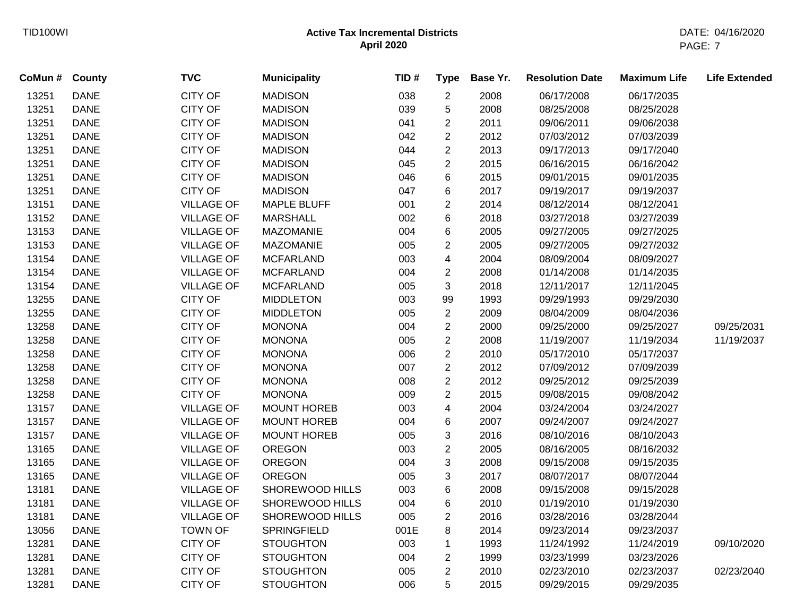| CoMun# | <b>County</b> | <b>TVC</b>        | <b>Municipality</b> | TID# | <b>Type</b>    | Base Yr. | <b>Resolution Date</b> | <b>Maximum Life</b> | <b>Life Extended</b> |
|--------|---------------|-------------------|---------------------|------|----------------|----------|------------------------|---------------------|----------------------|
| 13251  | <b>DANE</b>   | <b>CITY OF</b>    | <b>MADISON</b>      | 038  | $\overline{2}$ | 2008     | 06/17/2008             | 06/17/2035          |                      |
| 13251  | <b>DANE</b>   | <b>CITY OF</b>    | <b>MADISON</b>      | 039  | 5              | 2008     | 08/25/2008             | 08/25/2028          |                      |
| 13251  | <b>DANE</b>   | <b>CITY OF</b>    | <b>MADISON</b>      | 041  | $\overline{2}$ | 2011     | 09/06/2011             | 09/06/2038          |                      |
| 13251  | <b>DANE</b>   | <b>CITY OF</b>    | <b>MADISON</b>      | 042  | $\overline{2}$ | 2012     | 07/03/2012             | 07/03/2039          |                      |
| 13251  | <b>DANE</b>   | <b>CITY OF</b>    | <b>MADISON</b>      | 044  | $\overline{2}$ | 2013     | 09/17/2013             | 09/17/2040          |                      |
| 13251  | <b>DANE</b>   | CITY OF           | <b>MADISON</b>      | 045  | $\overline{2}$ | 2015     | 06/16/2015             | 06/16/2042          |                      |
| 13251  | <b>DANE</b>   | <b>CITY OF</b>    | <b>MADISON</b>      | 046  | 6              | 2015     | 09/01/2015             | 09/01/2035          |                      |
| 13251  | <b>DANE</b>   | <b>CITY OF</b>    | <b>MADISON</b>      | 047  | 6              | 2017     | 09/19/2017             | 09/19/2037          |                      |
| 13151  | <b>DANE</b>   | <b>VILLAGE OF</b> | <b>MAPLE BLUFF</b>  | 001  | $\overline{2}$ | 2014     | 08/12/2014             | 08/12/2041          |                      |
| 13152  | <b>DANE</b>   | <b>VILLAGE OF</b> | <b>MARSHALL</b>     | 002  | 6              | 2018     | 03/27/2018             | 03/27/2039          |                      |
| 13153  | <b>DANE</b>   | <b>VILLAGE OF</b> | <b>MAZOMANIE</b>    | 004  | 6              | 2005     | 09/27/2005             | 09/27/2025          |                      |
| 13153  | <b>DANE</b>   | <b>VILLAGE OF</b> | <b>MAZOMANIE</b>    | 005  | $\overline{2}$ | 2005     | 09/27/2005             | 09/27/2032          |                      |
| 13154  | <b>DANE</b>   | <b>VILLAGE OF</b> | <b>MCFARLAND</b>    | 003  | $\overline{4}$ | 2004     | 08/09/2004             | 08/09/2027          |                      |
| 13154  | <b>DANE</b>   | <b>VILLAGE OF</b> | <b>MCFARLAND</b>    | 004  | $\overline{2}$ | 2008     | 01/14/2008             | 01/14/2035          |                      |
| 13154  | <b>DANE</b>   | <b>VILLAGE OF</b> | <b>MCFARLAND</b>    | 005  | 3              | 2018     | 12/11/2017             | 12/11/2045          |                      |
| 13255  | <b>DANE</b>   | <b>CITY OF</b>    | <b>MIDDLETON</b>    | 003  | 99             | 1993     | 09/29/1993             | 09/29/2030          |                      |
| 13255  | <b>DANE</b>   | CITY OF           | <b>MIDDLETON</b>    | 005  | $\overline{2}$ | 2009     | 08/04/2009             | 08/04/2036          |                      |
| 13258  | <b>DANE</b>   | CITY OF           | <b>MONONA</b>       | 004  | $\overline{2}$ | 2000     | 09/25/2000             | 09/25/2027          | 09/25/2031           |
| 13258  | <b>DANE</b>   | <b>CITY OF</b>    | <b>MONONA</b>       | 005  | $\overline{2}$ | 2008     | 11/19/2007             | 11/19/2034          | 11/19/2037           |
| 13258  | <b>DANE</b>   | <b>CITY OF</b>    | <b>MONONA</b>       | 006  | $\overline{2}$ | 2010     | 05/17/2010             | 05/17/2037          |                      |
| 13258  | <b>DANE</b>   | <b>CITY OF</b>    | <b>MONONA</b>       | 007  | $\overline{2}$ | 2012     | 07/09/2012             | 07/09/2039          |                      |
| 13258  | <b>DANE</b>   | <b>CITY OF</b>    | <b>MONONA</b>       | 008  | $\overline{2}$ | 2012     | 09/25/2012             | 09/25/2039          |                      |
| 13258  | <b>DANE</b>   | <b>CITY OF</b>    | <b>MONONA</b>       | 009  | $\overline{2}$ | 2015     | 09/08/2015             | 09/08/2042          |                      |
| 13157  | <b>DANE</b>   | <b>VILLAGE OF</b> | MOUNT HOREB         | 003  | 4              | 2004     | 03/24/2004             | 03/24/2027          |                      |
| 13157  | <b>DANE</b>   | <b>VILLAGE OF</b> | <b>MOUNT HOREB</b>  | 004  | 6              | 2007     | 09/24/2007             | 09/24/2027          |                      |
| 13157  | <b>DANE</b>   | <b>VILLAGE OF</b> | <b>MOUNT HOREB</b>  | 005  | 3              | 2016     | 08/10/2016             | 08/10/2043          |                      |
| 13165  | <b>DANE</b>   | <b>VILLAGE OF</b> | <b>OREGON</b>       | 003  | $\overline{2}$ | 2005     | 08/16/2005             | 08/16/2032          |                      |
| 13165  | <b>DANE</b>   | <b>VILLAGE OF</b> | <b>OREGON</b>       | 004  | 3              | 2008     | 09/15/2008             | 09/15/2035          |                      |
| 13165  | <b>DANE</b>   | <b>VILLAGE OF</b> | <b>OREGON</b>       | 005  | 3              | 2017     | 08/07/2017             | 08/07/2044          |                      |
| 13181  | <b>DANE</b>   | <b>VILLAGE OF</b> | SHOREWOOD HILLS     | 003  | 6              | 2008     | 09/15/2008             | 09/15/2028          |                      |
| 13181  | <b>DANE</b>   | <b>VILLAGE OF</b> | SHOREWOOD HILLS     | 004  | 6              | 2010     | 01/19/2010             | 01/19/2030          |                      |
| 13181  | <b>DANE</b>   | <b>VILLAGE OF</b> | SHOREWOOD HILLS     | 005  | $\overline{2}$ | 2016     | 03/28/2016             | 03/28/2044          |                      |
| 13056  | <b>DANE</b>   | <b>TOWN OF</b>    | <b>SPRINGFIELD</b>  | 001E | 8              | 2014     | 09/23/2014             | 09/23/2037          |                      |
| 13281  | <b>DANE</b>   | <b>CITY OF</b>    | <b>STOUGHTON</b>    | 003  | $\mathbf 1$    | 1993     | 11/24/1992             | 11/24/2019          | 09/10/2020           |
| 13281  | <b>DANE</b>   | <b>CITY OF</b>    | <b>STOUGHTON</b>    | 004  | $\overline{c}$ | 1999     | 03/23/1999             | 03/23/2026          |                      |
| 13281  | <b>DANE</b>   | <b>CITY OF</b>    | <b>STOUGHTON</b>    | 005  | $\overline{2}$ | 2010     | 02/23/2010             | 02/23/2037          | 02/23/2040           |
| 13281  | <b>DANE</b>   | <b>CITY OF</b>    | <b>STOUGHTON</b>    | 006  | 5              | 2015     | 09/29/2015             | 09/29/2035          |                      |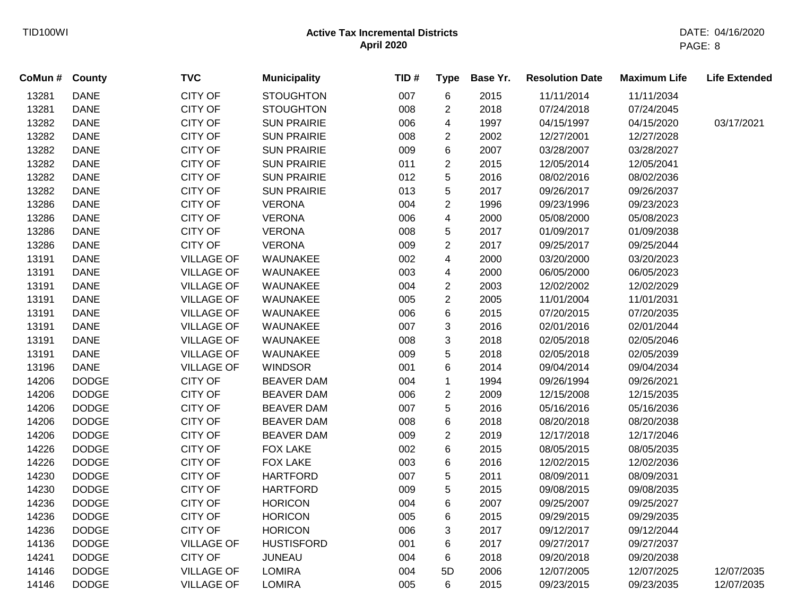| CoMun # | <b>County</b> | <b>TVC</b>        | <b>Municipality</b> | TID# | <b>Type</b>             | Base Yr. | <b>Resolution Date</b> | <b>Maximum Life</b> | <b>Life Extended</b> |
|---------|---------------|-------------------|---------------------|------|-------------------------|----------|------------------------|---------------------|----------------------|
| 13281   | <b>DANE</b>   | <b>CITY OF</b>    | <b>STOUGHTON</b>    | 007  | 6                       | 2015     | 11/11/2014             | 11/11/2034          |                      |
| 13281   | <b>DANE</b>   | <b>CITY OF</b>    | <b>STOUGHTON</b>    | 008  | $\overline{c}$          | 2018     | 07/24/2018             | 07/24/2045          |                      |
| 13282   | <b>DANE</b>   | <b>CITY OF</b>    | <b>SUN PRAIRIE</b>  | 006  | 4                       | 1997     | 04/15/1997             | 04/15/2020          | 03/17/2021           |
| 13282   | <b>DANE</b>   | <b>CITY OF</b>    | <b>SUN PRAIRIE</b>  | 008  | $\overline{c}$          | 2002     | 12/27/2001             | 12/27/2028          |                      |
| 13282   | <b>DANE</b>   | <b>CITY OF</b>    | <b>SUN PRAIRIE</b>  | 009  | 6                       | 2007     | 03/28/2007             | 03/28/2027          |                      |
| 13282   | <b>DANE</b>   | <b>CITY OF</b>    | <b>SUN PRAIRIE</b>  | 011  | $\overline{c}$          | 2015     | 12/05/2014             | 12/05/2041          |                      |
| 13282   | <b>DANE</b>   | <b>CITY OF</b>    | <b>SUN PRAIRIE</b>  | 012  | 5                       | 2016     | 08/02/2016             | 08/02/2036          |                      |
| 13282   | <b>DANE</b>   | <b>CITY OF</b>    | <b>SUN PRAIRIE</b>  | 013  | 5                       | 2017     | 09/26/2017             | 09/26/2037          |                      |
| 13286   | <b>DANE</b>   | <b>CITY OF</b>    | <b>VERONA</b>       | 004  | $\overline{2}$          | 1996     | 09/23/1996             | 09/23/2023          |                      |
| 13286   | <b>DANE</b>   | <b>CITY OF</b>    | <b>VERONA</b>       | 006  | $\overline{\mathbf{4}}$ | 2000     | 05/08/2000             | 05/08/2023          |                      |
| 13286   | <b>DANE</b>   | <b>CITY OF</b>    | <b>VERONA</b>       | 008  | 5                       | 2017     | 01/09/2017             | 01/09/2038          |                      |
| 13286   | <b>DANE</b>   | <b>CITY OF</b>    | <b>VERONA</b>       | 009  | $\overline{2}$          | 2017     | 09/25/2017             | 09/25/2044          |                      |
| 13191   | <b>DANE</b>   | <b>VILLAGE OF</b> | WAUNAKEE            | 002  | 4                       | 2000     | 03/20/2000             | 03/20/2023          |                      |
| 13191   | <b>DANE</b>   | <b>VILLAGE OF</b> | WAUNAKEE            | 003  | 4                       | 2000     | 06/05/2000             | 06/05/2023          |                      |
| 13191   | <b>DANE</b>   | <b>VILLAGE OF</b> | WAUNAKEE            | 004  | $\overline{c}$          | 2003     | 12/02/2002             | 12/02/2029          |                      |
| 13191   | <b>DANE</b>   | <b>VILLAGE OF</b> | WAUNAKEE            | 005  | $\overline{c}$          | 2005     | 11/01/2004             | 11/01/2031          |                      |
| 13191   | <b>DANE</b>   | <b>VILLAGE OF</b> | WAUNAKEE            | 006  | 6                       | 2015     | 07/20/2015             | 07/20/2035          |                      |
| 13191   | <b>DANE</b>   | <b>VILLAGE OF</b> | WAUNAKEE            | 007  | 3                       | 2016     | 02/01/2016             | 02/01/2044          |                      |
| 13191   | <b>DANE</b>   | <b>VILLAGE OF</b> | WAUNAKEE            | 008  | 3                       | 2018     | 02/05/2018             | 02/05/2046          |                      |
| 13191   | <b>DANE</b>   | <b>VILLAGE OF</b> | WAUNAKEE            | 009  | 5                       | 2018     | 02/05/2018             | 02/05/2039          |                      |
| 13196   | <b>DANE</b>   | <b>VILLAGE OF</b> | <b>WINDSOR</b>      | 001  | 6                       | 2014     | 09/04/2014             | 09/04/2034          |                      |
| 14206   | <b>DODGE</b>  | <b>CITY OF</b>    | <b>BEAVER DAM</b>   | 004  | $\mathbf{1}$            | 1994     | 09/26/1994             | 09/26/2021          |                      |
| 14206   | <b>DODGE</b>  | <b>CITY OF</b>    | <b>BEAVER DAM</b>   | 006  | $\overline{c}$          | 2009     | 12/15/2008             | 12/15/2035          |                      |
| 14206   | <b>DODGE</b>  | <b>CITY OF</b>    | <b>BEAVER DAM</b>   | 007  | 5                       | 2016     | 05/16/2016             | 05/16/2036          |                      |
| 14206   | <b>DODGE</b>  | <b>CITY OF</b>    | <b>BEAVER DAM</b>   | 008  | 6                       | 2018     | 08/20/2018             | 08/20/2038          |                      |
| 14206   | <b>DODGE</b>  | <b>CITY OF</b>    | <b>BEAVER DAM</b>   | 009  | $\overline{2}$          | 2019     | 12/17/2018             | 12/17/2046          |                      |
| 14226   | <b>DODGE</b>  | <b>CITY OF</b>    | <b>FOX LAKE</b>     | 002  | 6                       | 2015     | 08/05/2015             | 08/05/2035          |                      |
| 14226   | <b>DODGE</b>  | <b>CITY OF</b>    | <b>FOX LAKE</b>     | 003  | 6                       | 2016     | 12/02/2015             | 12/02/2036          |                      |
| 14230   | <b>DODGE</b>  | <b>CITY OF</b>    | <b>HARTFORD</b>     | 007  | 5                       | 2011     | 08/09/2011             | 08/09/2031          |                      |
| 14230   | <b>DODGE</b>  | <b>CITY OF</b>    | <b>HARTFORD</b>     | 009  | 5                       | 2015     | 09/08/2015             | 09/08/2035          |                      |
| 14236   | <b>DODGE</b>  | <b>CITY OF</b>    | <b>HORICON</b>      | 004  | 6                       | 2007     | 09/25/2007             | 09/25/2027          |                      |
| 14236   | <b>DODGE</b>  | <b>CITY OF</b>    | <b>HORICON</b>      | 005  | 6                       | 2015     | 09/29/2015             | 09/29/2035          |                      |
| 14236   | <b>DODGE</b>  | <b>CITY OF</b>    | <b>HORICON</b>      | 006  | 3                       | 2017     | 09/12/2017             | 09/12/2044          |                      |
| 14136   | <b>DODGE</b>  | <b>VILLAGE OF</b> | <b>HUSTISFORD</b>   | 001  | 6                       | 2017     | 09/27/2017             | 09/27/2037          |                      |
| 14241   | <b>DODGE</b>  | <b>CITY OF</b>    | <b>JUNEAU</b>       | 004  | 6                       | 2018     | 09/20/2018             | 09/20/2038          |                      |
| 14146   | <b>DODGE</b>  | <b>VILLAGE OF</b> | <b>LOMIRA</b>       | 004  | 5D                      | 2006     | 12/07/2005             | 12/07/2025          | 12/07/2035           |
| 14146   | <b>DODGE</b>  | <b>VILLAGE OF</b> | <b>LOMIRA</b>       | 005  | 6                       | 2015     | 09/23/2015             | 09/23/2035          | 12/07/2035           |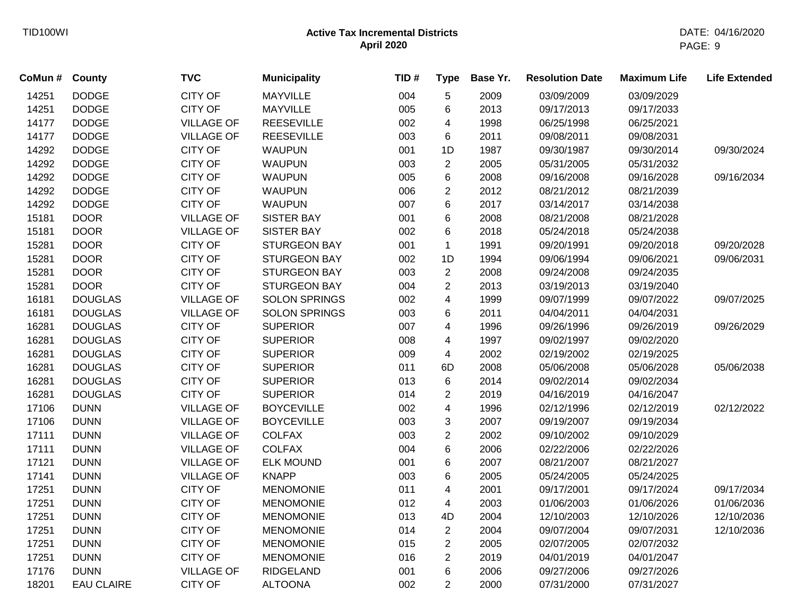| CoMun # | County            | <b>TVC</b>        | <b>Municipality</b>  | TID# | <b>Type</b>             | Base Yr. | <b>Resolution Date</b> | <b>Maximum Life</b> | <b>Life Extended</b> |
|---------|-------------------|-------------------|----------------------|------|-------------------------|----------|------------------------|---------------------|----------------------|
| 14251   | <b>DODGE</b>      | <b>CITY OF</b>    | <b>MAYVILLE</b>      | 004  | $\,$ 5 $\,$             | 2009     | 03/09/2009             | 03/09/2029          |                      |
| 14251   | <b>DODGE</b>      | <b>CITY OF</b>    | <b>MAYVILLE</b>      | 005  | 6                       | 2013     | 09/17/2013             | 09/17/2033          |                      |
| 14177   | <b>DODGE</b>      | <b>VILLAGE OF</b> | <b>REESEVILLE</b>    | 002  | 4                       | 1998     | 06/25/1998             | 06/25/2021          |                      |
| 14177   | <b>DODGE</b>      | <b>VILLAGE OF</b> | <b>REESEVILLE</b>    | 003  | 6                       | 2011     | 09/08/2011             | 09/08/2031          |                      |
| 14292   | <b>DODGE</b>      | <b>CITY OF</b>    | <b>WAUPUN</b>        | 001  | 1D                      | 1987     | 09/30/1987             | 09/30/2014          | 09/30/2024           |
| 14292   | <b>DODGE</b>      | <b>CITY OF</b>    | <b>WAUPUN</b>        | 003  | $\overline{2}$          | 2005     | 05/31/2005             | 05/31/2032          |                      |
| 14292   | <b>DODGE</b>      | <b>CITY OF</b>    | <b>WAUPUN</b>        | 005  | 6                       | 2008     | 09/16/2008             | 09/16/2028          | 09/16/2034           |
| 14292   | <b>DODGE</b>      | <b>CITY OF</b>    | <b>WAUPUN</b>        | 006  | $\overline{2}$          | 2012     | 08/21/2012             | 08/21/2039          |                      |
| 14292   | <b>DODGE</b>      | <b>CITY OF</b>    | <b>WAUPUN</b>        | 007  | 6                       | 2017     | 03/14/2017             | 03/14/2038          |                      |
| 15181   | <b>DOOR</b>       | <b>VILLAGE OF</b> | <b>SISTER BAY</b>    | 001  | $\,6$                   | 2008     | 08/21/2008             | 08/21/2028          |                      |
| 15181   | <b>DOOR</b>       | <b>VILLAGE OF</b> | <b>SISTER BAY</b>    | 002  | 6                       | 2018     | 05/24/2018             | 05/24/2038          |                      |
| 15281   | <b>DOOR</b>       | <b>CITY OF</b>    | <b>STURGEON BAY</b>  | 001  | $\mathbf{1}$            | 1991     | 09/20/1991             | 09/20/2018          | 09/20/2028           |
| 15281   | <b>DOOR</b>       | <b>CITY OF</b>    | <b>STURGEON BAY</b>  | 002  | 1D                      | 1994     | 09/06/1994             | 09/06/2021          | 09/06/2031           |
| 15281   | <b>DOOR</b>       | <b>CITY OF</b>    | <b>STURGEON BAY</b>  | 003  | $\mathbf{2}$            | 2008     | 09/24/2008             | 09/24/2035          |                      |
| 15281   | <b>DOOR</b>       | <b>CITY OF</b>    | <b>STURGEON BAY</b>  | 004  | $\overline{c}$          | 2013     | 03/19/2013             | 03/19/2040          |                      |
| 16181   | <b>DOUGLAS</b>    | <b>VILLAGE OF</b> | <b>SOLON SPRINGS</b> | 002  | 4                       | 1999     | 09/07/1999             | 09/07/2022          | 09/07/2025           |
| 16181   | <b>DOUGLAS</b>    | <b>VILLAGE OF</b> | <b>SOLON SPRINGS</b> | 003  | 6                       | 2011     | 04/04/2011             | 04/04/2031          |                      |
| 16281   | <b>DOUGLAS</b>    | <b>CITY OF</b>    | <b>SUPERIOR</b>      | 007  | 4                       | 1996     | 09/26/1996             | 09/26/2019          | 09/26/2029           |
| 16281   | <b>DOUGLAS</b>    | <b>CITY OF</b>    | <b>SUPERIOR</b>      | 008  | 4                       | 1997     | 09/02/1997             | 09/02/2020          |                      |
| 16281   | <b>DOUGLAS</b>    | <b>CITY OF</b>    | <b>SUPERIOR</b>      | 009  | 4                       | 2002     | 02/19/2002             | 02/19/2025          |                      |
| 16281   | <b>DOUGLAS</b>    | <b>CITY OF</b>    | <b>SUPERIOR</b>      | 011  | 6D                      | 2008     | 05/06/2008             | 05/06/2028          | 05/06/2038           |
| 16281   | <b>DOUGLAS</b>    | <b>CITY OF</b>    | <b>SUPERIOR</b>      | 013  | 6                       | 2014     | 09/02/2014             | 09/02/2034          |                      |
| 16281   | <b>DOUGLAS</b>    | <b>CITY OF</b>    | <b>SUPERIOR</b>      | 014  | $\overline{c}$          | 2019     | 04/16/2019             | 04/16/2047          |                      |
| 17106   | <b>DUNN</b>       | <b>VILLAGE OF</b> | <b>BOYCEVILLE</b>    | 002  | 4                       | 1996     | 02/12/1996             | 02/12/2019          | 02/12/2022           |
| 17106   | <b>DUNN</b>       | <b>VILLAGE OF</b> | <b>BOYCEVILLE</b>    | 003  | 3                       | 2007     | 09/19/2007             | 09/19/2034          |                      |
| 17111   | <b>DUNN</b>       | <b>VILLAGE OF</b> | <b>COLFAX</b>        | 003  | $\overline{c}$          | 2002     | 09/10/2002             | 09/10/2029          |                      |
| 17111   | <b>DUNN</b>       | <b>VILLAGE OF</b> | <b>COLFAX</b>        | 004  | 6                       | 2006     | 02/22/2006             | 02/22/2026          |                      |
| 17121   | <b>DUNN</b>       | <b>VILLAGE OF</b> | <b>ELK MOUND</b>     | 001  | 6                       | 2007     | 08/21/2007             | 08/21/2027          |                      |
| 17141   | <b>DUNN</b>       | <b>VILLAGE OF</b> | <b>KNAPP</b>         | 003  | 6                       | 2005     | 05/24/2005             | 05/24/2025          |                      |
| 17251   | <b>DUNN</b>       | <b>CITY OF</b>    | <b>MENOMONIE</b>     | 011  | $\overline{\mathbf{4}}$ | 2001     | 09/17/2001             | 09/17/2024          | 09/17/2034           |
| 17251   | <b>DUNN</b>       | <b>CITY OF</b>    | <b>MENOMONIE</b>     | 012  | 4                       | 2003     | 01/06/2003             | 01/06/2026          | 01/06/2036           |
| 17251   | <b>DUNN</b>       | <b>CITY OF</b>    | <b>MENOMONIE</b>     | 013  | 4D                      | 2004     | 12/10/2003             | 12/10/2026          | 12/10/2036           |
| 17251   | <b>DUNN</b>       | <b>CITY OF</b>    | <b>MENOMONIE</b>     | 014  | $\overline{2}$          | 2004     | 09/07/2004             | 09/07/2031          | 12/10/2036           |
| 17251   | <b>DUNN</b>       | <b>CITY OF</b>    | <b>MENOMONIE</b>     | 015  | $\sqrt{2}$              | 2005     | 02/07/2005             | 02/07/2032          |                      |
| 17251   | <b>DUNN</b>       | <b>CITY OF</b>    | <b>MENOMONIE</b>     | 016  | $\overline{2}$          | 2019     | 04/01/2019             | 04/01/2047          |                      |
| 17176   | <b>DUNN</b>       | <b>VILLAGE OF</b> | <b>RIDGELAND</b>     | 001  | 6                       | 2006     | 09/27/2006             | 09/27/2026          |                      |
| 18201   | <b>EAU CLAIRE</b> | <b>CITY OF</b>    | <b>ALTOONA</b>       | 002  | $\overline{2}$          | 2000     | 07/31/2000             | 07/31/2027          |                      |
|         |                   |                   |                      |      |                         |          |                        |                     |                      |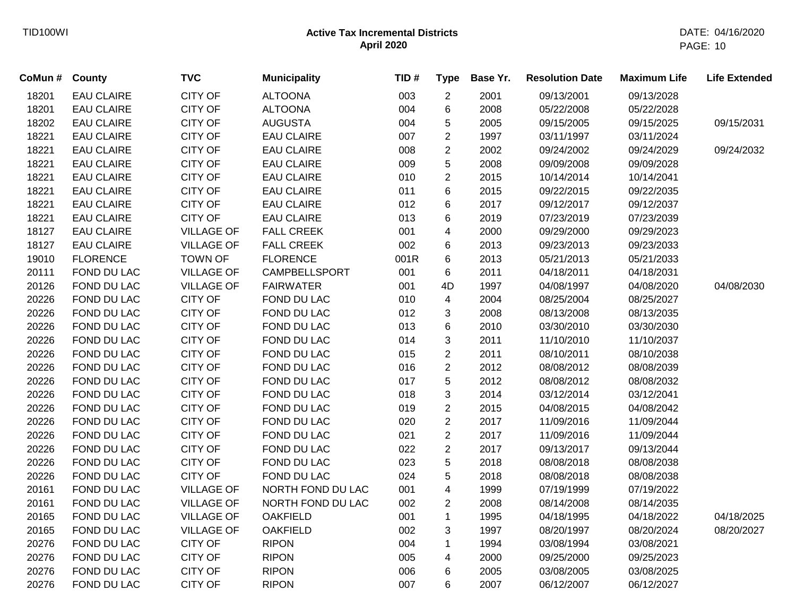| CoMun# | County            | <b>TVC</b>        | <b>Municipality</b>  | TID# | <b>Type</b>             | Base Yr. | <b>Resolution Date</b> | <b>Maximum Life</b> | <b>Life Extended</b> |
|--------|-------------------|-------------------|----------------------|------|-------------------------|----------|------------------------|---------------------|----------------------|
| 18201  | <b>EAU CLAIRE</b> | <b>CITY OF</b>    | <b>ALTOONA</b>       | 003  | $\overline{c}$          | 2001     | 09/13/2001             | 09/13/2028          |                      |
| 18201  | <b>EAU CLAIRE</b> | <b>CITY OF</b>    | <b>ALTOONA</b>       | 004  | 6                       | 2008     | 05/22/2008             | 05/22/2028          |                      |
| 18202  | <b>EAU CLAIRE</b> | <b>CITY OF</b>    | <b>AUGUSTA</b>       | 004  | 5                       | 2005     | 09/15/2005             | 09/15/2025          | 09/15/2031           |
| 18221  | <b>EAU CLAIRE</b> | <b>CITY OF</b>    | <b>EAU CLAIRE</b>    | 007  | $\overline{c}$          | 1997     | 03/11/1997             | 03/11/2024          |                      |
| 18221  | <b>EAU CLAIRE</b> | <b>CITY OF</b>    | <b>EAU CLAIRE</b>    | 008  | $\overline{c}$          | 2002     | 09/24/2002             | 09/24/2029          | 09/24/2032           |
| 18221  | <b>EAU CLAIRE</b> | <b>CITY OF</b>    | <b>EAU CLAIRE</b>    | 009  | 5                       | 2008     | 09/09/2008             | 09/09/2028          |                      |
| 18221  | <b>EAU CLAIRE</b> | <b>CITY OF</b>    | <b>EAU CLAIRE</b>    | 010  | $\overline{c}$          | 2015     | 10/14/2014             | 10/14/2041          |                      |
| 18221  | <b>EAU CLAIRE</b> | <b>CITY OF</b>    | <b>EAU CLAIRE</b>    | 011  | 6                       | 2015     | 09/22/2015             | 09/22/2035          |                      |
| 18221  | <b>EAU CLAIRE</b> | <b>CITY OF</b>    | <b>EAU CLAIRE</b>    | 012  | 6                       | 2017     | 09/12/2017             | 09/12/2037          |                      |
| 18221  | <b>EAU CLAIRE</b> | <b>CITY OF</b>    | <b>EAU CLAIRE</b>    | 013  | 6                       | 2019     | 07/23/2019             | 07/23/2039          |                      |
| 18127  | <b>EAU CLAIRE</b> | <b>VILLAGE OF</b> | <b>FALL CREEK</b>    | 001  | $\overline{\mathbf{4}}$ | 2000     | 09/29/2000             | 09/29/2023          |                      |
| 18127  | <b>EAU CLAIRE</b> | <b>VILLAGE OF</b> | <b>FALL CREEK</b>    | 002  | 6                       | 2013     | 09/23/2013             | 09/23/2033          |                      |
| 19010  | <b>FLORENCE</b>   | <b>TOWN OF</b>    | <b>FLORENCE</b>      | 001R | 6                       | 2013     | 05/21/2013             | 05/21/2033          |                      |
| 20111  | FOND DU LAC       | <b>VILLAGE OF</b> | <b>CAMPBELLSPORT</b> | 001  | 6                       | 2011     | 04/18/2011             | 04/18/2031          |                      |
| 20126  | FOND DU LAC       | <b>VILLAGE OF</b> | <b>FAIRWATER</b>     | 001  | 4D                      | 1997     | 04/08/1997             | 04/08/2020          | 04/08/2030           |
| 20226  | FOND DU LAC       | <b>CITY OF</b>    | FOND DU LAC          | 010  | 4                       | 2004     | 08/25/2004             | 08/25/2027          |                      |
| 20226  | FOND DU LAC       | <b>CITY OF</b>    | FOND DU LAC          | 012  | 3                       | 2008     | 08/13/2008             | 08/13/2035          |                      |
| 20226  | FOND DU LAC       | <b>CITY OF</b>    | FOND DU LAC          | 013  | 6                       | 2010     | 03/30/2010             | 03/30/2030          |                      |
| 20226  | FOND DU LAC       | <b>CITY OF</b>    | FOND DU LAC          | 014  | 3                       | 2011     | 11/10/2010             | 11/10/2037          |                      |
| 20226  | FOND DU LAC       | <b>CITY OF</b>    | FOND DU LAC          | 015  | $\overline{c}$          | 2011     | 08/10/2011             | 08/10/2038          |                      |
| 20226  | FOND DU LAC       | CITY OF           | FOND DU LAC          | 016  | $\overline{c}$          | 2012     | 08/08/2012             | 08/08/2039          |                      |
| 20226  | FOND DU LAC       | <b>CITY OF</b>    | FOND DU LAC          | 017  | 5                       | 2012     | 08/08/2012             | 08/08/2032          |                      |
| 20226  | FOND DU LAC       | <b>CITY OF</b>    | FOND DU LAC          | 018  | 3                       | 2014     | 03/12/2014             | 03/12/2041          |                      |
| 20226  | FOND DU LAC       | <b>CITY OF</b>    | FOND DU LAC          | 019  | $\overline{c}$          | 2015     | 04/08/2015             | 04/08/2042          |                      |
| 20226  | FOND DU LAC       | <b>CITY OF</b>    | FOND DU LAC          | 020  | $\overline{2}$          | 2017     | 11/09/2016             | 11/09/2044          |                      |
| 20226  | FOND DU LAC       | <b>CITY OF</b>    | FOND DU LAC          | 021  | $\overline{2}$          | 2017     | 11/09/2016             | 11/09/2044          |                      |
| 20226  | FOND DU LAC       | <b>CITY OF</b>    | FOND DU LAC          | 022  | $\overline{2}$          | 2017     | 09/13/2017             | 09/13/2044          |                      |
| 20226  | FOND DU LAC       | <b>CITY OF</b>    | FOND DU LAC          | 023  | 5                       | 2018     | 08/08/2018             | 08/08/2038          |                      |
| 20226  | FOND DU LAC       | <b>CITY OF</b>    | FOND DU LAC          | 024  | 5                       | 2018     | 08/08/2018             | 08/08/2038          |                      |
| 20161  | FOND DU LAC       | <b>VILLAGE OF</b> | NORTH FOND DU LAC    | 001  | 4                       | 1999     | 07/19/1999             | 07/19/2022          |                      |
| 20161  | FOND DU LAC       | <b>VILLAGE OF</b> | NORTH FOND DU LAC    | 002  | $\overline{2}$          | 2008     | 08/14/2008             | 08/14/2035          |                      |
| 20165  | FOND DU LAC       | <b>VILLAGE OF</b> | <b>OAKFIELD</b>      | 001  | $\mathbf{1}$            | 1995     | 04/18/1995             | 04/18/2022          | 04/18/2025           |
| 20165  | FOND DU LAC       | <b>VILLAGE OF</b> | <b>OAKFIELD</b>      | 002  | 3                       | 1997     | 08/20/1997             | 08/20/2024          | 08/20/2027           |
| 20276  | FOND DU LAC       | <b>CITY OF</b>    | <b>RIPON</b>         | 004  | 1                       | 1994     | 03/08/1994             | 03/08/2021          |                      |
| 20276  | FOND DU LAC       | <b>CITY OF</b>    | <b>RIPON</b>         | 005  | 4                       | 2000     | 09/25/2000             | 09/25/2023          |                      |
| 20276  | FOND DU LAC       | <b>CITY OF</b>    | <b>RIPON</b>         | 006  | 6                       | 2005     | 03/08/2005             | 03/08/2025          |                      |
| 20276  | FOND DU LAC       | <b>CITY OF</b>    | <b>RIPON</b>         | 007  | 6                       | 2007     | 06/12/2007             | 06/12/2027          |                      |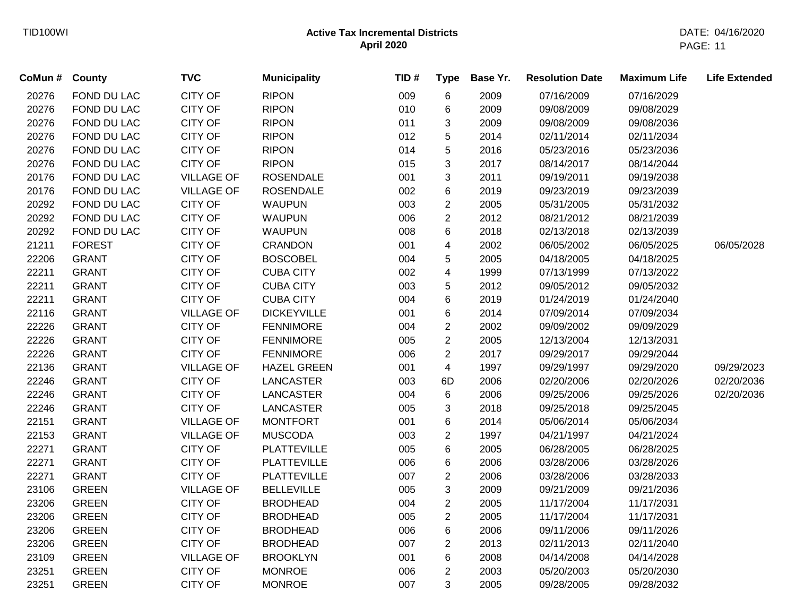| CoMun # | County        | <b>TVC</b>        | <b>Municipality</b> | TID# | <b>Type</b>             | Base Yr. | <b>Resolution Date</b> | <b>Maximum Life</b> | <b>Life Extended</b> |
|---------|---------------|-------------------|---------------------|------|-------------------------|----------|------------------------|---------------------|----------------------|
| 20276   | FOND DU LAC   | <b>CITY OF</b>    | <b>RIPON</b>        | 009  | 6                       | 2009     | 07/16/2009             | 07/16/2029          |                      |
| 20276   | FOND DU LAC   | <b>CITY OF</b>    | <b>RIPON</b>        | 010  | 6                       | 2009     | 09/08/2009             | 09/08/2029          |                      |
| 20276   | FOND DU LAC   | <b>CITY OF</b>    | <b>RIPON</b>        | 011  | 3                       | 2009     | 09/08/2009             | 09/08/2036          |                      |
| 20276   | FOND DU LAC   | <b>CITY OF</b>    | <b>RIPON</b>        | 012  | 5                       | 2014     | 02/11/2014             | 02/11/2034          |                      |
| 20276   | FOND DU LAC   | <b>CITY OF</b>    | <b>RIPON</b>        | 014  | 5                       | 2016     | 05/23/2016             | 05/23/2036          |                      |
| 20276   | FOND DU LAC   | <b>CITY OF</b>    | <b>RIPON</b>        | 015  | 3                       | 2017     | 08/14/2017             | 08/14/2044          |                      |
| 20176   | FOND DU LAC   | <b>VILLAGE OF</b> | <b>ROSENDALE</b>    | 001  | 3                       | 2011     | 09/19/2011             | 09/19/2038          |                      |
| 20176   | FOND DU LAC   | <b>VILLAGE OF</b> | <b>ROSENDALE</b>    | 002  | 6                       | 2019     | 09/23/2019             | 09/23/2039          |                      |
| 20292   | FOND DU LAC   | <b>CITY OF</b>    | <b>WAUPUN</b>       | 003  | $\overline{2}$          | 2005     | 05/31/2005             | 05/31/2032          |                      |
| 20292   | FOND DU LAC   | <b>CITY OF</b>    | <b>WAUPUN</b>       | 006  | $\overline{2}$          | 2012     | 08/21/2012             | 08/21/2039          |                      |
| 20292   | FOND DU LAC   | <b>CITY OF</b>    | <b>WAUPUN</b>       | 008  | 6                       | 2018     | 02/13/2018             | 02/13/2039          |                      |
| 21211   | <b>FOREST</b> | <b>CITY OF</b>    | <b>CRANDON</b>      | 001  | 4                       | 2002     | 06/05/2002             | 06/05/2025          | 06/05/2028           |
| 22206   | <b>GRANT</b>  | <b>CITY OF</b>    | <b>BOSCOBEL</b>     | 004  | 5                       | 2005     | 04/18/2005             | 04/18/2025          |                      |
| 22211   | <b>GRANT</b>  | <b>CITY OF</b>    | <b>CUBA CITY</b>    | 002  | $\overline{\mathbf{4}}$ | 1999     | 07/13/1999             | 07/13/2022          |                      |
| 22211   | <b>GRANT</b>  | <b>CITY OF</b>    | <b>CUBA CITY</b>    | 003  | 5                       | 2012     | 09/05/2012             | 09/05/2032          |                      |
| 22211   | <b>GRANT</b>  | <b>CITY OF</b>    | <b>CUBA CITY</b>    | 004  | 6                       | 2019     | 01/24/2019             | 01/24/2040          |                      |
| 22116   | <b>GRANT</b>  | <b>VILLAGE OF</b> | <b>DICKEYVILLE</b>  | 001  | 6                       | 2014     | 07/09/2014             | 07/09/2034          |                      |
| 22226   | <b>GRANT</b>  | <b>CITY OF</b>    | <b>FENNIMORE</b>    | 004  | $\overline{2}$          | 2002     | 09/09/2002             | 09/09/2029          |                      |
| 22226   | <b>GRANT</b>  | <b>CITY OF</b>    | <b>FENNIMORE</b>    | 005  | $\overline{2}$          | 2005     | 12/13/2004             | 12/13/2031          |                      |
| 22226   | <b>GRANT</b>  | <b>CITY OF</b>    | <b>FENNIMORE</b>    | 006  | $\overline{2}$          | 2017     | 09/29/2017             | 09/29/2044          |                      |
| 22136   | <b>GRANT</b>  | <b>VILLAGE OF</b> | <b>HAZEL GREEN</b>  | 001  | 4                       | 1997     | 09/29/1997             | 09/29/2020          | 09/29/2023           |
| 22246   | <b>GRANT</b>  | <b>CITY OF</b>    | <b>LANCASTER</b>    | 003  | 6D                      | 2006     | 02/20/2006             | 02/20/2026          | 02/20/2036           |
| 22246   | <b>GRANT</b>  | <b>CITY OF</b>    | <b>LANCASTER</b>    | 004  | 6                       | 2006     | 09/25/2006             | 09/25/2026          | 02/20/2036           |
| 22246   | <b>GRANT</b>  | <b>CITY OF</b>    | <b>LANCASTER</b>    | 005  | 3                       | 2018     | 09/25/2018             | 09/25/2045          |                      |
| 22151   | <b>GRANT</b>  | <b>VILLAGE OF</b> | <b>MONTFORT</b>     | 001  | 6                       | 2014     | 05/06/2014             | 05/06/2034          |                      |
| 22153   | <b>GRANT</b>  | <b>VILLAGE OF</b> | <b>MUSCODA</b>      | 003  | $\overline{2}$          | 1997     | 04/21/1997             | 04/21/2024          |                      |
| 22271   | <b>GRANT</b>  | <b>CITY OF</b>    | <b>PLATTEVILLE</b>  | 005  | 6                       | 2005     | 06/28/2005             | 06/28/2025          |                      |
| 22271   | <b>GRANT</b>  | <b>CITY OF</b>    | <b>PLATTEVILLE</b>  | 006  | 6                       | 2006     | 03/28/2006             | 03/28/2026          |                      |
| 22271   | <b>GRANT</b>  | <b>CITY OF</b>    | <b>PLATTEVILLE</b>  | 007  | $\overline{2}$          | 2006     | 03/28/2006             | 03/28/2033          |                      |
| 23106   | <b>GREEN</b>  | <b>VILLAGE OF</b> | <b>BELLEVILLE</b>   | 005  | 3                       | 2009     | 09/21/2009             | 09/21/2036          |                      |
| 23206   | <b>GREEN</b>  | <b>CITY OF</b>    | <b>BRODHEAD</b>     | 004  | $\overline{2}$          | 2005     | 11/17/2004             | 11/17/2031          |                      |
| 23206   | <b>GREEN</b>  | <b>CITY OF</b>    | <b>BRODHEAD</b>     | 005  | $\overline{2}$          | 2005     | 11/17/2004             | 11/17/2031          |                      |
| 23206   | <b>GREEN</b>  | <b>CITY OF</b>    | <b>BRODHEAD</b>     | 006  | 6                       | 2006     | 09/11/2006             | 09/11/2026          |                      |
| 23206   | <b>GREEN</b>  | <b>CITY OF</b>    | <b>BRODHEAD</b>     | 007  | $\overline{2}$          | 2013     | 02/11/2013             | 02/11/2040          |                      |
| 23109   | <b>GREEN</b>  | <b>VILLAGE OF</b> | <b>BROOKLYN</b>     | 001  | 6                       | 2008     | 04/14/2008             | 04/14/2028          |                      |
| 23251   | <b>GREEN</b>  | <b>CITY OF</b>    | <b>MONROE</b>       | 006  | $\overline{2}$          | 2003     | 05/20/2003             | 05/20/2030          |                      |
| 23251   | <b>GREEN</b>  | <b>CITY OF</b>    | <b>MONROE</b>       | 007  | 3                       | 2005     | 09/28/2005             | 09/28/2032          |                      |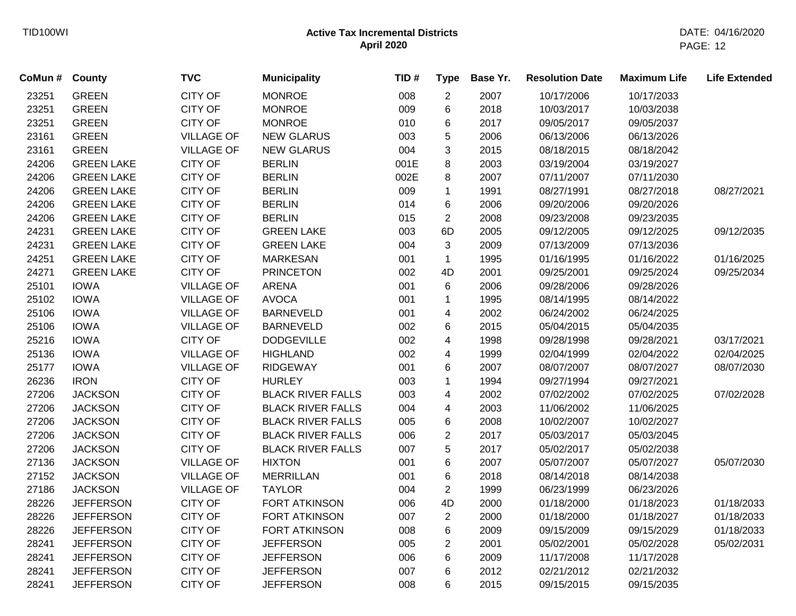| CoMun # | <b>County</b>     | <b>TVC</b>        | <b>Municipality</b>      | TID# | <b>Type</b>    | Base Yr. | <b>Resolution Date</b> | <b>Maximum Life</b> | <b>Life Extended</b> |
|---------|-------------------|-------------------|--------------------------|------|----------------|----------|------------------------|---------------------|----------------------|
| 23251   | <b>GREEN</b>      | <b>CITY OF</b>    | <b>MONROE</b>            | 008  | $\overline{2}$ | 2007     | 10/17/2006             | 10/17/2033          |                      |
| 23251   | <b>GREEN</b>      | <b>CITY OF</b>    | <b>MONROE</b>            | 009  | 6              | 2018     | 10/03/2017             | 10/03/2038          |                      |
| 23251   | <b>GREEN</b>      | <b>CITY OF</b>    | <b>MONROE</b>            | 010  | 6              | 2017     | 09/05/2017             | 09/05/2037          |                      |
| 23161   | <b>GREEN</b>      | <b>VILLAGE OF</b> | <b>NEW GLARUS</b>        | 003  | 5              | 2006     | 06/13/2006             | 06/13/2026          |                      |
| 23161   | <b>GREEN</b>      | <b>VILLAGE OF</b> | <b>NEW GLARUS</b>        | 004  | 3              | 2015     | 08/18/2015             | 08/18/2042          |                      |
| 24206   | <b>GREEN LAKE</b> | <b>CITY OF</b>    | <b>BERLIN</b>            | 001E | 8              | 2003     | 03/19/2004             | 03/19/2027          |                      |
| 24206   | <b>GREEN LAKE</b> | <b>CITY OF</b>    | <b>BERLIN</b>            | 002E | 8              | 2007     | 07/11/2007             | 07/11/2030          |                      |
| 24206   | <b>GREEN LAKE</b> | <b>CITY OF</b>    | <b>BERLIN</b>            | 009  | $\mathbf{1}$   | 1991     | 08/27/1991             | 08/27/2018          | 08/27/2021           |
| 24206   | <b>GREEN LAKE</b> | <b>CITY OF</b>    | <b>BERLIN</b>            | 014  | 6              | 2006     | 09/20/2006             | 09/20/2026          |                      |
| 24206   | <b>GREEN LAKE</b> | <b>CITY OF</b>    | <b>BERLIN</b>            | 015  | $\overline{2}$ | 2008     | 09/23/2008             | 09/23/2035          |                      |
| 24231   | <b>GREEN LAKE</b> | <b>CITY OF</b>    | <b>GREEN LAKE</b>        | 003  | 6D             | 2005     | 09/12/2005             | 09/12/2025          | 09/12/2035           |
| 24231   | <b>GREEN LAKE</b> | <b>CITY OF</b>    | <b>GREEN LAKE</b>        | 004  | 3              | 2009     | 07/13/2009             | 07/13/2036          |                      |
| 24251   | <b>GREEN LAKE</b> | <b>CITY OF</b>    | <b>MARKESAN</b>          | 001  | $\mathbf{1}$   | 1995     | 01/16/1995             | 01/16/2022          | 01/16/2025           |
| 24271   | <b>GREEN LAKE</b> | <b>CITY OF</b>    | <b>PRINCETON</b>         | 002  | 4D             | 2001     | 09/25/2001             | 09/25/2024          | 09/25/2034           |
| 25101   | <b>IOWA</b>       | <b>VILLAGE OF</b> | <b>ARENA</b>             | 001  | 6              | 2006     | 09/28/2006             | 09/28/2026          |                      |
| 25102   | <b>IOWA</b>       | <b>VILLAGE OF</b> | <b>AVOCA</b>             | 001  | 1              | 1995     | 08/14/1995             | 08/14/2022          |                      |
| 25106   | <b>IOWA</b>       | <b>VILLAGE OF</b> | <b>BARNEVELD</b>         | 001  | 4              | 2002     | 06/24/2002             | 06/24/2025          |                      |
| 25106   | <b>IOWA</b>       | <b>VILLAGE OF</b> | <b>BARNEVELD</b>         | 002  | 6              | 2015     | 05/04/2015             | 05/04/2035          |                      |
| 25216   | <b>IOWA</b>       | <b>CITY OF</b>    | <b>DODGEVILLE</b>        | 002  | 4              | 1998     | 09/28/1998             | 09/28/2021          | 03/17/2021           |
| 25136   | <b>IOWA</b>       | <b>VILLAGE OF</b> | <b>HIGHLAND</b>          | 002  | 4              | 1999     | 02/04/1999             | 02/04/2022          | 02/04/2025           |
| 25177   | <b>IOWA</b>       | <b>VILLAGE OF</b> | <b>RIDGEWAY</b>          | 001  | 6              | 2007     | 08/07/2007             | 08/07/2027          | 08/07/2030           |
| 26236   | <b>IRON</b>       | <b>CITY OF</b>    | <b>HURLEY</b>            | 003  | 1              | 1994     | 09/27/1994             | 09/27/2021          |                      |
| 27206   | <b>JACKSON</b>    | <b>CITY OF</b>    | <b>BLACK RIVER FALLS</b> | 003  | 4              | 2002     | 07/02/2002             | 07/02/2025          | 07/02/2028           |
| 27206   | <b>JACKSON</b>    | <b>CITY OF</b>    | <b>BLACK RIVER FALLS</b> | 004  | 4              | 2003     | 11/06/2002             | 11/06/2025          |                      |
| 27206   | <b>JACKSON</b>    | <b>CITY OF</b>    | <b>BLACK RIVER FALLS</b> | 005  | 6              | 2008     | 10/02/2007             | 10/02/2027          |                      |
| 27206   | <b>JACKSON</b>    | <b>CITY OF</b>    | <b>BLACK RIVER FALLS</b> | 006  | $\overline{2}$ | 2017     | 05/03/2017             | 05/03/2045          |                      |
| 27206   | <b>JACKSON</b>    | <b>CITY OF</b>    | <b>BLACK RIVER FALLS</b> | 007  | 5              | 2017     | 05/02/2017             | 05/02/2038          |                      |
| 27136   | <b>JACKSON</b>    | <b>VILLAGE OF</b> | <b>HIXTON</b>            | 001  | 6              | 2007     | 05/07/2007             | 05/07/2027          | 05/07/2030           |
| 27152   | <b>JACKSON</b>    | <b>VILLAGE OF</b> | <b>MERRILLAN</b>         | 001  | 6              | 2018     | 08/14/2018             | 08/14/2038          |                      |
| 27186   | <b>JACKSON</b>    | <b>VILLAGE OF</b> | <b>TAYLOR</b>            | 004  | $\overline{2}$ | 1999     | 06/23/1999             | 06/23/2026          |                      |
| 28226   | <b>JEFFERSON</b>  | <b>CITY OF</b>    | FORT ATKINSON            | 006  | 4D             | 2000     | 01/18/2000             | 01/18/2023          | 01/18/2033           |
| 28226   | <b>JEFFERSON</b>  | <b>CITY OF</b>    | <b>FORT ATKINSON</b>     | 007  | $\overline{2}$ | 2000     | 01/18/2000             | 01/18/2027          | 01/18/2033           |
| 28226   | <b>JEFFERSON</b>  | <b>CITY OF</b>    | <b>FORT ATKINSON</b>     | 008  | 6              | 2009     | 09/15/2009             | 09/15/2029          | 01/18/2033           |
| 28241   | <b>JEFFERSON</b>  | <b>CITY OF</b>    | <b>JEFFERSON</b>         | 005  | $\overline{2}$ | 2001     | 05/02/2001             | 05/02/2028          | 05/02/2031           |
| 28241   | <b>JEFFERSON</b>  | <b>CITY OF</b>    | <b>JEFFERSON</b>         | 006  | 6              | 2009     | 11/17/2008             | 11/17/2028          |                      |
| 28241   | <b>JEFFERSON</b>  | <b>CITY OF</b>    | <b>JEFFERSON</b>         | 007  | 6              | 2012     | 02/21/2012             | 02/21/2032          |                      |
| 28241   | <b>JEFFERSON</b>  | <b>CITY OF</b>    | <b>JEFFERSON</b>         | 008  | 6              | 2015     | 09/15/2015             | 09/15/2035          |                      |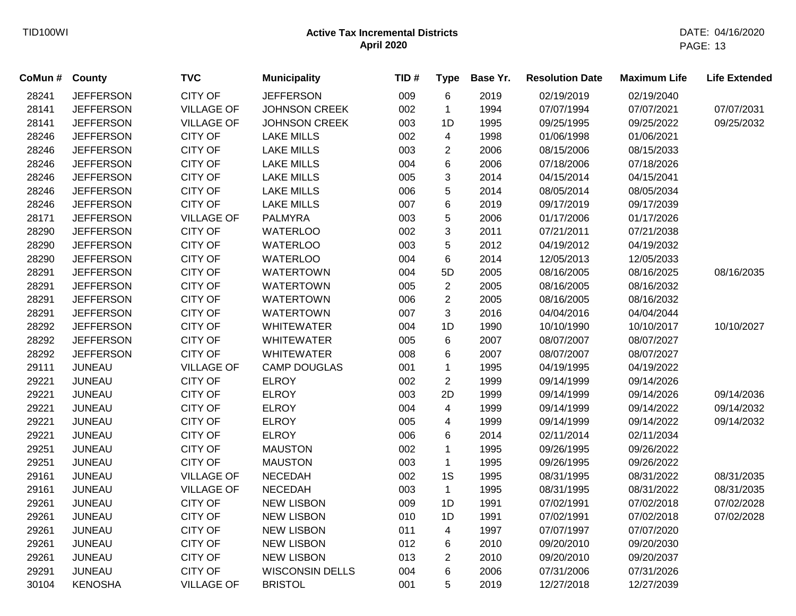| CoMun # | <b>County</b>    | <b>TVC</b>        | <b>Municipality</b>    | TID# | <b>Type</b>    | Base Yr. | <b>Resolution Date</b> | <b>Maximum Life</b> | <b>Life Extended</b> |
|---------|------------------|-------------------|------------------------|------|----------------|----------|------------------------|---------------------|----------------------|
| 28241   | <b>JEFFERSON</b> | <b>CITY OF</b>    | <b>JEFFERSON</b>       | 009  | 6              | 2019     | 02/19/2019             | 02/19/2040          |                      |
| 28141   | <b>JEFFERSON</b> | <b>VILLAGE OF</b> | <b>JOHNSON CREEK</b>   | 002  | $\mathbf 1$    | 1994     | 07/07/1994             | 07/07/2021          | 07/07/2031           |
| 28141   | <b>JEFFERSON</b> | <b>VILLAGE OF</b> | <b>JOHNSON CREEK</b>   | 003  | 1D             | 1995     | 09/25/1995             | 09/25/2022          | 09/25/2032           |
| 28246   | <b>JEFFERSON</b> | <b>CITY OF</b>    | <b>LAKE MILLS</b>      | 002  | 4              | 1998     | 01/06/1998             | 01/06/2021          |                      |
| 28246   | <b>JEFFERSON</b> | <b>CITY OF</b>    | <b>LAKE MILLS</b>      | 003  | $\overline{2}$ | 2006     | 08/15/2006             | 08/15/2033          |                      |
| 28246   | <b>JEFFERSON</b> | CITY OF           | <b>LAKE MILLS</b>      | 004  | 6              | 2006     | 07/18/2006             | 07/18/2026          |                      |
| 28246   | <b>JEFFERSON</b> | <b>CITY OF</b>    | <b>LAKE MILLS</b>      | 005  | 3              | 2014     | 04/15/2014             | 04/15/2041          |                      |
| 28246   | <b>JEFFERSON</b> | <b>CITY OF</b>    | <b>LAKE MILLS</b>      | 006  | 5              | 2014     | 08/05/2014             | 08/05/2034          |                      |
| 28246   | <b>JEFFERSON</b> | CITY OF           | <b>LAKE MILLS</b>      | 007  | 6              | 2019     | 09/17/2019             | 09/17/2039          |                      |
| 28171   | <b>JEFFERSON</b> | <b>VILLAGE OF</b> | <b>PALMYRA</b>         | 003  | 5              | 2006     | 01/17/2006             | 01/17/2026          |                      |
| 28290   | <b>JEFFERSON</b> | <b>CITY OF</b>    | <b>WATERLOO</b>        | 002  | 3              | 2011     | 07/21/2011             | 07/21/2038          |                      |
| 28290   | <b>JEFFERSON</b> | <b>CITY OF</b>    | <b>WATERLOO</b>        | 003  | 5              | 2012     | 04/19/2012             | 04/19/2032          |                      |
| 28290   | <b>JEFFERSON</b> | <b>CITY OF</b>    | <b>WATERLOO</b>        | 004  | 6              | 2014     | 12/05/2013             | 12/05/2033          |                      |
| 28291   | <b>JEFFERSON</b> | <b>CITY OF</b>    | <b>WATERTOWN</b>       | 004  | 5D             | 2005     | 08/16/2005             | 08/16/2025          | 08/16/2035           |
| 28291   | <b>JEFFERSON</b> | <b>CITY OF</b>    | <b>WATERTOWN</b>       | 005  | $\overline{2}$ | 2005     | 08/16/2005             | 08/16/2032          |                      |
| 28291   | <b>JEFFERSON</b> | <b>CITY OF</b>    | <b>WATERTOWN</b>       | 006  | $\overline{2}$ | 2005     | 08/16/2005             | 08/16/2032          |                      |
| 28291   | <b>JEFFERSON</b> | <b>CITY OF</b>    | <b>WATERTOWN</b>       | 007  | 3              | 2016     | 04/04/2016             | 04/04/2044          |                      |
| 28292   | <b>JEFFERSON</b> | <b>CITY OF</b>    | <b>WHITEWATER</b>      | 004  | 1D             | 1990     | 10/10/1990             | 10/10/2017          | 10/10/2027           |
| 28292   | <b>JEFFERSON</b> | <b>CITY OF</b>    | <b>WHITEWATER</b>      | 005  | 6              | 2007     | 08/07/2007             | 08/07/2027          |                      |
| 28292   | <b>JEFFERSON</b> | <b>CITY OF</b>    | <b>WHITEWATER</b>      | 008  | 6              | 2007     | 08/07/2007             | 08/07/2027          |                      |
| 29111   | <b>JUNEAU</b>    | <b>VILLAGE OF</b> | <b>CAMP DOUGLAS</b>    | 001  | $\mathbf{1}$   | 1995     | 04/19/1995             | 04/19/2022          |                      |
| 29221   | <b>JUNEAU</b>    | <b>CITY OF</b>    | <b>ELROY</b>           | 002  | $\overline{2}$ | 1999     | 09/14/1999             | 09/14/2026          |                      |
| 29221   | <b>JUNEAU</b>    | <b>CITY OF</b>    | <b>ELROY</b>           | 003  | 2D             | 1999     | 09/14/1999             | 09/14/2026          | 09/14/2036           |
| 29221   | <b>JUNEAU</b>    | <b>CITY OF</b>    | <b>ELROY</b>           | 004  | $\overline{4}$ | 1999     | 09/14/1999             | 09/14/2022          | 09/14/2032           |
| 29221   | <b>JUNEAU</b>    | <b>CITY OF</b>    | <b>ELROY</b>           | 005  | 4              | 1999     | 09/14/1999             | 09/14/2022          | 09/14/2032           |
| 29221   | <b>JUNEAU</b>    | <b>CITY OF</b>    | <b>ELROY</b>           | 006  | 6              | 2014     | 02/11/2014             | 02/11/2034          |                      |
| 29251   | <b>JUNEAU</b>    | <b>CITY OF</b>    | <b>MAUSTON</b>         | 002  | $\mathbf{1}$   | 1995     | 09/26/1995             | 09/26/2022          |                      |
| 29251   | <b>JUNEAU</b>    | <b>CITY OF</b>    | <b>MAUSTON</b>         | 003  | $\mathbf{1}$   | 1995     | 09/26/1995             | 09/26/2022          |                      |
| 29161   | <b>JUNEAU</b>    | <b>VILLAGE OF</b> | <b>NECEDAH</b>         | 002  | 1S             | 1995     | 08/31/1995             | 08/31/2022          | 08/31/2035           |
| 29161   | <b>JUNEAU</b>    | <b>VILLAGE OF</b> | <b>NECEDAH</b>         | 003  | $\mathbf{1}$   | 1995     | 08/31/1995             | 08/31/2022          | 08/31/2035           |
| 29261   | <b>JUNEAU</b>    | <b>CITY OF</b>    | <b>NEW LISBON</b>      | 009  | 1D             | 1991     | 07/02/1991             | 07/02/2018          | 07/02/2028           |
| 29261   | <b>JUNEAU</b>    | CITY OF           | <b>NEW LISBON</b>      | 010  | 1D             | 1991     | 07/02/1991             | 07/02/2018          | 07/02/2028           |
| 29261   | <b>JUNEAU</b>    | <b>CITY OF</b>    | <b>NEW LISBON</b>      | 011  | 4              | 1997     | 07/07/1997             | 07/07/2020          |                      |
| 29261   | <b>JUNEAU</b>    | <b>CITY OF</b>    | <b>NEW LISBON</b>      | 012  | 6              | 2010     | 09/20/2010             | 09/20/2030          |                      |
| 29261   | <b>JUNEAU</b>    | <b>CITY OF</b>    | <b>NEW LISBON</b>      | 013  | $\overline{2}$ | 2010     | 09/20/2010             | 09/20/2037          |                      |
| 29291   | <b>JUNEAU</b>    | <b>CITY OF</b>    | <b>WISCONSIN DELLS</b> | 004  | 6              | 2006     | 07/31/2006             | 07/31/2026          |                      |
| 30104   | <b>KENOSHA</b>   | <b>VILLAGE OF</b> | <b>BRISTOL</b>         | 001  | 5              | 2019     | 12/27/2018             | 12/27/2039          |                      |
|         |                  |                   |                        |      |                |          |                        |                     |                      |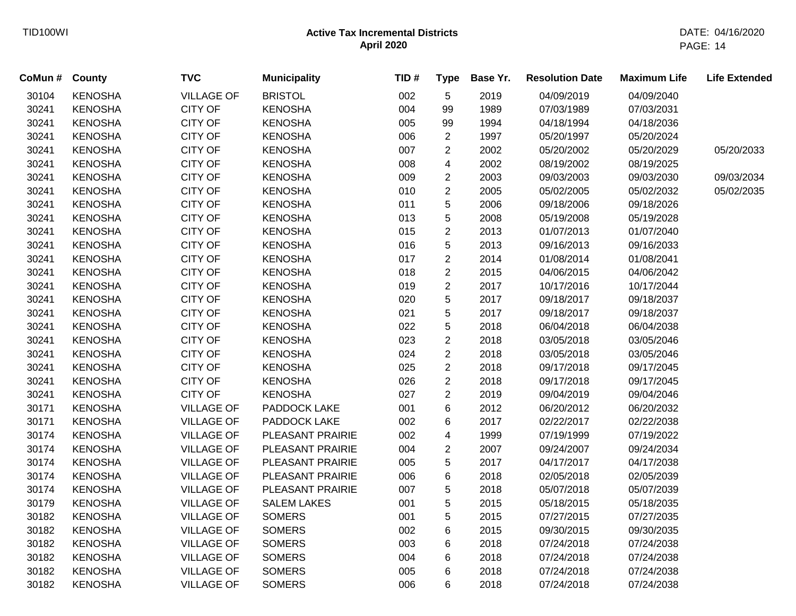| CoMun # County |                | <b>TVC</b>        | <b>Municipality</b> | TID# | <b>Type</b>    | Base Yr. | <b>Resolution Date</b> | <b>Maximum Life</b> | <b>Life Extended</b> |
|----------------|----------------|-------------------|---------------------|------|----------------|----------|------------------------|---------------------|----------------------|
| 30104          | <b>KENOSHA</b> | <b>VILLAGE OF</b> | <b>BRISTOL</b>      | 002  | $\sqrt{5}$     | 2019     | 04/09/2019             | 04/09/2040          |                      |
| 30241          | <b>KENOSHA</b> | <b>CITY OF</b>    | <b>KENOSHA</b>      | 004  | 99             | 1989     | 07/03/1989             | 07/03/2031          |                      |
| 30241          | <b>KENOSHA</b> | CITY OF           | <b>KENOSHA</b>      | 005  | 99             | 1994     | 04/18/1994             | 04/18/2036          |                      |
| 30241          | <b>KENOSHA</b> | <b>CITY OF</b>    | <b>KENOSHA</b>      | 006  | $\overline{2}$ | 1997     | 05/20/1997             | 05/20/2024          |                      |
| 30241          | <b>KENOSHA</b> | <b>CITY OF</b>    | <b>KENOSHA</b>      | 007  | $\overline{2}$ | 2002     | 05/20/2002             | 05/20/2029          | 05/20/2033           |
| 30241          | <b>KENOSHA</b> | <b>CITY OF</b>    | <b>KENOSHA</b>      | 008  | 4              | 2002     | 08/19/2002             | 08/19/2025          |                      |
| 30241          | <b>KENOSHA</b> | <b>CITY OF</b>    | <b>KENOSHA</b>      | 009  | $\overline{2}$ | 2003     | 09/03/2003             | 09/03/2030          | 09/03/2034           |
| 30241          | <b>KENOSHA</b> | <b>CITY OF</b>    | <b>KENOSHA</b>      | 010  | $\overline{2}$ | 2005     | 05/02/2005             | 05/02/2032          | 05/02/2035           |
| 30241          | <b>KENOSHA</b> | <b>CITY OF</b>    | <b>KENOSHA</b>      | 011  | 5              | 2006     | 09/18/2006             | 09/18/2026          |                      |
| 30241          | <b>KENOSHA</b> | <b>CITY OF</b>    | <b>KENOSHA</b>      | 013  | 5              | 2008     | 05/19/2008             | 05/19/2028          |                      |
| 30241          | <b>KENOSHA</b> | <b>CITY OF</b>    | <b>KENOSHA</b>      | 015  | $\overline{2}$ | 2013     | 01/07/2013             | 01/07/2040          |                      |
| 30241          | <b>KENOSHA</b> | <b>CITY OF</b>    | <b>KENOSHA</b>      | 016  | $\sqrt{5}$     | 2013     | 09/16/2013             | 09/16/2033          |                      |
| 30241          | <b>KENOSHA</b> | <b>CITY OF</b>    | <b>KENOSHA</b>      | 017  | $\overline{2}$ | 2014     | 01/08/2014             | 01/08/2041          |                      |
| 30241          | <b>KENOSHA</b> | <b>CITY OF</b>    | <b>KENOSHA</b>      | 018  | $\sqrt{2}$     | 2015     | 04/06/2015             | 04/06/2042          |                      |
| 30241          | <b>KENOSHA</b> | <b>CITY OF</b>    | <b>KENOSHA</b>      | 019  | $\overline{2}$ | 2017     | 10/17/2016             | 10/17/2044          |                      |
| 30241          | <b>KENOSHA</b> | <b>CITY OF</b>    | <b>KENOSHA</b>      | 020  | 5              | 2017     | 09/18/2017             | 09/18/2037          |                      |
| 30241          | <b>KENOSHA</b> | <b>CITY OF</b>    | <b>KENOSHA</b>      | 021  | 5              | 2017     | 09/18/2017             | 09/18/2037          |                      |
| 30241          | <b>KENOSHA</b> | CITY OF           | <b>KENOSHA</b>      | 022  | 5              | 2018     | 06/04/2018             | 06/04/2038          |                      |
| 30241          | <b>KENOSHA</b> | <b>CITY OF</b>    | <b>KENOSHA</b>      | 023  | $\overline{2}$ | 2018     | 03/05/2018             | 03/05/2046          |                      |
| 30241          | <b>KENOSHA</b> | <b>CITY OF</b>    | <b>KENOSHA</b>      | 024  | $\overline{2}$ | 2018     | 03/05/2018             | 03/05/2046          |                      |
| 30241          | <b>KENOSHA</b> | <b>CITY OF</b>    | <b>KENOSHA</b>      | 025  | $\overline{2}$ | 2018     | 09/17/2018             | 09/17/2045          |                      |
| 30241          | <b>KENOSHA</b> | CITY OF           | <b>KENOSHA</b>      | 026  | $\overline{c}$ | 2018     | 09/17/2018             | 09/17/2045          |                      |
| 30241          | <b>KENOSHA</b> | <b>CITY OF</b>    | <b>KENOSHA</b>      | 027  | $\overline{c}$ | 2019     | 09/04/2019             | 09/04/2046          |                      |
| 30171          | <b>KENOSHA</b> | <b>VILLAGE OF</b> | PADDOCK LAKE        | 001  | 6              | 2012     | 06/20/2012             | 06/20/2032          |                      |
| 30171          | <b>KENOSHA</b> | <b>VILLAGE OF</b> | PADDOCK LAKE        | 002  | 6              | 2017     | 02/22/2017             | 02/22/2038          |                      |
| 30174          | <b>KENOSHA</b> | <b>VILLAGE OF</b> | PLEASANT PRAIRIE    | 002  | 4              | 1999     | 07/19/1999             | 07/19/2022          |                      |
| 30174          | <b>KENOSHA</b> | <b>VILLAGE OF</b> | PLEASANT PRAIRIE    | 004  | $\sqrt{2}$     | 2007     | 09/24/2007             | 09/24/2034          |                      |
| 30174          | <b>KENOSHA</b> | <b>VILLAGE OF</b> | PLEASANT PRAIRIE    | 005  | 5              | 2017     | 04/17/2017             | 04/17/2038          |                      |
| 30174          | <b>KENOSHA</b> | <b>VILLAGE OF</b> | PLEASANT PRAIRIE    | 006  | 6              | 2018     | 02/05/2018             | 02/05/2039          |                      |
| 30174          | <b>KENOSHA</b> | <b>VILLAGE OF</b> | PLEASANT PRAIRIE    | 007  | 5              | 2018     | 05/07/2018             | 05/07/2039          |                      |
| 30179          | <b>KENOSHA</b> | <b>VILLAGE OF</b> | <b>SALEM LAKES</b>  | 001  | 5              | 2015     | 05/18/2015             | 05/18/2035          |                      |
| 30182          | <b>KENOSHA</b> | <b>VILLAGE OF</b> | <b>SOMERS</b>       | 001  | 5              | 2015     | 07/27/2015             | 07/27/2035          |                      |
| 30182          | <b>KENOSHA</b> | <b>VILLAGE OF</b> | <b>SOMERS</b>       | 002  | $\,6$          | 2015     | 09/30/2015             | 09/30/2035          |                      |
| 30182          | <b>KENOSHA</b> | <b>VILLAGE OF</b> | <b>SOMERS</b>       | 003  | 6              | 2018     | 07/24/2018             | 07/24/2038          |                      |
| 30182          | <b>KENOSHA</b> | <b>VILLAGE OF</b> | <b>SOMERS</b>       | 004  | 6              | 2018     | 07/24/2018             | 07/24/2038          |                      |
| 30182          | <b>KENOSHA</b> | <b>VILLAGE OF</b> | <b>SOMERS</b>       | 005  | 6              | 2018     | 07/24/2018             | 07/24/2038          |                      |
| 30182          | <b>KENOSHA</b> | <b>VILLAGE OF</b> | <b>SOMERS</b>       | 006  | 6              | 2018     | 07/24/2018             | 07/24/2038          |                      |
|                |                |                   |                     |      |                |          |                        |                     |                      |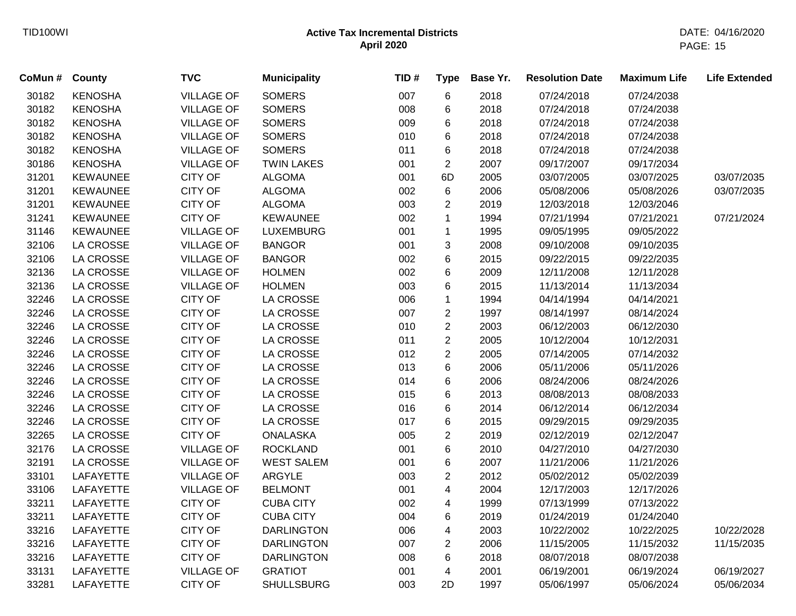| CoMun # | County           | <b>TVC</b>        | <b>Municipality</b> | TID# | <b>Type</b>    | Base Yr. | <b>Resolution Date</b> | <b>Maximum Life</b> | <b>Life Extended</b> |
|---------|------------------|-------------------|---------------------|------|----------------|----------|------------------------|---------------------|----------------------|
| 30182   | <b>KENOSHA</b>   | <b>VILLAGE OF</b> | <b>SOMERS</b>       | 007  | 6              | 2018     | 07/24/2018             | 07/24/2038          |                      |
| 30182   | <b>KENOSHA</b>   | <b>VILLAGE OF</b> | <b>SOMERS</b>       | 008  | 6              | 2018     | 07/24/2018             | 07/24/2038          |                      |
| 30182   | <b>KENOSHA</b>   | <b>VILLAGE OF</b> | <b>SOMERS</b>       | 009  | 6              | 2018     | 07/24/2018             | 07/24/2038          |                      |
| 30182   | <b>KENOSHA</b>   | <b>VILLAGE OF</b> | <b>SOMERS</b>       | 010  | 6              | 2018     | 07/24/2018             | 07/24/2038          |                      |
| 30182   | <b>KENOSHA</b>   | <b>VILLAGE OF</b> | <b>SOMERS</b>       | 011  | 6              | 2018     | 07/24/2018             | 07/24/2038          |                      |
| 30186   | <b>KENOSHA</b>   | <b>VILLAGE OF</b> | <b>TWIN LAKES</b>   | 001  | $\overline{2}$ | 2007     | 09/17/2007             | 09/17/2034          |                      |
| 31201   | <b>KEWAUNEE</b>  | <b>CITY OF</b>    | <b>ALGOMA</b>       | 001  | 6D             | 2005     | 03/07/2005             | 03/07/2025          | 03/07/2035           |
| 31201   | <b>KEWAUNEE</b>  | <b>CITY OF</b>    | <b>ALGOMA</b>       | 002  | 6              | 2006     | 05/08/2006             | 05/08/2026          | 03/07/2035           |
| 31201   | <b>KEWAUNEE</b>  | <b>CITY OF</b>    | <b>ALGOMA</b>       | 003  | $\overline{2}$ | 2019     | 12/03/2018             | 12/03/2046          |                      |
| 31241   | <b>KEWAUNEE</b>  | <b>CITY OF</b>    | <b>KEWAUNEE</b>     | 002  | $\mathbf{1}$   | 1994     | 07/21/1994             | 07/21/2021          | 07/21/2024           |
| 31146   | <b>KEWAUNEE</b>  | <b>VILLAGE OF</b> | <b>LUXEMBURG</b>    | 001  | $\mathbf{1}$   | 1995     | 09/05/1995             | 09/05/2022          |                      |
| 32106   | <b>LA CROSSE</b> | <b>VILLAGE OF</b> | <b>BANGOR</b>       | 001  | 3              | 2008     | 09/10/2008             | 09/10/2035          |                      |
| 32106   | LA CROSSE        | <b>VILLAGE OF</b> | <b>BANGOR</b>       | 002  | 6              | 2015     | 09/22/2015             | 09/22/2035          |                      |
| 32136   | LA CROSSE        | <b>VILLAGE OF</b> | <b>HOLMEN</b>       | 002  | 6              | 2009     | 12/11/2008             | 12/11/2028          |                      |
| 32136   | LA CROSSE        | <b>VILLAGE OF</b> | <b>HOLMEN</b>       | 003  | 6              | 2015     | 11/13/2014             | 11/13/2034          |                      |
| 32246   | <b>LA CROSSE</b> | <b>CITY OF</b>    | LA CROSSE           | 006  | $\mathbf{1}$   | 1994     | 04/14/1994             | 04/14/2021          |                      |
| 32246   | <b>LA CROSSE</b> | <b>CITY OF</b>    | LA CROSSE           | 007  | $\overline{c}$ | 1997     | 08/14/1997             | 08/14/2024          |                      |
| 32246   | LA CROSSE        | <b>CITY OF</b>    | <b>LA CROSSE</b>    | 010  | $\overline{2}$ | 2003     | 06/12/2003             | 06/12/2030          |                      |
| 32246   | <b>LA CROSSE</b> | CITY OF           | <b>LA CROSSE</b>    | 011  | $\overline{2}$ | 2005     | 10/12/2004             | 10/12/2031          |                      |
| 32246   | LA CROSSE        | <b>CITY OF</b>    | <b>LA CROSSE</b>    | 012  | $\overline{c}$ | 2005     | 07/14/2005             | 07/14/2032          |                      |
| 32246   | LA CROSSE        | CITY OF           | LA CROSSE           | 013  | 6              | 2006     | 05/11/2006             | 05/11/2026          |                      |
| 32246   | LA CROSSE        | CITY OF           | LA CROSSE           | 014  | 6              | 2006     | 08/24/2006             | 08/24/2026          |                      |
| 32246   | <b>LA CROSSE</b> | CITY OF           | LA CROSSE           | 015  | 6              | 2013     | 08/08/2013             | 08/08/2033          |                      |
| 32246   | LA CROSSE        | <b>CITY OF</b>    | LA CROSSE           | 016  | 6              | 2014     | 06/12/2014             | 06/12/2034          |                      |
| 32246   | <b>LA CROSSE</b> | <b>CITY OF</b>    | LA CROSSE           | 017  | 6              | 2015     | 09/29/2015             | 09/29/2035          |                      |
| 32265   | <b>LA CROSSE</b> | <b>CITY OF</b>    | <b>ONALASKA</b>     | 005  | $\overline{2}$ | 2019     | 02/12/2019             | 02/12/2047          |                      |
| 32176   | <b>LA CROSSE</b> | <b>VILLAGE OF</b> | <b>ROCKLAND</b>     | 001  | 6              | 2010     | 04/27/2010             | 04/27/2030          |                      |
| 32191   | <b>LA CROSSE</b> | <b>VILLAGE OF</b> | <b>WEST SALEM</b>   | 001  | 6              | 2007     | 11/21/2006             | 11/21/2026          |                      |
| 33101   | LAFAYETTE        | <b>VILLAGE OF</b> | ARGYLE              | 003  | $\overline{2}$ | 2012     | 05/02/2012             | 05/02/2039          |                      |
| 33106   | LAFAYETTE        | <b>VILLAGE OF</b> | <b>BELMONT</b>      | 001  | 4              | 2004     | 12/17/2003             | 12/17/2026          |                      |
| 33211   | <b>LAFAYETTE</b> | <b>CITY OF</b>    | <b>CUBA CITY</b>    | 002  | $\overline{4}$ | 1999     | 07/13/1999             | 07/13/2022          |                      |
| 33211   | <b>LAFAYETTE</b> | <b>CITY OF</b>    | <b>CUBA CITY</b>    | 004  | 6              | 2019     | 01/24/2019             | 01/24/2040          |                      |
| 33216   | <b>LAFAYETTE</b> | <b>CITY OF</b>    | <b>DARLINGTON</b>   | 006  | 4              | 2003     | 10/22/2002             | 10/22/2025          | 10/22/2028           |
| 33216   | LAFAYETTE        | <b>CITY OF</b>    | <b>DARLINGTON</b>   | 007  | $\overline{2}$ | 2006     | 11/15/2005             | 11/15/2032          | 11/15/2035           |
| 33216   | LAFAYETTE        | <b>CITY OF</b>    | <b>DARLINGTON</b>   | 008  | 6              | 2018     | 08/07/2018             | 08/07/2038          |                      |
| 33131   | LAFAYETTE        | <b>VILLAGE OF</b> | <b>GRATIOT</b>      | 001  | 4              | 2001     | 06/19/2001             | 06/19/2024          | 06/19/2027           |
| 33281   | <b>LAFAYETTE</b> | <b>CITY OF</b>    | <b>SHULLSBURG</b>   | 003  | 2D             | 1997     | 05/06/1997             | 05/06/2024          | 05/06/2034           |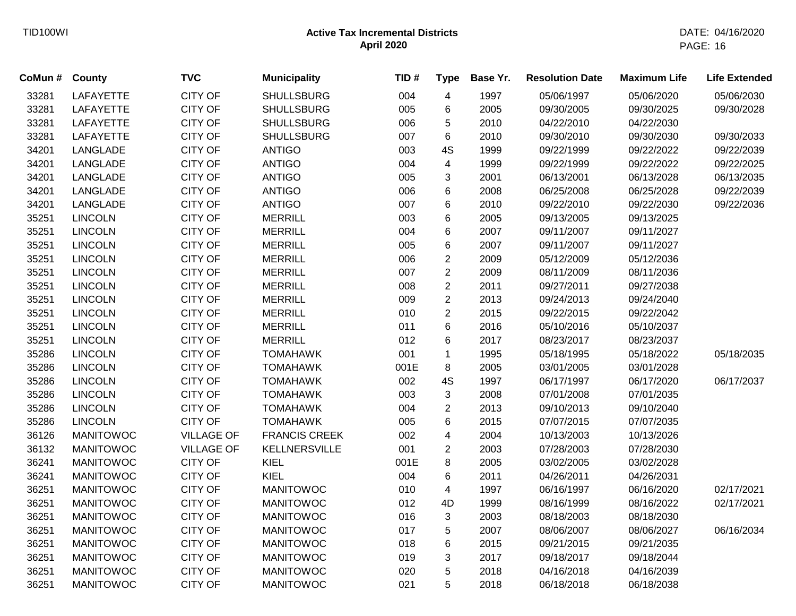| CoMun # | <b>County</b>    | <b>TVC</b>        | <b>Municipality</b>  | TID# | <b>Type</b>               | Base Yr. | <b>Resolution Date</b> | <b>Maximum Life</b> | <b>Life Extended</b> |
|---------|------------------|-------------------|----------------------|------|---------------------------|----------|------------------------|---------------------|----------------------|
| 33281   | LAFAYETTE        | <b>CITY OF</b>    | <b>SHULLSBURG</b>    | 004  | 4                         | 1997     | 05/06/1997             | 05/06/2020          | 05/06/2030           |
| 33281   | LAFAYETTE        | <b>CITY OF</b>    | <b>SHULLSBURG</b>    | 005  | 6                         | 2005     | 09/30/2005             | 09/30/2025          | 09/30/2028           |
| 33281   | LAFAYETTE        | <b>CITY OF</b>    | <b>SHULLSBURG</b>    | 006  | 5                         | 2010     | 04/22/2010             | 04/22/2030          |                      |
| 33281   | <b>LAFAYETTE</b> | <b>CITY OF</b>    | <b>SHULLSBURG</b>    | 007  | 6                         | 2010     | 09/30/2010             | 09/30/2030          | 09/30/2033           |
| 34201   | LANGLADE         | <b>CITY OF</b>    | <b>ANTIGO</b>        | 003  | 4S                        | 1999     | 09/22/1999             | 09/22/2022          | 09/22/2039           |
| 34201   | LANGLADE         | <b>CITY OF</b>    | <b>ANTIGO</b>        | 004  | 4                         | 1999     | 09/22/1999             | 09/22/2022          | 09/22/2025           |
| 34201   | LANGLADE         | <b>CITY OF</b>    | <b>ANTIGO</b>        | 005  | $\ensuremath{\mathsf{3}}$ | 2001     | 06/13/2001             | 06/13/2028          | 06/13/2035           |
| 34201   | LANGLADE         | <b>CITY OF</b>    | <b>ANTIGO</b>        | 006  | 6                         | 2008     | 06/25/2008             | 06/25/2028          | 09/22/2039           |
| 34201   | LANGLADE         | <b>CITY OF</b>    | <b>ANTIGO</b>        | 007  | 6                         | 2010     | 09/22/2010             | 09/22/2030          | 09/22/2036           |
| 35251   | <b>LINCOLN</b>   | <b>CITY OF</b>    | <b>MERRILL</b>       | 003  | 6                         | 2005     | 09/13/2005             | 09/13/2025          |                      |
| 35251   | <b>LINCOLN</b>   | <b>CITY OF</b>    | <b>MERRILL</b>       | 004  | 6                         | 2007     | 09/11/2007             | 09/11/2027          |                      |
| 35251   | <b>LINCOLN</b>   | <b>CITY OF</b>    | <b>MERRILL</b>       | 005  | $\,6$                     | 2007     | 09/11/2007             | 09/11/2027          |                      |
| 35251   | <b>LINCOLN</b>   | <b>CITY OF</b>    | <b>MERRILL</b>       | 006  | $\sqrt{2}$                | 2009     | 05/12/2009             | 05/12/2036          |                      |
| 35251   | <b>LINCOLN</b>   | <b>CITY OF</b>    | <b>MERRILL</b>       | 007  | $\sqrt{2}$                | 2009     | 08/11/2009             | 08/11/2036          |                      |
| 35251   | <b>LINCOLN</b>   | <b>CITY OF</b>    | <b>MERRILL</b>       | 008  | $\sqrt{2}$                | 2011     | 09/27/2011             | 09/27/2038          |                      |
| 35251   | <b>LINCOLN</b>   | <b>CITY OF</b>    | <b>MERRILL</b>       | 009  | $\overline{c}$            | 2013     | 09/24/2013             | 09/24/2040          |                      |
| 35251   | <b>LINCOLN</b>   | <b>CITY OF</b>    | <b>MERRILL</b>       | 010  | $\overline{c}$            | 2015     | 09/22/2015             | 09/22/2042          |                      |
| 35251   | <b>LINCOLN</b>   | <b>CITY OF</b>    | <b>MERRILL</b>       | 011  | 6                         | 2016     | 05/10/2016             | 05/10/2037          |                      |
| 35251   | <b>LINCOLN</b>   | <b>CITY OF</b>    | <b>MERRILL</b>       | 012  | 6                         | 2017     | 08/23/2017             | 08/23/2037          |                      |
| 35286   | <b>LINCOLN</b>   | <b>CITY OF</b>    | <b>TOMAHAWK</b>      | 001  | $\mathbf 1$               | 1995     | 05/18/1995             | 05/18/2022          | 05/18/2035           |
| 35286   | <b>LINCOLN</b>   | <b>CITY OF</b>    | <b>TOMAHAWK</b>      | 001E | 8                         | 2005     | 03/01/2005             | 03/01/2028          |                      |
| 35286   | <b>LINCOLN</b>   | <b>CITY OF</b>    | <b>TOMAHAWK</b>      | 002  | 4S                        | 1997     | 06/17/1997             | 06/17/2020          | 06/17/2037           |
| 35286   | <b>LINCOLN</b>   | <b>CITY OF</b>    | <b>TOMAHAWK</b>      | 003  | 3                         | 2008     | 07/01/2008             | 07/01/2035          |                      |
| 35286   | <b>LINCOLN</b>   | <b>CITY OF</b>    | <b>TOMAHAWK</b>      | 004  | $\overline{2}$            | 2013     | 09/10/2013             | 09/10/2040          |                      |
| 35286   | <b>LINCOLN</b>   | <b>CITY OF</b>    | <b>TOMAHAWK</b>      | 005  | 6                         | 2015     | 07/07/2015             | 07/07/2035          |                      |
| 36126   | <b>MANITOWOC</b> | <b>VILLAGE OF</b> | <b>FRANCIS CREEK</b> | 002  | 4                         | 2004     | 10/13/2003             | 10/13/2026          |                      |
| 36132   | <b>MANITOWOC</b> | <b>VILLAGE OF</b> | <b>KELLNERSVILLE</b> | 001  | $\overline{c}$            | 2003     | 07/28/2003             | 07/28/2030          |                      |
| 36241   | <b>MANITOWOC</b> | <b>CITY OF</b>    | KIEL                 | 001E | 8                         | 2005     | 03/02/2005             | 03/02/2028          |                      |
| 36241   | <b>MANITOWOC</b> | <b>CITY OF</b>    | <b>KIEL</b>          | 004  | 6                         | 2011     | 04/26/2011             | 04/26/2031          |                      |
| 36251   | <b>MANITOWOC</b> | <b>CITY OF</b>    | <b>MANITOWOC</b>     | 010  | $\overline{\mathbf{4}}$   | 1997     | 06/16/1997             | 06/16/2020          | 02/17/2021           |
| 36251   | <b>MANITOWOC</b> | <b>CITY OF</b>    | <b>MANITOWOC</b>     | 012  | 4D                        | 1999     | 08/16/1999             | 08/16/2022          | 02/17/2021           |
| 36251   | <b>MANITOWOC</b> | <b>CITY OF</b>    | <b>MANITOWOC</b>     | 016  | 3                         | 2003     | 08/18/2003             | 08/18/2030          |                      |
| 36251   | <b>MANITOWOC</b> | <b>CITY OF</b>    | <b>MANITOWOC</b>     | 017  | 5                         | 2007     | 08/06/2007             | 08/06/2027          | 06/16/2034           |
| 36251   | <b>MANITOWOC</b> | <b>CITY OF</b>    | <b>MANITOWOC</b>     | 018  | 6                         | 2015     | 09/21/2015             | 09/21/2035          |                      |
| 36251   | <b>MANITOWOC</b> | <b>CITY OF</b>    | <b>MANITOWOC</b>     | 019  | 3                         | 2017     | 09/18/2017             | 09/18/2044          |                      |
| 36251   | <b>MANITOWOC</b> | <b>CITY OF</b>    | <b>MANITOWOC</b>     | 020  | 5                         | 2018     | 04/16/2018             | 04/16/2039          |                      |
| 36251   | <b>MANITOWOC</b> | <b>CITY OF</b>    | <b>MANITOWOC</b>     | 021  | 5                         | 2018     | 06/18/2018             | 06/18/2038          |                      |
|         |                  |                   |                      |      |                           |          |                        |                     |                      |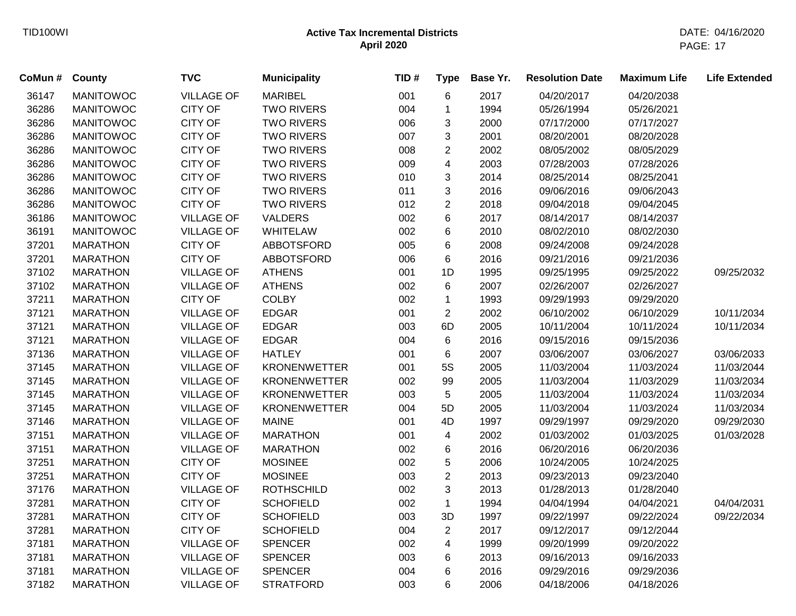| CoMun # | <b>County</b>    | <b>TVC</b>        | <b>Municipality</b> | TID# | <b>Type</b>    | Base Yr. | <b>Resolution Date</b> | <b>Maximum Life</b> | <b>Life Extended</b> |
|---------|------------------|-------------------|---------------------|------|----------------|----------|------------------------|---------------------|----------------------|
| 36147   | <b>MANITOWOC</b> | <b>VILLAGE OF</b> | <b>MARIBEL</b>      | 001  | 6              | 2017     | 04/20/2017             | 04/20/2038          |                      |
| 36286   | <b>MANITOWOC</b> | <b>CITY OF</b>    | <b>TWO RIVERS</b>   | 004  | 1              | 1994     | 05/26/1994             | 05/26/2021          |                      |
| 36286   | <b>MANITOWOC</b> | <b>CITY OF</b>    | <b>TWO RIVERS</b>   | 006  | 3              | 2000     | 07/17/2000             | 07/17/2027          |                      |
| 36286   | <b>MANITOWOC</b> | <b>CITY OF</b>    | <b>TWO RIVERS</b>   | 007  | 3              | 2001     | 08/20/2001             | 08/20/2028          |                      |
| 36286   | <b>MANITOWOC</b> | <b>CITY OF</b>    | <b>TWO RIVERS</b>   | 008  | $\overline{2}$ | 2002     | 08/05/2002             | 08/05/2029          |                      |
| 36286   | <b>MANITOWOC</b> | <b>CITY OF</b>    | <b>TWO RIVERS</b>   | 009  | 4              | 2003     | 07/28/2003             | 07/28/2026          |                      |
| 36286   | <b>MANITOWOC</b> | <b>CITY OF</b>    | <b>TWO RIVERS</b>   | 010  | 3              | 2014     | 08/25/2014             | 08/25/2041          |                      |
| 36286   | <b>MANITOWOC</b> | <b>CITY OF</b>    | <b>TWO RIVERS</b>   | 011  | 3              | 2016     | 09/06/2016             | 09/06/2043          |                      |
| 36286   | <b>MANITOWOC</b> | <b>CITY OF</b>    | <b>TWO RIVERS</b>   | 012  | $\overline{2}$ | 2018     | 09/04/2018             | 09/04/2045          |                      |
| 36186   | <b>MANITOWOC</b> | <b>VILLAGE OF</b> | <b>VALDERS</b>      | 002  | 6              | 2017     | 08/14/2017             | 08/14/2037          |                      |
| 36191   | <b>MANITOWOC</b> | <b>VILLAGE OF</b> | <b>WHITELAW</b>     | 002  | 6              | 2010     | 08/02/2010             | 08/02/2030          |                      |
| 37201   | <b>MARATHON</b>  | <b>CITY OF</b>    | ABBOTSFORD          | 005  | 6              | 2008     | 09/24/2008             | 09/24/2028          |                      |
| 37201   | <b>MARATHON</b>  | <b>CITY OF</b>    | <b>ABBOTSFORD</b>   | 006  | 6              | 2016     | 09/21/2016             | 09/21/2036          |                      |
| 37102   | <b>MARATHON</b>  | <b>VILLAGE OF</b> | <b>ATHENS</b>       | 001  | 1D             | 1995     | 09/25/1995             | 09/25/2022          | 09/25/2032           |
| 37102   | <b>MARATHON</b>  | <b>VILLAGE OF</b> | <b>ATHENS</b>       | 002  | 6              | 2007     | 02/26/2007             | 02/26/2027          |                      |
| 37211   | <b>MARATHON</b>  | <b>CITY OF</b>    | <b>COLBY</b>        | 002  | $\mathbf{1}$   | 1993     | 09/29/1993             | 09/29/2020          |                      |
| 37121   | <b>MARATHON</b>  | <b>VILLAGE OF</b> | <b>EDGAR</b>        | 001  | $\overline{2}$ | 2002     | 06/10/2002             | 06/10/2029          | 10/11/2034           |
| 37121   | <b>MARATHON</b>  | <b>VILLAGE OF</b> | <b>EDGAR</b>        | 003  | 6D             | 2005     | 10/11/2004             | 10/11/2024          | 10/11/2034           |
| 37121   | <b>MARATHON</b>  | <b>VILLAGE OF</b> | <b>EDGAR</b>        | 004  | 6              | 2016     | 09/15/2016             | 09/15/2036          |                      |
| 37136   | <b>MARATHON</b>  | <b>VILLAGE OF</b> | <b>HATLEY</b>       | 001  | 6              | 2007     | 03/06/2007             | 03/06/2027          | 03/06/2033           |
| 37145   | <b>MARATHON</b>  | <b>VILLAGE OF</b> | <b>KRONENWETTER</b> | 001  | 5S             | 2005     | 11/03/2004             | 11/03/2024          | 11/03/2044           |
| 37145   | <b>MARATHON</b>  | <b>VILLAGE OF</b> | <b>KRONENWETTER</b> | 002  | 99             | 2005     | 11/03/2004             | 11/03/2029          | 11/03/2034           |
| 37145   | <b>MARATHON</b>  | <b>VILLAGE OF</b> | <b>KRONENWETTER</b> | 003  | 5              | 2005     | 11/03/2004             | 11/03/2024          | 11/03/2034           |
| 37145   | <b>MARATHON</b>  | <b>VILLAGE OF</b> | <b>KRONENWETTER</b> | 004  | 5D             | 2005     | 11/03/2004             | 11/03/2024          | 11/03/2034           |
| 37146   | <b>MARATHON</b>  | <b>VILLAGE OF</b> | <b>MAINE</b>        | 001  | 4D             | 1997     | 09/29/1997             | 09/29/2020          | 09/29/2030           |
| 37151   | <b>MARATHON</b>  | <b>VILLAGE OF</b> | <b>MARATHON</b>     | 001  | 4              | 2002     | 01/03/2002             | 01/03/2025          | 01/03/2028           |
| 37151   | <b>MARATHON</b>  | <b>VILLAGE OF</b> | <b>MARATHON</b>     | 002  | 6              | 2016     | 06/20/2016             | 06/20/2036          |                      |
| 37251   | <b>MARATHON</b>  | <b>CITY OF</b>    | <b>MOSINEE</b>      | 002  | 5              | 2006     | 10/24/2005             | 10/24/2025          |                      |
| 37251   | <b>MARATHON</b>  | <b>CITY OF</b>    | <b>MOSINEE</b>      | 003  | $\overline{2}$ | 2013     | 09/23/2013             | 09/23/2040          |                      |
| 37176   | <b>MARATHON</b>  | <b>VILLAGE OF</b> | <b>ROTHSCHILD</b>   | 002  | 3              | 2013     | 01/28/2013             | 01/28/2040          |                      |
| 37281   | <b>MARATHON</b>  | <b>CITY OF</b>    | <b>SCHOFIELD</b>    | 002  | $\mathbf{1}$   | 1994     | 04/04/1994             | 04/04/2021          | 04/04/2031           |
| 37281   | <b>MARATHON</b>  | <b>CITY OF</b>    | <b>SCHOFIELD</b>    | 003  | 3D             | 1997     | 09/22/1997             | 09/22/2024          | 09/22/2034           |
| 37281   | <b>MARATHON</b>  | <b>CITY OF</b>    | <b>SCHOFIELD</b>    | 004  | $\overline{2}$ | 2017     | 09/12/2017             | 09/12/2044          |                      |
| 37181   | <b>MARATHON</b>  | <b>VILLAGE OF</b> | <b>SPENCER</b>      | 002  | 4              | 1999     | 09/20/1999             | 09/20/2022          |                      |
| 37181   | <b>MARATHON</b>  | <b>VILLAGE OF</b> | <b>SPENCER</b>      | 003  | 6              | 2013     | 09/16/2013             | 09/16/2033          |                      |
| 37181   | <b>MARATHON</b>  | <b>VILLAGE OF</b> | <b>SPENCER</b>      | 004  | 6              | 2016     | 09/29/2016             | 09/29/2036          |                      |
| 37182   | <b>MARATHON</b>  | <b>VILLAGE OF</b> | <b>STRATFORD</b>    | 003  | 6              | 2006     | 04/18/2006             | 04/18/2026          |                      |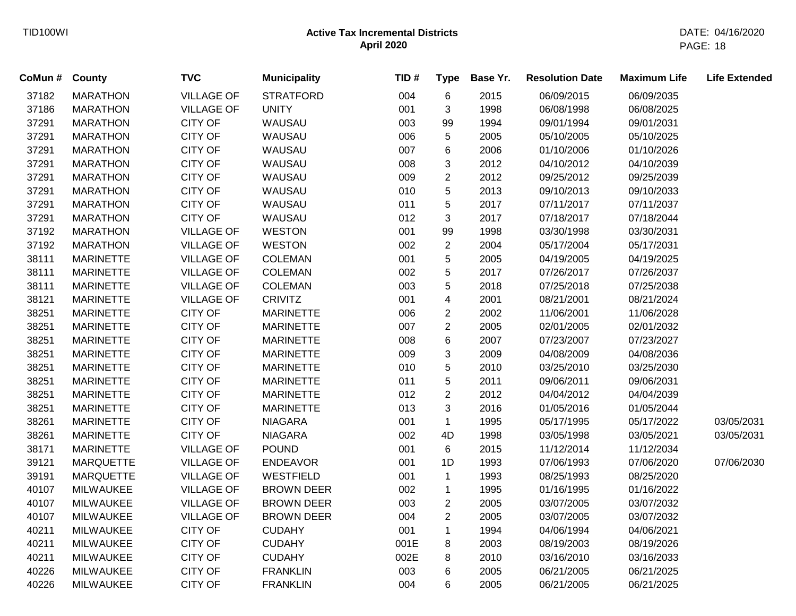| CoMun # | <b>County</b>    | <b>TVC</b>        | <b>Municipality</b> | TID# | <b>Type</b>    | Base Yr. | <b>Resolution Date</b> | <b>Maximum Life</b> | <b>Life Extended</b> |
|---------|------------------|-------------------|---------------------|------|----------------|----------|------------------------|---------------------|----------------------|
| 37182   | <b>MARATHON</b>  | <b>VILLAGE OF</b> | <b>STRATFORD</b>    | 004  | 6              | 2015     | 06/09/2015             | 06/09/2035          |                      |
| 37186   | <b>MARATHON</b>  | <b>VILLAGE OF</b> | <b>UNITY</b>        | 001  | 3              | 1998     | 06/08/1998             | 06/08/2025          |                      |
| 37291   | <b>MARATHON</b>  | <b>CITY OF</b>    | WAUSAU              | 003  | 99             | 1994     | 09/01/1994             | 09/01/2031          |                      |
| 37291   | <b>MARATHON</b>  | <b>CITY OF</b>    | WAUSAU              | 006  | 5              | 2005     | 05/10/2005             | 05/10/2025          |                      |
| 37291   | <b>MARATHON</b>  | <b>CITY OF</b>    | WAUSAU              | 007  | 6              | 2006     | 01/10/2006             | 01/10/2026          |                      |
| 37291   | <b>MARATHON</b>  | <b>CITY OF</b>    | WAUSAU              | 008  | 3              | 2012     | 04/10/2012             | 04/10/2039          |                      |
| 37291   | <b>MARATHON</b>  | <b>CITY OF</b>    | WAUSAU              | 009  | $\overline{2}$ | 2012     | 09/25/2012             | 09/25/2039          |                      |
| 37291   | <b>MARATHON</b>  | <b>CITY OF</b>    | WAUSAU              | 010  | 5              | 2013     | 09/10/2013             | 09/10/2033          |                      |
| 37291   | <b>MARATHON</b>  | <b>CITY OF</b>    | WAUSAU              | 011  | 5              | 2017     | 07/11/2017             | 07/11/2037          |                      |
| 37291   | <b>MARATHON</b>  | CITY OF           | WAUSAU              | 012  | $\mathfrak{S}$ | 2017     | 07/18/2017             | 07/18/2044          |                      |
| 37192   | <b>MARATHON</b>  | <b>VILLAGE OF</b> | <b>WESTON</b>       | 001  | 99             | 1998     | 03/30/1998             | 03/30/2031          |                      |
| 37192   | <b>MARATHON</b>  | <b>VILLAGE OF</b> | <b>WESTON</b>       | 002  | $\overline{2}$ | 2004     | 05/17/2004             | 05/17/2031          |                      |
| 38111   | <b>MARINETTE</b> | <b>VILLAGE OF</b> | <b>COLEMAN</b>      | 001  | 5              | 2005     | 04/19/2005             | 04/19/2025          |                      |
| 38111   | <b>MARINETTE</b> | <b>VILLAGE OF</b> | <b>COLEMAN</b>      | 002  | 5              | 2017     | 07/26/2017             | 07/26/2037          |                      |
| 38111   | <b>MARINETTE</b> | <b>VILLAGE OF</b> | COLEMAN             | 003  | 5              | 2018     | 07/25/2018             | 07/25/2038          |                      |
| 38121   | <b>MARINETTE</b> | <b>VILLAGE OF</b> | <b>CRIVITZ</b>      | 001  | 4              | 2001     | 08/21/2001             | 08/21/2024          |                      |
| 38251   | <b>MARINETTE</b> | <b>CITY OF</b>    | <b>MARINETTE</b>    | 006  | $\overline{c}$ | 2002     | 11/06/2001             | 11/06/2028          |                      |
| 38251   | <b>MARINETTE</b> | CITY OF           | <b>MARINETTE</b>    | 007  | $\overline{c}$ | 2005     | 02/01/2005             | 02/01/2032          |                      |
| 38251   | <b>MARINETTE</b> | <b>CITY OF</b>    | <b>MARINETTE</b>    | 008  | 6              | 2007     | 07/23/2007             | 07/23/2027          |                      |
| 38251   | <b>MARINETTE</b> | <b>CITY OF</b>    | <b>MARINETTE</b>    | 009  | 3              | 2009     | 04/08/2009             | 04/08/2036          |                      |
| 38251   | <b>MARINETTE</b> | <b>CITY OF</b>    | <b>MARINETTE</b>    | 010  | 5              | 2010     | 03/25/2010             | 03/25/2030          |                      |
| 38251   | <b>MARINETTE</b> | <b>CITY OF</b>    | <b>MARINETTE</b>    | 011  | 5              | 2011     | 09/06/2011             | 09/06/2031          |                      |
| 38251   | <b>MARINETTE</b> | <b>CITY OF</b>    | <b>MARINETTE</b>    | 012  | $\overline{c}$ | 2012     | 04/04/2012             | 04/04/2039          |                      |
| 38251   | <b>MARINETTE</b> | CITY OF           | <b>MARINETTE</b>    | 013  | 3              | 2016     | 01/05/2016             | 01/05/2044          |                      |
| 38261   | <b>MARINETTE</b> | CITY OF           | <b>NIAGARA</b>      | 001  | $\mathbf{1}$   | 1995     | 05/17/1995             | 05/17/2022          | 03/05/2031           |
| 38261   | <b>MARINETTE</b> | <b>CITY OF</b>    | <b>NIAGARA</b>      | 002  | 4D             | 1998     | 03/05/1998             | 03/05/2021          | 03/05/2031           |
| 38171   | <b>MARINETTE</b> | <b>VILLAGE OF</b> | <b>POUND</b>        | 001  | 6              | 2015     | 11/12/2014             | 11/12/2034          |                      |
| 39121   | <b>MARQUETTE</b> | <b>VILLAGE OF</b> | <b>ENDEAVOR</b>     | 001  | 1D             | 1993     | 07/06/1993             | 07/06/2020          | 07/06/2030           |
| 39191   | <b>MARQUETTE</b> | <b>VILLAGE OF</b> | WESTFIELD           | 001  | $\mathbf{1}$   | 1993     | 08/25/1993             | 08/25/2020          |                      |
| 40107   | <b>MILWAUKEE</b> | <b>VILLAGE OF</b> | <b>BROWN DEER</b>   | 002  | $\mathbf{1}$   | 1995     | 01/16/1995             | 01/16/2022          |                      |
| 40107   | <b>MILWAUKEE</b> | <b>VILLAGE OF</b> | <b>BROWN DEER</b>   | 003  | $\overline{c}$ | 2005     | 03/07/2005             | 03/07/2032          |                      |
| 40107   | <b>MILWAUKEE</b> | <b>VILLAGE OF</b> | <b>BROWN DEER</b>   | 004  | $\overline{2}$ | 2005     | 03/07/2005             | 03/07/2032          |                      |
| 40211   | <b>MILWAUKEE</b> | <b>CITY OF</b>    | <b>CUDAHY</b>       | 001  | $\mathbf{1}$   | 1994     | 04/06/1994             | 04/06/2021          |                      |
| 40211   | <b>MILWAUKEE</b> | <b>CITY OF</b>    | <b>CUDAHY</b>       | 001E | 8              | 2003     | 08/19/2003             | 08/19/2026          |                      |
| 40211   | <b>MILWAUKEE</b> | <b>CITY OF</b>    | <b>CUDAHY</b>       | 002E | 8              | 2010     | 03/16/2010             | 03/16/2033          |                      |
| 40226   | <b>MILWAUKEE</b> | <b>CITY OF</b>    | <b>FRANKLIN</b>     | 003  | 6              | 2005     | 06/21/2005             | 06/21/2025          |                      |
| 40226   | <b>MILWAUKEE</b> | <b>CITY OF</b>    | <b>FRANKLIN</b>     | 004  | 6              | 2005     | 06/21/2005             | 06/21/2025          |                      |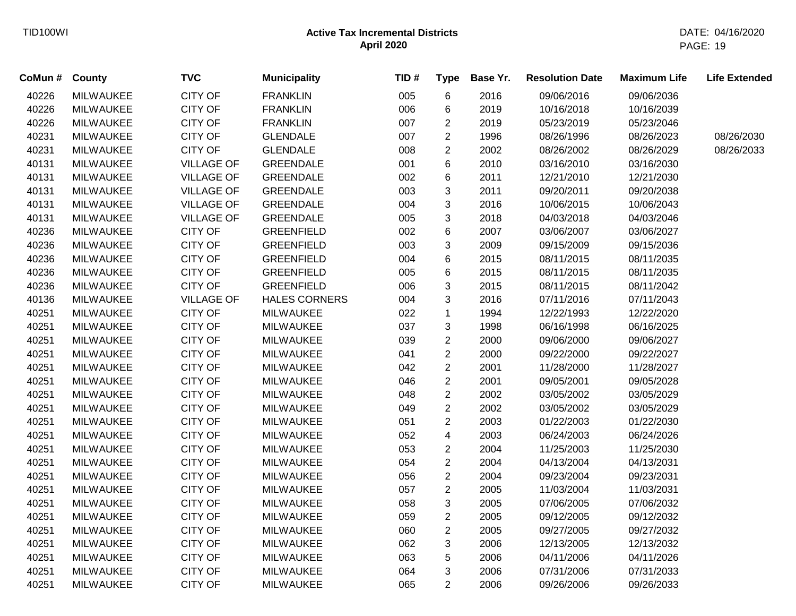| County           | <b>TVC</b>        | <b>Municipality</b>  | TID# | <b>Type</b>    | Base Yr. | <b>Resolution Date</b> | <b>Maximum Life</b> | <b>Life Extended</b> |
|------------------|-------------------|----------------------|------|----------------|----------|------------------------|---------------------|----------------------|
| <b>MILWAUKEE</b> | <b>CITY OF</b>    | <b>FRANKLIN</b>      | 005  | 6              | 2016     | 09/06/2016             | 09/06/2036          |                      |
| MILWAUKEE        | <b>CITY OF</b>    | <b>FRANKLIN</b>      | 006  | 6              | 2019     | 10/16/2018             | 10/16/2039          |                      |
| <b>MILWAUKEE</b> | <b>CITY OF</b>    | <b>FRANKLIN</b>      | 007  | $\overline{c}$ | 2019     | 05/23/2019             | 05/23/2046          |                      |
| <b>MILWAUKEE</b> | <b>CITY OF</b>    | <b>GLENDALE</b>      | 007  | $\overline{c}$ | 1996     | 08/26/1996             | 08/26/2023          | 08/26/2030           |
| <b>MILWAUKEE</b> | <b>CITY OF</b>    | <b>GLENDALE</b>      | 008  | $\overline{c}$ | 2002     | 08/26/2002             | 08/26/2029          | 08/26/2033           |
| <b>MILWAUKEE</b> | <b>VILLAGE OF</b> | <b>GREENDALE</b>     | 001  | 6              | 2010     | 03/16/2010             | 03/16/2030          |                      |
| <b>MILWAUKEE</b> | <b>VILLAGE OF</b> | <b>GREENDALE</b>     | 002  | 6              | 2011     | 12/21/2010             | 12/21/2030          |                      |
| <b>MILWAUKEE</b> | <b>VILLAGE OF</b> | <b>GREENDALE</b>     | 003  | 3              | 2011     | 09/20/2011             | 09/20/2038          |                      |
| <b>MILWAUKEE</b> | <b>VILLAGE OF</b> | <b>GREENDALE</b>     | 004  | 3              | 2016     | 10/06/2015             | 10/06/2043          |                      |
| <b>MILWAUKEE</b> | <b>VILLAGE OF</b> | <b>GREENDALE</b>     | 005  | 3              | 2018     | 04/03/2018             | 04/03/2046          |                      |
| <b>MILWAUKEE</b> | <b>CITY OF</b>    | <b>GREENFIELD</b>    | 002  | 6              | 2007     | 03/06/2007             | 03/06/2027          |                      |
| <b>MILWAUKEE</b> | <b>CITY OF</b>    | <b>GREENFIELD</b>    | 003  | 3              | 2009     | 09/15/2009             | 09/15/2036          |                      |
| <b>MILWAUKEE</b> | <b>CITY OF</b>    | <b>GREENFIELD</b>    | 004  | 6              | 2015     | 08/11/2015             | 08/11/2035          |                      |
| <b>MILWAUKEE</b> | <b>CITY OF</b>    | <b>GREENFIELD</b>    | 005  | 6              | 2015     | 08/11/2015             | 08/11/2035          |                      |
| <b>MILWAUKEE</b> | <b>CITY OF</b>    | <b>GREENFIELD</b>    | 006  | 3              | 2015     | 08/11/2015             | 08/11/2042          |                      |
| <b>MILWAUKEE</b> | <b>VILLAGE OF</b> | <b>HALES CORNERS</b> | 004  | 3              | 2016     | 07/11/2016             | 07/11/2043          |                      |
| <b>MILWAUKEE</b> | <b>CITY OF</b>    | <b>MILWAUKEE</b>     | 022  | $\mathbf{1}$   | 1994     | 12/22/1993             | 12/22/2020          |                      |
| <b>MILWAUKEE</b> | <b>CITY OF</b>    | <b>MILWAUKEE</b>     | 037  | 3              | 1998     | 06/16/1998             | 06/16/2025          |                      |
| <b>MILWAUKEE</b> | <b>CITY OF</b>    | <b>MILWAUKEE</b>     | 039  | $\overline{2}$ | 2000     | 09/06/2000             | 09/06/2027          |                      |
| <b>MILWAUKEE</b> | <b>CITY OF</b>    | <b>MILWAUKEE</b>     | 041  | $\overline{2}$ | 2000     | 09/22/2000             | 09/22/2027          |                      |
| <b>MILWAUKEE</b> | <b>CITY OF</b>    | <b>MILWAUKEE</b>     | 042  | $\overline{c}$ | 2001     | 11/28/2000             | 11/28/2027          |                      |
| <b>MILWAUKEE</b> | <b>CITY OF</b>    | <b>MILWAUKEE</b>     | 046  | $\overline{c}$ | 2001     | 09/05/2001             | 09/05/2028          |                      |
| <b>MILWAUKEE</b> | <b>CITY OF</b>    | <b>MILWAUKEE</b>     | 048  | $\overline{c}$ | 2002     | 03/05/2002             | 03/05/2029          |                      |
| <b>MILWAUKEE</b> | <b>CITY OF</b>    | <b>MILWAUKEE</b>     | 049  | $\overline{2}$ | 2002     | 03/05/2002             | 03/05/2029          |                      |
| <b>MILWAUKEE</b> | <b>CITY OF</b>    | <b>MILWAUKEE</b>     | 051  | $\overline{2}$ | 2003     | 01/22/2003             | 01/22/2030          |                      |
| <b>MILWAUKEE</b> | <b>CITY OF</b>    | <b>MILWAUKEE</b>     | 052  | 4              | 2003     | 06/24/2003             | 06/24/2026          |                      |
| <b>MILWAUKEE</b> | <b>CITY OF</b>    | <b>MILWAUKEE</b>     | 053  | $\overline{c}$ | 2004     | 11/25/2003             | 11/25/2030          |                      |
| <b>MILWAUKEE</b> | <b>CITY OF</b>    | <b>MILWAUKEE</b>     | 054  | $\overline{c}$ | 2004     | 04/13/2004             | 04/13/2031          |                      |
| <b>MILWAUKEE</b> | <b>CITY OF</b>    | <b>MILWAUKEE</b>     | 056  | $\overline{2}$ | 2004     | 09/23/2004             | 09/23/2031          |                      |
| <b>MILWAUKEE</b> | <b>CITY OF</b>    | <b>MILWAUKEE</b>     | 057  | $\overline{2}$ | 2005     | 11/03/2004             | 11/03/2031          |                      |
| <b>MILWAUKEE</b> | <b>CITY OF</b>    | <b>MILWAUKEE</b>     | 058  | 3              | 2005     | 07/06/2005             | 07/06/2032          |                      |
| <b>MILWAUKEE</b> | <b>CITY OF</b>    | <b>MILWAUKEE</b>     | 059  | $\overline{2}$ | 2005     | 09/12/2005             | 09/12/2032          |                      |
| <b>MILWAUKEE</b> | <b>CITY OF</b>    | <b>MILWAUKEE</b>     | 060  | $\overline{c}$ | 2005     | 09/27/2005             | 09/27/2032          |                      |
| <b>MILWAUKEE</b> | <b>CITY OF</b>    | <b>MILWAUKEE</b>     | 062  | 3              | 2006     | 12/13/2005             | 12/13/2032          |                      |
| <b>MILWAUKEE</b> | <b>CITY OF</b>    | <b>MILWAUKEE</b>     | 063  | 5              | 2006     | 04/11/2006             | 04/11/2026          |                      |
| <b>MILWAUKEE</b> | <b>CITY OF</b>    | <b>MILWAUKEE</b>     | 064  | 3              | 2006     | 07/31/2006             | 07/31/2033          |                      |
| <b>MILWAUKEE</b> | <b>CITY OF</b>    | <b>MILWAUKEE</b>     | 065  | $\overline{2}$ | 2006     | 09/26/2006             | 09/26/2033          |                      |
|                  |                   |                      |      |                |          |                        |                     |                      |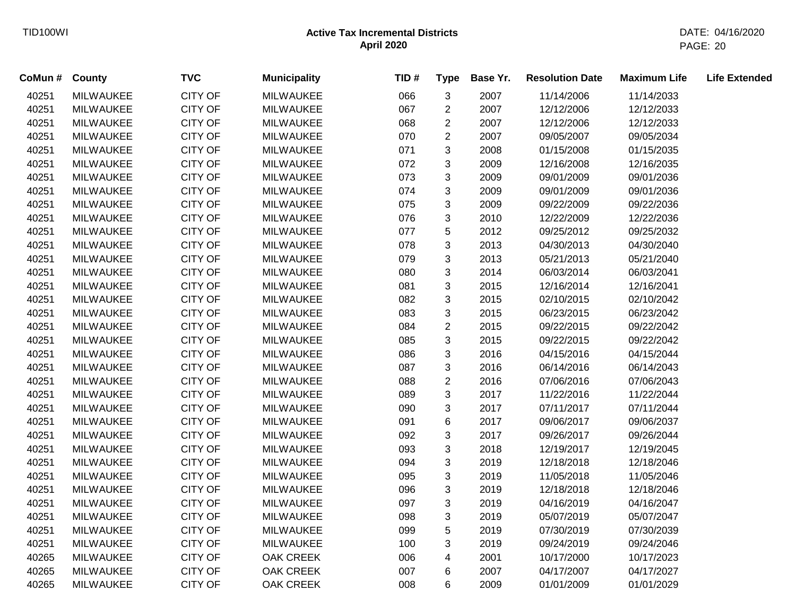| CoMun # | County           | <b>TVC</b>     | <b>Municipality</b> | TID# | <b>Type</b>               | Base Yr. | <b>Resolution Date</b> | <b>Maximum Life</b> | <b>Life Extended</b> |
|---------|------------------|----------------|---------------------|------|---------------------------|----------|------------------------|---------------------|----------------------|
| 40251   | <b>MILWAUKEE</b> | <b>CITY OF</b> | <b>MILWAUKEE</b>    | 066  | 3                         | 2007     | 11/14/2006             | 11/14/2033          |                      |
| 40251   | <b>MILWAUKEE</b> | <b>CITY OF</b> | <b>MILWAUKEE</b>    | 067  | $\overline{c}$            | 2007     | 12/12/2006             | 12/12/2033          |                      |
| 40251   | <b>MILWAUKEE</b> | <b>CITY OF</b> | <b>MILWAUKEE</b>    | 068  | $\overline{c}$            | 2007     | 12/12/2006             | 12/12/2033          |                      |
| 40251   | <b>MILWAUKEE</b> | CITY OF        | <b>MILWAUKEE</b>    | 070  | $\overline{2}$            | 2007     | 09/05/2007             | 09/05/2034          |                      |
| 40251   | <b>MILWAUKEE</b> | <b>CITY OF</b> | <b>MILWAUKEE</b>    | 071  | 3                         | 2008     | 01/15/2008             | 01/15/2035          |                      |
| 40251   | <b>MILWAUKEE</b> | CITY OF        | <b>MILWAUKEE</b>    | 072  | 3                         | 2009     | 12/16/2008             | 12/16/2035          |                      |
| 40251   | <b>MILWAUKEE</b> | CITY OF        | <b>MILWAUKEE</b>    | 073  | $\mathfrak{S}$            | 2009     | 09/01/2009             | 09/01/2036          |                      |
| 40251   | <b>MILWAUKEE</b> | <b>CITY OF</b> | <b>MILWAUKEE</b>    | 074  | 3                         | 2009     | 09/01/2009             | 09/01/2036          |                      |
| 40251   | <b>MILWAUKEE</b> | <b>CITY OF</b> | <b>MILWAUKEE</b>    | 075  | $\mathbf{3}$              | 2009     | 09/22/2009             | 09/22/2036          |                      |
| 40251   | MILWAUKEE        | <b>CITY OF</b> | <b>MILWAUKEE</b>    | 076  | $\mathbf{3}$              | 2010     | 12/22/2009             | 12/22/2036          |                      |
| 40251   | <b>MILWAUKEE</b> | <b>CITY OF</b> | <b>MILWAUKEE</b>    | 077  | $\sqrt{5}$                | 2012     | 09/25/2012             | 09/25/2032          |                      |
| 40251   | <b>MILWAUKEE</b> | CITY OF        | <b>MILWAUKEE</b>    | 078  | 3                         | 2013     | 04/30/2013             | 04/30/2040          |                      |
| 40251   | <b>MILWAUKEE</b> | <b>CITY OF</b> | <b>MILWAUKEE</b>    | 079  | 3                         | 2013     | 05/21/2013             | 05/21/2040          |                      |
| 40251   | <b>MILWAUKEE</b> | <b>CITY OF</b> | <b>MILWAUKEE</b>    | 080  | 3                         | 2014     | 06/03/2014             | 06/03/2041          |                      |
| 40251   | <b>MILWAUKEE</b> | <b>CITY OF</b> | <b>MILWAUKEE</b>    | 081  | 3                         | 2015     | 12/16/2014             | 12/16/2041          |                      |
| 40251   | <b>MILWAUKEE</b> | <b>CITY OF</b> | <b>MILWAUKEE</b>    | 082  | 3                         | 2015     | 02/10/2015             | 02/10/2042          |                      |
| 40251   | <b>MILWAUKEE</b> | CITY OF        | <b>MILWAUKEE</b>    | 083  | 3                         | 2015     | 06/23/2015             | 06/23/2042          |                      |
| 40251   | <b>MILWAUKEE</b> | <b>CITY OF</b> | <b>MILWAUKEE</b>    | 084  | $\overline{2}$            | 2015     | 09/22/2015             | 09/22/2042          |                      |
| 40251   | <b>MILWAUKEE</b> | <b>CITY OF</b> | <b>MILWAUKEE</b>    | 085  | 3                         | 2015     | 09/22/2015             | 09/22/2042          |                      |
| 40251   | <b>MILWAUKEE</b> | <b>CITY OF</b> | <b>MILWAUKEE</b>    | 086  | 3                         | 2016     | 04/15/2016             | 04/15/2044          |                      |
| 40251   | <b>MILWAUKEE</b> | <b>CITY OF</b> | <b>MILWAUKEE</b>    | 087  | 3                         | 2016     | 06/14/2016             | 06/14/2043          |                      |
| 40251   | <b>MILWAUKEE</b> | CITY OF        | <b>MILWAUKEE</b>    | 088  | $\overline{c}$            | 2016     | 07/06/2016             | 07/06/2043          |                      |
| 40251   | <b>MILWAUKEE</b> | <b>CITY OF</b> | <b>MILWAUKEE</b>    | 089  | 3                         | 2017     | 11/22/2016             | 11/22/2044          |                      |
| 40251   | <b>MILWAUKEE</b> | <b>CITY OF</b> | <b>MILWAUKEE</b>    | 090  | 3                         | 2017     | 07/11/2017             | 07/11/2044          |                      |
| 40251   | <b>MILWAUKEE</b> | <b>CITY OF</b> | <b>MILWAUKEE</b>    | 091  | $\,6$                     | 2017     | 09/06/2017             | 09/06/2037          |                      |
| 40251   | <b>MILWAUKEE</b> | <b>CITY OF</b> | <b>MILWAUKEE</b>    | 092  | 3                         | 2017     | 09/26/2017             | 09/26/2044          |                      |
| 40251   | <b>MILWAUKEE</b> | CITY OF        | <b>MILWAUKEE</b>    | 093  | $\mathfrak{S}$            | 2018     | 12/19/2017             | 12/19/2045          |                      |
| 40251   | <b>MILWAUKEE</b> | <b>CITY OF</b> | <b>MILWAUKEE</b>    | 094  | $\ensuremath{\mathsf{3}}$ | 2019     | 12/18/2018             | 12/18/2046          |                      |
| 40251   | <b>MILWAUKEE</b> | <b>CITY OF</b> | <b>MILWAUKEE</b>    | 095  | $\mathbf{3}$              | 2019     | 11/05/2018             | 11/05/2046          |                      |
| 40251   | MILWAUKEE        | <b>CITY OF</b> | <b>MILWAUKEE</b>    | 096  | $\mathbf{3}$              | 2019     | 12/18/2018             | 12/18/2046          |                      |
| 40251   | <b>MILWAUKEE</b> | <b>CITY OF</b> | <b>MILWAUKEE</b>    | 097  | 3                         | 2019     | 04/16/2019             | 04/16/2047          |                      |
| 40251   | <b>MILWAUKEE</b> | <b>CITY OF</b> | <b>MILWAUKEE</b>    | 098  | 3                         | 2019     | 05/07/2019             | 05/07/2047          |                      |
| 40251   | <b>MILWAUKEE</b> | CITY OF        | <b>MILWAUKEE</b>    | 099  | 5                         | 2019     | 07/30/2019             | 07/30/2039          |                      |
| 40251   | <b>MILWAUKEE</b> | <b>CITY OF</b> | <b>MILWAUKEE</b>    | 100  | 3                         | 2019     | 09/24/2019             | 09/24/2046          |                      |
| 40265   | <b>MILWAUKEE</b> | <b>CITY OF</b> | OAK CREEK           | 006  | 4                         | 2001     | 10/17/2000             | 10/17/2023          |                      |
| 40265   | <b>MILWAUKEE</b> | <b>CITY OF</b> | OAK CREEK           | 007  | 6                         | 2007     | 04/17/2007             | 04/17/2027          |                      |
| 40265   | <b>MILWAUKEE</b> | <b>CITY OF</b> | <b>OAK CREEK</b>    | 008  | 6                         | 2009     | 01/01/2009             | 01/01/2029          |                      |
|         |                  |                |                     |      |                           |          |                        |                     |                      |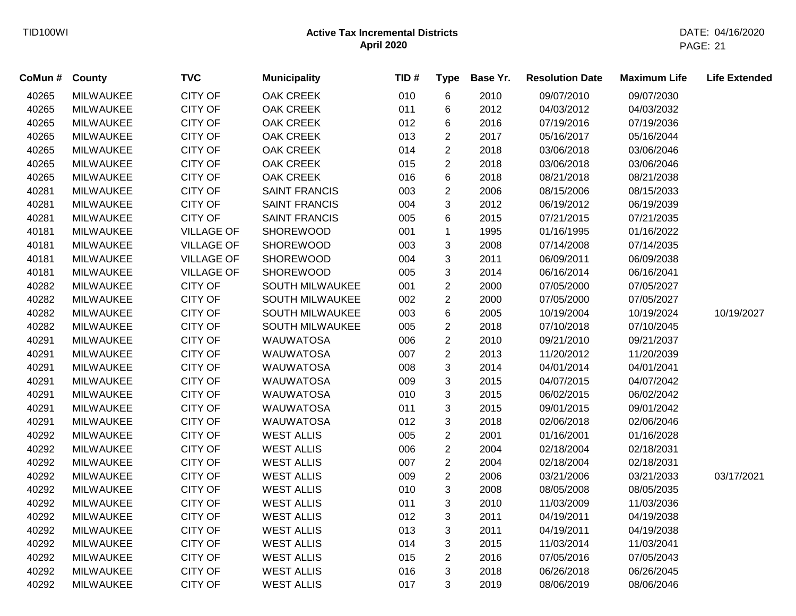| CoMun # | <b>County</b>    | <b>TVC</b>        | <b>Municipality</b>  | TID# | <b>Type</b>    | Base Yr. | <b>Resolution Date</b> | <b>Maximum Life</b> | <b>Life Extended</b> |
|---------|------------------|-------------------|----------------------|------|----------------|----------|------------------------|---------------------|----------------------|
| 40265   | <b>MILWAUKEE</b> | <b>CITY OF</b>    | <b>OAK CREEK</b>     | 010  | 6              | 2010     | 09/07/2010             | 09/07/2030          |                      |
| 40265   | <b>MILWAUKEE</b> | <b>CITY OF</b>    | <b>OAK CREEK</b>     | 011  | 6              | 2012     | 04/03/2012             | 04/03/2032          |                      |
| 40265   | <b>MILWAUKEE</b> | <b>CITY OF</b>    | <b>OAK CREEK</b>     | 012  | 6              | 2016     | 07/19/2016             | 07/19/2036          |                      |
| 40265   | <b>MILWAUKEE</b> | <b>CITY OF</b>    | <b>OAK CREEK</b>     | 013  | $\overline{c}$ | 2017     | 05/16/2017             | 05/16/2044          |                      |
| 40265   | <b>MILWAUKEE</b> | CITY OF           | <b>OAK CREEK</b>     | 014  | $\overline{c}$ | 2018     | 03/06/2018             | 03/06/2046          |                      |
| 40265   | <b>MILWAUKEE</b> | CITY OF           | OAK CREEK            | 015  | $\overline{c}$ | 2018     | 03/06/2018             | 03/06/2046          |                      |
| 40265   | <b>MILWAUKEE</b> | <b>CITY OF</b>    | <b>OAK CREEK</b>     | 016  | 6              | 2018     | 08/21/2018             | 08/21/2038          |                      |
| 40281   | MILWAUKEE        | <b>CITY OF</b>    | <b>SAINT FRANCIS</b> | 003  | $\overline{c}$ | 2006     | 08/15/2006             | 08/15/2033          |                      |
| 40281   | <b>MILWAUKEE</b> | <b>CITY OF</b>    | <b>SAINT FRANCIS</b> | 004  | 3              | 2012     | 06/19/2012             | 06/19/2039          |                      |
| 40281   | <b>MILWAUKEE</b> | <b>CITY OF</b>    | <b>SAINT FRANCIS</b> | 005  | 6              | 2015     | 07/21/2015             | 07/21/2035          |                      |
| 40181   | <b>MILWAUKEE</b> | <b>VILLAGE OF</b> | <b>SHOREWOOD</b>     | 001  | $\mathbf{1}$   | 1995     | 01/16/1995             | 01/16/2022          |                      |
| 40181   | <b>MILWAUKEE</b> | <b>VILLAGE OF</b> | <b>SHOREWOOD</b>     | 003  | 3              | 2008     | 07/14/2008             | 07/14/2035          |                      |
| 40181   | <b>MILWAUKEE</b> | <b>VILLAGE OF</b> | SHOREWOOD            | 004  | 3              | 2011     | 06/09/2011             | 06/09/2038          |                      |
| 40181   | <b>MILWAUKEE</b> | <b>VILLAGE OF</b> | SHOREWOOD            | 005  | 3              | 2014     | 06/16/2014             | 06/16/2041          |                      |
| 40282   | <b>MILWAUKEE</b> | <b>CITY OF</b>    | SOUTH MILWAUKEE      | 001  | $\overline{2}$ | 2000     | 07/05/2000             | 07/05/2027          |                      |
| 40282   | <b>MILWAUKEE</b> | <b>CITY OF</b>    | SOUTH MILWAUKEE      | 002  | $\overline{2}$ | 2000     | 07/05/2000             | 07/05/2027          |                      |
| 40282   | <b>MILWAUKEE</b> | <b>CITY OF</b>    | SOUTH MILWAUKEE      | 003  | 6              | 2005     | 10/19/2004             | 10/19/2024          | 10/19/2027           |
| 40282   | <b>MILWAUKEE</b> | <b>CITY OF</b>    | SOUTH MILWAUKEE      | 005  | $\overline{c}$ | 2018     | 07/10/2018             | 07/10/2045          |                      |
| 40291   | <b>MILWAUKEE</b> | <b>CITY OF</b>    | <b>WAUWATOSA</b>     | 006  | $\overline{2}$ | 2010     | 09/21/2010             | 09/21/2037          |                      |
| 40291   | <b>MILWAUKEE</b> | <b>CITY OF</b>    | <b>WAUWATOSA</b>     | 007  | $\overline{c}$ | 2013     | 11/20/2012             | 11/20/2039          |                      |
| 40291   | <b>MILWAUKEE</b> | <b>CITY OF</b>    | <b>WAUWATOSA</b>     | 008  | 3              | 2014     | 04/01/2014             | 04/01/2041          |                      |
| 40291   | MILWAUKEE        | CITY OF           | <b>WAUWATOSA</b>     | 009  | 3              | 2015     | 04/07/2015             | 04/07/2042          |                      |
| 40291   | <b>MILWAUKEE</b> | <b>CITY OF</b>    | <b>WAUWATOSA</b>     | 010  | 3              | 2015     | 06/02/2015             | 06/02/2042          |                      |
| 40291   | <b>MILWAUKEE</b> | <b>CITY OF</b>    | <b>WAUWATOSA</b>     | 011  | 3              | 2015     | 09/01/2015             | 09/01/2042          |                      |
| 40291   | <b>MILWAUKEE</b> | <b>CITY OF</b>    | <b>WAUWATOSA</b>     | 012  | 3              | 2018     | 02/06/2018             | 02/06/2046          |                      |
| 40292   | <b>MILWAUKEE</b> | <b>CITY OF</b>    | <b>WEST ALLIS</b>    | 005  | $\overline{2}$ | 2001     | 01/16/2001             | 01/16/2028          |                      |
| 40292   | <b>MILWAUKEE</b> | <b>CITY OF</b>    | <b>WEST ALLIS</b>    | 006  | $\overline{c}$ | 2004     | 02/18/2004             | 02/18/2031          |                      |
| 40292   | <b>MILWAUKEE</b> | <b>CITY OF</b>    | <b>WEST ALLIS</b>    | 007  | $\overline{c}$ | 2004     | 02/18/2004             | 02/18/2031          |                      |
| 40292   | <b>MILWAUKEE</b> | CITY OF           | <b>WEST ALLIS</b>    | 009  | $\overline{2}$ | 2006     | 03/21/2006             | 03/21/2033          | 03/17/2021           |
| 40292   | MILWAUKEE        | CITY OF           | <b>WEST ALLIS</b>    | 010  | 3              | 2008     | 08/05/2008             | 08/05/2035          |                      |
| 40292   | <b>MILWAUKEE</b> | <b>CITY OF</b>    | <b>WEST ALLIS</b>    | 011  | 3              | 2010     | 11/03/2009             | 11/03/2036          |                      |
| 40292   | <b>MILWAUKEE</b> | <b>CITY OF</b>    | <b>WEST ALLIS</b>    | 012  | 3              | 2011     | 04/19/2011             | 04/19/2038          |                      |
| 40292   | <b>MILWAUKEE</b> | <b>CITY OF</b>    | <b>WEST ALLIS</b>    | 013  | 3              | 2011     | 04/19/2011             | 04/19/2038          |                      |
| 40292   | <b>MILWAUKEE</b> | <b>CITY OF</b>    | <b>WEST ALLIS</b>    | 014  | 3              | 2015     | 11/03/2014             | 11/03/2041          |                      |
| 40292   | <b>MILWAUKEE</b> | <b>CITY OF</b>    | <b>WEST ALLIS</b>    | 015  | $\overline{2}$ | 2016     | 07/05/2016             | 07/05/2043          |                      |
| 40292   | <b>MILWAUKEE</b> | <b>CITY OF</b>    | <b>WEST ALLIS</b>    | 016  | 3              | 2018     | 06/26/2018             | 06/26/2045          |                      |
| 40292   | <b>MILWAUKEE</b> | <b>CITY OF</b>    | <b>WEST ALLIS</b>    | 017  | 3              | 2019     | 08/06/2019             | 08/06/2046          |                      |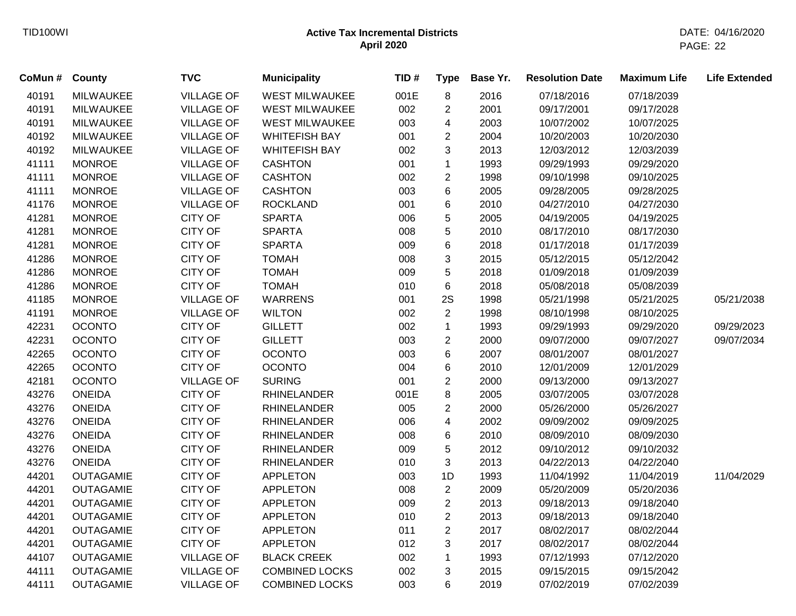| CoMun # | County           | <b>TVC</b>        | <b>Municipality</b>   | TID# | <b>Type</b>             | Base Yr. | <b>Resolution Date</b> | <b>Maximum Life</b> | <b>Life Extended</b> |
|---------|------------------|-------------------|-----------------------|------|-------------------------|----------|------------------------|---------------------|----------------------|
| 40191   | <b>MILWAUKEE</b> | <b>VILLAGE OF</b> | <b>WEST MILWAUKEE</b> | 001E | 8                       | 2016     | 07/18/2016             | 07/18/2039          |                      |
| 40191   | <b>MILWAUKEE</b> | <b>VILLAGE OF</b> | <b>WEST MILWAUKEE</b> | 002  | $\overline{c}$          | 2001     | 09/17/2001             | 09/17/2028          |                      |
| 40191   | <b>MILWAUKEE</b> | <b>VILLAGE OF</b> | <b>WEST MILWAUKEE</b> | 003  | 4                       | 2003     | 10/07/2002             | 10/07/2025          |                      |
| 40192   | <b>MILWAUKEE</b> | <b>VILLAGE OF</b> | <b>WHITEFISH BAY</b>  | 001  | $\overline{2}$          | 2004     | 10/20/2003             | 10/20/2030          |                      |
| 40192   | <b>MILWAUKEE</b> | <b>VILLAGE OF</b> | <b>WHITEFISH BAY</b>  | 002  | $\mathbf{3}$            | 2013     | 12/03/2012             | 12/03/2039          |                      |
| 41111   | <b>MONROE</b>    | <b>VILLAGE OF</b> | <b>CASHTON</b>        | 001  | $\mathbf 1$             | 1993     | 09/29/1993             | 09/29/2020          |                      |
| 41111   | <b>MONROE</b>    | <b>VILLAGE OF</b> | <b>CASHTON</b>        | 002  | $\sqrt{2}$              | 1998     | 09/10/1998             | 09/10/2025          |                      |
| 41111   | <b>MONROE</b>    | <b>VILLAGE OF</b> | <b>CASHTON</b>        | 003  | $6\phantom{1}$          | 2005     | 09/28/2005             | 09/28/2025          |                      |
| 41176   | <b>MONROE</b>    | <b>VILLAGE OF</b> | <b>ROCKLAND</b>       | 001  | 6                       | 2010     | 04/27/2010             | 04/27/2030          |                      |
| 41281   | <b>MONROE</b>    | <b>CITY OF</b>    | <b>SPARTA</b>         | 006  | 5                       | 2005     | 04/19/2005             | 04/19/2025          |                      |
| 41281   | <b>MONROE</b>    | <b>CITY OF</b>    | <b>SPARTA</b>         | 008  | $\,$ 5 $\,$             | 2010     | 08/17/2010             | 08/17/2030          |                      |
| 41281   | <b>MONROE</b>    | CITY OF           | <b>SPARTA</b>         | 009  | $6\phantom{1}6$         | 2018     | 01/17/2018             | 01/17/2039          |                      |
| 41286   | <b>MONROE</b>    | <b>CITY OF</b>    | <b>TOMAH</b>          | 008  | $\mathbf{3}$            | 2015     | 05/12/2015             | 05/12/2042          |                      |
| 41286   | <b>MONROE</b>    | <b>CITY OF</b>    | <b>TOMAH</b>          | 009  | 5                       | 2018     | 01/09/2018             | 01/09/2039          |                      |
| 41286   | <b>MONROE</b>    | <b>CITY OF</b>    | <b>TOMAH</b>          | 010  | $\,6$                   | 2018     | 05/08/2018             | 05/08/2039          |                      |
| 41185   | <b>MONROE</b>    | <b>VILLAGE OF</b> | <b>WARRENS</b>        | 001  | 2S                      | 1998     | 05/21/1998             | 05/21/2025          | 05/21/2038           |
| 41191   | <b>MONROE</b>    | <b>VILLAGE OF</b> | <b>WILTON</b>         | 002  | $\overline{2}$          | 1998     | 08/10/1998             | 08/10/2025          |                      |
| 42231   | <b>OCONTO</b>    | <b>CITY OF</b>    | <b>GILLETT</b>        | 002  | $\mathbf{1}$            | 1993     | 09/29/1993             | 09/29/2020          | 09/29/2023           |
| 42231   | <b>OCONTO</b>    | <b>CITY OF</b>    | <b>GILLETT</b>        | 003  | $\overline{2}$          | 2000     | 09/07/2000             | 09/07/2027          | 09/07/2034           |
| 42265   | <b>OCONTO</b>    | <b>CITY OF</b>    | <b>OCONTO</b>         | 003  | 6                       | 2007     | 08/01/2007             | 08/01/2027          |                      |
| 42265   | <b>OCONTO</b>    | <b>CITY OF</b>    | <b>OCONTO</b>         | 004  | 6                       | 2010     | 12/01/2009             | 12/01/2029          |                      |
| 42181   | <b>OCONTO</b>    | <b>VILLAGE OF</b> | <b>SURING</b>         | 001  | $\overline{2}$          | 2000     | 09/13/2000             | 09/13/2027          |                      |
| 43276   | <b>ONEIDA</b>    | <b>CITY OF</b>    | <b>RHINELANDER</b>    | 001E | 8                       | 2005     | 03/07/2005             | 03/07/2028          |                      |
| 43276   | <b>ONEIDA</b>    | <b>CITY OF</b>    | <b>RHINELANDER</b>    | 005  | $\overline{2}$          | 2000     | 05/26/2000             | 05/26/2027          |                      |
| 43276   | <b>ONEIDA</b>    | <b>CITY OF</b>    | <b>RHINELANDER</b>    | 006  | $\overline{\mathbf{4}}$ | 2002     | 09/09/2002             | 09/09/2025          |                      |
| 43276   | <b>ONEIDA</b>    | <b>CITY OF</b>    | <b>RHINELANDER</b>    | 008  | 6                       | 2010     | 08/09/2010             | 08/09/2030          |                      |
| 43276   | <b>ONEIDA</b>    | CITY OF           | <b>RHINELANDER</b>    | 009  | $\,$ 5 $\,$             | 2012     | 09/10/2012             | 09/10/2032          |                      |
| 43276   | <b>ONEIDA</b>    | <b>CITY OF</b>    | <b>RHINELANDER</b>    | 010  | $\mathbf{3}$            | 2013     | 04/22/2013             | 04/22/2040          |                      |
| 44201   | <b>OUTAGAMIE</b> | <b>CITY OF</b>    | <b>APPLETON</b>       | 003  | 1D                      | 1993     | 11/04/1992             | 11/04/2019          | 11/04/2029           |
| 44201   | <b>OUTAGAMIE</b> | <b>CITY OF</b>    | <b>APPLETON</b>       | 008  | $\overline{2}$          | 2009     | 05/20/2009             | 05/20/2036          |                      |
| 44201   | <b>OUTAGAMIE</b> | <b>CITY OF</b>    | <b>APPLETON</b>       | 009  | $\overline{2}$          | 2013     | 09/18/2013             | 09/18/2040          |                      |
| 44201   | <b>OUTAGAMIE</b> | <b>CITY OF</b>    | <b>APPLETON</b>       | 010  | $\overline{2}$          | 2013     | 09/18/2013             | 09/18/2040          |                      |
| 44201   | <b>OUTAGAMIE</b> | CITY OF           | <b>APPLETON</b>       | 011  | $\overline{2}$          | 2017     | 08/02/2017             | 08/02/2044          |                      |
| 44201   | <b>OUTAGAMIE</b> | <b>CITY OF</b>    | <b>APPLETON</b>       | 012  | 3                       | 2017     | 08/02/2017             | 08/02/2044          |                      |
| 44107   | <b>OUTAGAMIE</b> | <b>VILLAGE OF</b> | <b>BLACK CREEK</b>    | 002  | $\mathbf{1}$            | 1993     | 07/12/1993             | 07/12/2020          |                      |
| 44111   | <b>OUTAGAMIE</b> | <b>VILLAGE OF</b> | <b>COMBINED LOCKS</b> | 002  | 3                       | 2015     | 09/15/2015             | 09/15/2042          |                      |
| 44111   | <b>OUTAGAMIE</b> | <b>VILLAGE OF</b> | <b>COMBINED LOCKS</b> | 003  | 6                       | 2019     | 07/02/2019             | 07/02/2039          |                      |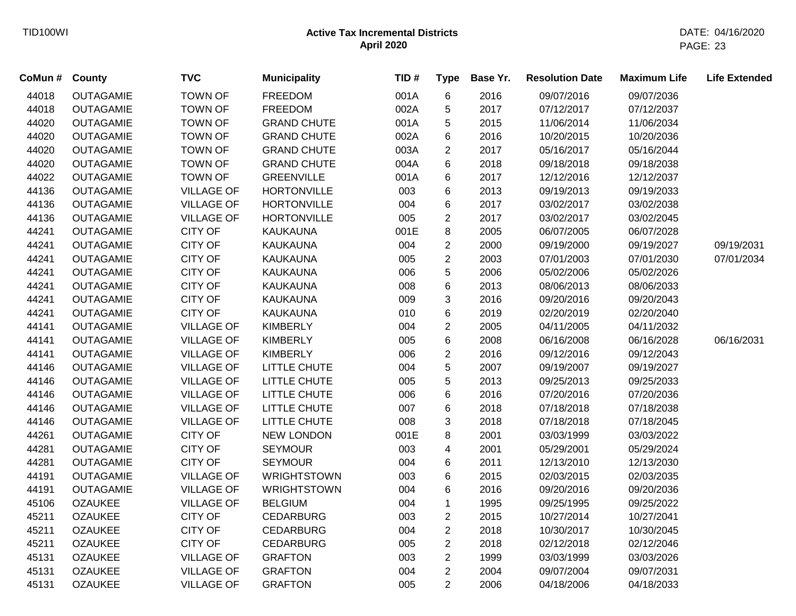| CoMun # | <b>County</b>    | <b>TVC</b>        | <b>Municipality</b> | TID# | <b>Type</b>    | Base Yr. | <b>Resolution Date</b> | <b>Maximum Life</b> | <b>Life Extended</b> |
|---------|------------------|-------------------|---------------------|------|----------------|----------|------------------------|---------------------|----------------------|
| 44018   | <b>OUTAGAMIE</b> | <b>TOWN OF</b>    | FREEDOM             | 001A | 6              | 2016     | 09/07/2016             | 09/07/2036          |                      |
| 44018   | <b>OUTAGAMIE</b> | <b>TOWN OF</b>    | <b>FREEDOM</b>      | 002A | 5              | 2017     | 07/12/2017             | 07/12/2037          |                      |
| 44020   | <b>OUTAGAMIE</b> | <b>TOWN OF</b>    | <b>GRAND CHUTE</b>  | 001A | 5              | 2015     | 11/06/2014             | 11/06/2034          |                      |
| 44020   | <b>OUTAGAMIE</b> | <b>TOWN OF</b>    | <b>GRAND CHUTE</b>  | 002A | 6              | 2016     | 10/20/2015             | 10/20/2036          |                      |
| 44020   | <b>OUTAGAMIE</b> | <b>TOWN OF</b>    | <b>GRAND CHUTE</b>  | 003A | $\overline{2}$ | 2017     | 05/16/2017             | 05/16/2044          |                      |
| 44020   | <b>OUTAGAMIE</b> | <b>TOWN OF</b>    | <b>GRAND CHUTE</b>  | 004A | 6              | 2018     | 09/18/2018             | 09/18/2038          |                      |
| 44022   | <b>OUTAGAMIE</b> | <b>TOWN OF</b>    | <b>GREENVILLE</b>   | 001A | 6              | 2017     | 12/12/2016             | 12/12/2037          |                      |
| 44136   | <b>OUTAGAMIE</b> | <b>VILLAGE OF</b> | <b>HORTONVILLE</b>  | 003  | 6              | 2013     | 09/19/2013             | 09/19/2033          |                      |
| 44136   | <b>OUTAGAMIE</b> | <b>VILLAGE OF</b> | <b>HORTONVILLE</b>  | 004  | 6              | 2017     | 03/02/2017             | 03/02/2038          |                      |
| 44136   | <b>OUTAGAMIE</b> | <b>VILLAGE OF</b> | <b>HORTONVILLE</b>  | 005  | $\overline{2}$ | 2017     | 03/02/2017             | 03/02/2045          |                      |
| 44241   | <b>OUTAGAMIE</b> | <b>CITY OF</b>    | <b>KAUKAUNA</b>     | 001E | 8              | 2005     | 06/07/2005             | 06/07/2028          |                      |
| 44241   | <b>OUTAGAMIE</b> | <b>CITY OF</b>    | <b>KAUKAUNA</b>     | 004  | $\overline{2}$ | 2000     | 09/19/2000             | 09/19/2027          | 09/19/2031           |
| 44241   | <b>OUTAGAMIE</b> | CITY OF           | <b>KAUKAUNA</b>     | 005  | $\overline{2}$ | 2003     | 07/01/2003             | 07/01/2030          | 07/01/2034           |
| 44241   | <b>OUTAGAMIE</b> | <b>CITY OF</b>    | <b>KAUKAUNA</b>     | 006  | 5              | 2006     | 05/02/2006             | 05/02/2026          |                      |
| 44241   | <b>OUTAGAMIE</b> | <b>CITY OF</b>    | <b>KAUKAUNA</b>     | 008  | 6              | 2013     | 08/06/2013             | 08/06/2033          |                      |
| 44241   | <b>OUTAGAMIE</b> | <b>CITY OF</b>    | <b>KAUKAUNA</b>     | 009  | 3              | 2016     | 09/20/2016             | 09/20/2043          |                      |
| 44241   | <b>OUTAGAMIE</b> | <b>CITY OF</b>    | <b>KAUKAUNA</b>     | 010  | 6              | 2019     | 02/20/2019             | 02/20/2040          |                      |
| 44141   | <b>OUTAGAMIE</b> | <b>VILLAGE OF</b> | <b>KIMBERLY</b>     | 004  | $\overline{2}$ | 2005     | 04/11/2005             | 04/11/2032          |                      |
| 44141   | <b>OUTAGAMIE</b> | <b>VILLAGE OF</b> | <b>KIMBERLY</b>     | 005  | 6              | 2008     | 06/16/2008             | 06/16/2028          | 06/16/2031           |
| 44141   | <b>OUTAGAMIE</b> | <b>VILLAGE OF</b> | <b>KIMBERLY</b>     | 006  | $\overline{2}$ | 2016     | 09/12/2016             | 09/12/2043          |                      |
| 44146   | <b>OUTAGAMIE</b> | <b>VILLAGE OF</b> | LITTLE CHUTE        | 004  | 5              | 2007     | 09/19/2007             | 09/19/2027          |                      |
| 44146   | <b>OUTAGAMIE</b> | <b>VILLAGE OF</b> | LITTLE CHUTE        | 005  | 5              | 2013     | 09/25/2013             | 09/25/2033          |                      |
| 44146   | <b>OUTAGAMIE</b> | <b>VILLAGE OF</b> | LITTLE CHUTE        | 006  | 6              | 2016     | 07/20/2016             | 07/20/2036          |                      |
| 44146   | <b>OUTAGAMIE</b> | <b>VILLAGE OF</b> | LITTLE CHUTE        | 007  | 6              | 2018     | 07/18/2018             | 07/18/2038          |                      |
| 44146   | <b>OUTAGAMIE</b> | <b>VILLAGE OF</b> | LITTLE CHUTE        | 008  | 3              | 2018     | 07/18/2018             | 07/18/2045          |                      |
| 44261   | <b>OUTAGAMIE</b> | <b>CITY OF</b>    | <b>NEW LONDON</b>   | 001E | 8              | 2001     | 03/03/1999             | 03/03/2022          |                      |
| 44281   | <b>OUTAGAMIE</b> | <b>CITY OF</b>    | <b>SEYMOUR</b>      | 003  | 4              | 2001     | 05/29/2001             | 05/29/2024          |                      |
| 44281   | <b>OUTAGAMIE</b> | <b>CITY OF</b>    | <b>SEYMOUR</b>      | 004  | 6              | 2011     | 12/13/2010             | 12/13/2030          |                      |
| 44191   | <b>OUTAGAMIE</b> | <b>VILLAGE OF</b> | <b>WRIGHTSTOWN</b>  | 003  | 6              | 2015     | 02/03/2015             | 02/03/2035          |                      |
| 44191   | <b>OUTAGAMIE</b> | <b>VILLAGE OF</b> | <b>WRIGHTSTOWN</b>  | 004  | 6              | 2016     | 09/20/2016             | 09/20/2036          |                      |
| 45106   | <b>OZAUKEE</b>   | <b>VILLAGE OF</b> | <b>BELGIUM</b>      | 004  | $\mathbf 1$    | 1995     | 09/25/1995             | 09/25/2022          |                      |
| 45211   | <b>OZAUKEE</b>   | <b>CITY OF</b>    | <b>CEDARBURG</b>    | 003  | $\overline{2}$ | 2015     | 10/27/2014             | 10/27/2041          |                      |
| 45211   | <b>OZAUKEE</b>   | <b>CITY OF</b>    | <b>CEDARBURG</b>    | 004  | $\overline{2}$ | 2018     | 10/30/2017             | 10/30/2045          |                      |
| 45211   | <b>OZAUKEE</b>   | <b>CITY OF</b>    | <b>CEDARBURG</b>    | 005  | $\overline{2}$ | 2018     | 02/12/2018             | 02/12/2046          |                      |
| 45131   | <b>OZAUKEE</b>   | <b>VILLAGE OF</b> | <b>GRAFTON</b>      | 003  | $\overline{2}$ | 1999     | 03/03/1999             | 03/03/2026          |                      |
| 45131   | <b>OZAUKEE</b>   | <b>VILLAGE OF</b> | <b>GRAFTON</b>      | 004  | $\overline{2}$ | 2004     | 09/07/2004             | 09/07/2031          |                      |
| 45131   | <b>OZAUKEE</b>   | <b>VILLAGE OF</b> | <b>GRAFTON</b>      | 005  | $\overline{2}$ | 2006     | 04/18/2006             | 04/18/2033          |                      |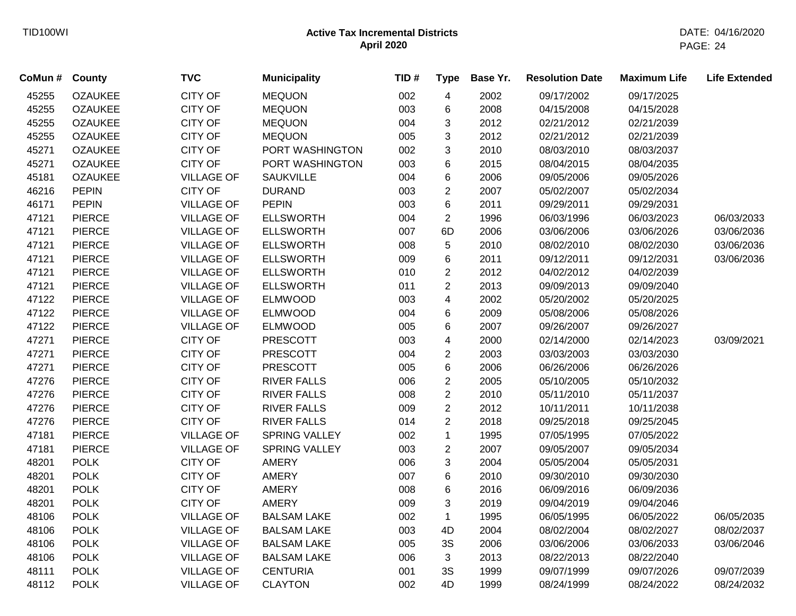| CoMun # | County         | <b>TVC</b>        | <b>Municipality</b>  | TID# | <b>Type</b>             | Base Yr. | <b>Resolution Date</b> | <b>Maximum Life</b> | <b>Life Extended</b> |
|---------|----------------|-------------------|----------------------|------|-------------------------|----------|------------------------|---------------------|----------------------|
| 45255   | <b>OZAUKEE</b> | <b>CITY OF</b>    | <b>MEQUON</b>        | 002  | $\overline{4}$          | 2002     | 09/17/2002             | 09/17/2025          |                      |
| 45255   | <b>OZAUKEE</b> | <b>CITY OF</b>    | <b>MEQUON</b>        | 003  | 6                       | 2008     | 04/15/2008             | 04/15/2028          |                      |
| 45255   | <b>OZAUKEE</b> | <b>CITY OF</b>    | <b>MEQUON</b>        | 004  | 3                       | 2012     | 02/21/2012             | 02/21/2039          |                      |
| 45255   | <b>OZAUKEE</b> | <b>CITY OF</b>    | <b>MEQUON</b>        | 005  | 3                       | 2012     | 02/21/2012             | 02/21/2039          |                      |
| 45271   | <b>OZAUKEE</b> | <b>CITY OF</b>    | PORT WASHINGTON      | 002  | 3                       | 2010     | 08/03/2010             | 08/03/2037          |                      |
| 45271   | <b>OZAUKEE</b> | <b>CITY OF</b>    | PORT WASHINGTON      | 003  | 6                       | 2015     | 08/04/2015             | 08/04/2035          |                      |
| 45181   | <b>OZAUKEE</b> | <b>VILLAGE OF</b> | <b>SAUKVILLE</b>     | 004  | 6                       | 2006     | 09/05/2006             | 09/05/2026          |                      |
| 46216   | <b>PEPIN</b>   | <b>CITY OF</b>    | <b>DURAND</b>        | 003  | $\overline{c}$          | 2007     | 05/02/2007             | 05/02/2034          |                      |
| 46171   | <b>PEPIN</b>   | <b>VILLAGE OF</b> | <b>PEPIN</b>         | 003  | 6                       | 2011     | 09/29/2011             | 09/29/2031          |                      |
| 47121   | <b>PIERCE</b>  | <b>VILLAGE OF</b> | <b>ELLSWORTH</b>     | 004  | $\overline{c}$          | 1996     | 06/03/1996             | 06/03/2023          | 06/03/2033           |
| 47121   | <b>PIERCE</b>  | <b>VILLAGE OF</b> | <b>ELLSWORTH</b>     | 007  | 6D                      | 2006     | 03/06/2006             | 03/06/2026          | 03/06/2036           |
| 47121   | <b>PIERCE</b>  | <b>VILLAGE OF</b> | <b>ELLSWORTH</b>     | 008  | 5                       | 2010     | 08/02/2010             | 08/02/2030          | 03/06/2036           |
| 47121   | <b>PIERCE</b>  | <b>VILLAGE OF</b> | <b>ELLSWORTH</b>     | 009  | 6                       | 2011     | 09/12/2011             | 09/12/2031          | 03/06/2036           |
| 47121   | <b>PIERCE</b>  | <b>VILLAGE OF</b> | <b>ELLSWORTH</b>     | 010  | $\overline{2}$          | 2012     | 04/02/2012             | 04/02/2039          |                      |
| 47121   | <b>PIERCE</b>  | <b>VILLAGE OF</b> | <b>ELLSWORTH</b>     | 011  | $\overline{2}$          | 2013     | 09/09/2013             | 09/09/2040          |                      |
| 47122   | <b>PIERCE</b>  | <b>VILLAGE OF</b> | <b>ELMWOOD</b>       | 003  | 4                       | 2002     | 05/20/2002             | 05/20/2025          |                      |
| 47122   | <b>PIERCE</b>  | <b>VILLAGE OF</b> | <b>ELMWOOD</b>       | 004  | 6                       | 2009     | 05/08/2006             | 05/08/2026          |                      |
| 47122   | <b>PIERCE</b>  | <b>VILLAGE OF</b> | <b>ELMWOOD</b>       | 005  | 6                       | 2007     | 09/26/2007             | 09/26/2027          |                      |
| 47271   | <b>PIERCE</b>  | <b>CITY OF</b>    | <b>PRESCOTT</b>      | 003  | $\overline{\mathbf{4}}$ | 2000     | 02/14/2000             | 02/14/2023          | 03/09/2021           |
| 47271   | <b>PIERCE</b>  | <b>CITY OF</b>    | <b>PRESCOTT</b>      | 004  | $\overline{2}$          | 2003     | 03/03/2003             | 03/03/2030          |                      |
| 47271   | <b>PIERCE</b>  | <b>CITY OF</b>    | <b>PRESCOTT</b>      | 005  | 6                       | 2006     | 06/26/2006             | 06/26/2026          |                      |
| 47276   | <b>PIERCE</b>  | <b>CITY OF</b>    | <b>RIVER FALLS</b>   | 006  | $\overline{2}$          | 2005     | 05/10/2005             | 05/10/2032          |                      |
| 47276   | <b>PIERCE</b>  | <b>CITY OF</b>    | <b>RIVER FALLS</b>   | 008  | $\overline{c}$          | 2010     | 05/11/2010             | 05/11/2037          |                      |
| 47276   | <b>PIERCE</b>  | <b>CITY OF</b>    | <b>RIVER FALLS</b>   | 009  | $\overline{c}$          | 2012     | 10/11/2011             | 10/11/2038          |                      |
| 47276   | <b>PIERCE</b>  | <b>CITY OF</b>    | <b>RIVER FALLS</b>   | 014  | $\overline{2}$          | 2018     | 09/25/2018             | 09/25/2045          |                      |
| 47181   | <b>PIERCE</b>  | <b>VILLAGE OF</b> | <b>SPRING VALLEY</b> | 002  | $\mathbf 1$             | 1995     | 07/05/1995             | 07/05/2022          |                      |
| 47181   | <b>PIERCE</b>  | <b>VILLAGE OF</b> | <b>SPRING VALLEY</b> | 003  | $\overline{c}$          | 2007     | 09/05/2007             | 09/05/2034          |                      |
| 48201   | <b>POLK</b>    | CITY OF           | <b>AMERY</b>         | 006  | 3                       | 2004     | 05/05/2004             | 05/05/2031          |                      |
| 48201   | <b>POLK</b>    | <b>CITY OF</b>    | AMERY                | 007  | 6                       | 2010     | 09/30/2010             | 09/30/2030          |                      |
| 48201   | <b>POLK</b>    | <b>CITY OF</b>    | <b>AMERY</b>         | 008  | 6                       | 2016     | 06/09/2016             | 06/09/2036          |                      |
| 48201   | <b>POLK</b>    | <b>CITY OF</b>    | <b>AMERY</b>         | 009  | 3                       | 2019     | 09/04/2019             | 09/04/2046          |                      |
| 48106   | <b>POLK</b>    | <b>VILLAGE OF</b> | <b>BALSAM LAKE</b>   | 002  | $\mathbf 1$             | 1995     | 06/05/1995             | 06/05/2022          | 06/05/2035           |
| 48106   | <b>POLK</b>    | <b>VILLAGE OF</b> | <b>BALSAM LAKE</b>   | 003  | 4D                      | 2004     | 08/02/2004             | 08/02/2027          | 08/02/2037           |
| 48106   | <b>POLK</b>    | <b>VILLAGE OF</b> | <b>BALSAM LAKE</b>   | 005  | 3S                      | 2006     | 03/06/2006             | 03/06/2033          | 03/06/2046           |
| 48106   | <b>POLK</b>    | <b>VILLAGE OF</b> | <b>BALSAM LAKE</b>   | 006  | 3                       | 2013     | 08/22/2013             | 08/22/2040          |                      |
| 48111   | <b>POLK</b>    | <b>VILLAGE OF</b> | <b>CENTURIA</b>      | 001  | 3S                      | 1999     | 09/07/1999             | 09/07/2026          | 09/07/2039           |
| 48112   | <b>POLK</b>    | <b>VILLAGE OF</b> | <b>CLAYTON</b>       | 002  | 4D                      | 1999     | 08/24/1999             | 08/24/2022          | 08/24/2032           |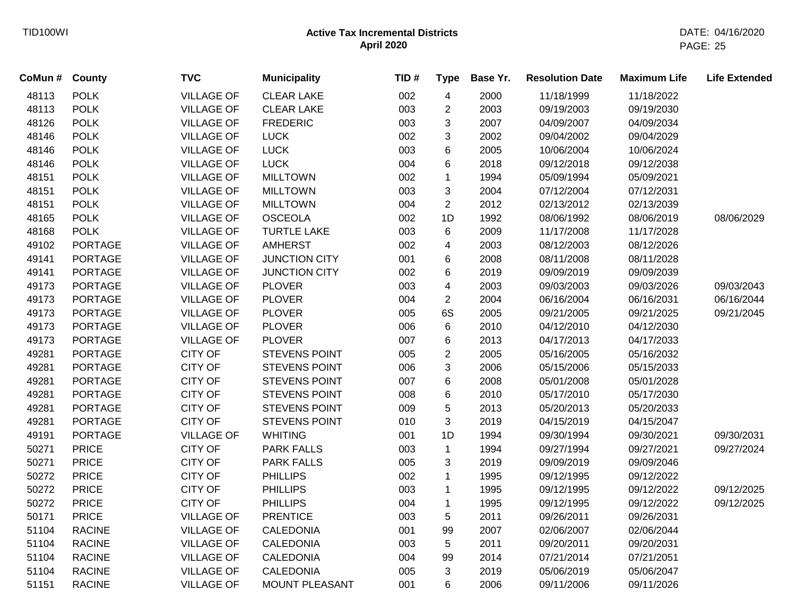| CoMun # | County         | <b>TVC</b>        | <b>Municipality</b>   | TID# | <b>Type</b>    | Base Yr. | <b>Resolution Date</b> | <b>Maximum Life</b> | <b>Life Extended</b> |
|---------|----------------|-------------------|-----------------------|------|----------------|----------|------------------------|---------------------|----------------------|
| 48113   | <b>POLK</b>    | <b>VILLAGE OF</b> | <b>CLEAR LAKE</b>     | 002  | 4              | 2000     | 11/18/1999             | 11/18/2022          |                      |
| 48113   | <b>POLK</b>    | <b>VILLAGE OF</b> | <b>CLEAR LAKE</b>     | 003  | $\overline{c}$ | 2003     | 09/19/2003             | 09/19/2030          |                      |
| 48126   | <b>POLK</b>    | <b>VILLAGE OF</b> | <b>FREDERIC</b>       | 003  | 3              | 2007     | 04/09/2007             | 04/09/2034          |                      |
| 48146   | <b>POLK</b>    | <b>VILLAGE OF</b> | <b>LUCK</b>           | 002  | 3              | 2002     | 09/04/2002             | 09/04/2029          |                      |
| 48146   | <b>POLK</b>    | <b>VILLAGE OF</b> | <b>LUCK</b>           | 003  | 6              | 2005     | 10/06/2004             | 10/06/2024          |                      |
| 48146   | <b>POLK</b>    | <b>VILLAGE OF</b> | <b>LUCK</b>           | 004  | 6              | 2018     | 09/12/2018             | 09/12/2038          |                      |
| 48151   | <b>POLK</b>    | <b>VILLAGE OF</b> | <b>MILLTOWN</b>       | 002  | $\mathbf{1}$   | 1994     | 05/09/1994             | 05/09/2021          |                      |
| 48151   | <b>POLK</b>    | <b>VILLAGE OF</b> | <b>MILLTOWN</b>       | 003  | 3              | 2004     | 07/12/2004             | 07/12/2031          |                      |
| 48151   | <b>POLK</b>    | <b>VILLAGE OF</b> | <b>MILLTOWN</b>       | 004  | $\overline{2}$ | 2012     | 02/13/2012             | 02/13/2039          |                      |
| 48165   | <b>POLK</b>    | <b>VILLAGE OF</b> | <b>OSCEOLA</b>        | 002  | 1D             | 1992     | 08/06/1992             | 08/06/2019          | 08/06/2029           |
| 48168   | <b>POLK</b>    | <b>VILLAGE OF</b> | <b>TURTLE LAKE</b>    | 003  | 6              | 2009     | 11/17/2008             | 11/17/2028          |                      |
| 49102   | <b>PORTAGE</b> | <b>VILLAGE OF</b> | <b>AMHERST</b>        | 002  | 4              | 2003     | 08/12/2003             | 08/12/2026          |                      |
| 49141   | <b>PORTAGE</b> | <b>VILLAGE OF</b> | <b>JUNCTION CITY</b>  | 001  | 6              | 2008     | 08/11/2008             | 08/11/2028          |                      |
| 49141   | <b>PORTAGE</b> | <b>VILLAGE OF</b> | <b>JUNCTION CITY</b>  | 002  | 6              | 2019     | 09/09/2019             | 09/09/2039          |                      |
| 49173   | <b>PORTAGE</b> | <b>VILLAGE OF</b> | <b>PLOVER</b>         | 003  | 4              | 2003     | 09/03/2003             | 09/03/2026          | 09/03/2043           |
| 49173   | <b>PORTAGE</b> | <b>VILLAGE OF</b> | <b>PLOVER</b>         | 004  | $\overline{2}$ | 2004     | 06/16/2004             | 06/16/2031          | 06/16/2044           |
| 49173   | <b>PORTAGE</b> | <b>VILLAGE OF</b> | <b>PLOVER</b>         | 005  | 6S             | 2005     | 09/21/2005             | 09/21/2025          | 09/21/2045           |
| 49173   | <b>PORTAGE</b> | <b>VILLAGE OF</b> | <b>PLOVER</b>         | 006  | 6              | 2010     | 04/12/2010             | 04/12/2030          |                      |
| 49173   | <b>PORTAGE</b> | <b>VILLAGE OF</b> | <b>PLOVER</b>         | 007  | 6              | 2013     | 04/17/2013             | 04/17/2033          |                      |
| 49281   | <b>PORTAGE</b> | <b>CITY OF</b>    | <b>STEVENS POINT</b>  | 005  | $\overline{c}$ | 2005     | 05/16/2005             | 05/16/2032          |                      |
| 49281   | <b>PORTAGE</b> | <b>CITY OF</b>    | <b>STEVENS POINT</b>  | 006  | 3              | 2006     | 05/15/2006             | 05/15/2033          |                      |
| 49281   | <b>PORTAGE</b> | <b>CITY OF</b>    | STEVENS POINT         | 007  | 6              | 2008     | 05/01/2008             | 05/01/2028          |                      |
| 49281   | <b>PORTAGE</b> | <b>CITY OF</b>    | <b>STEVENS POINT</b>  | 008  | 6              | 2010     | 05/17/2010             | 05/17/2030          |                      |
| 49281   | <b>PORTAGE</b> | CITY OF           | <b>STEVENS POINT</b>  | 009  | 5              | 2013     | 05/20/2013             | 05/20/2033          |                      |
| 49281   | <b>PORTAGE</b> | <b>CITY OF</b>    | <b>STEVENS POINT</b>  | 010  | 3              | 2019     | 04/15/2019             | 04/15/2047          |                      |
| 49191   | <b>PORTAGE</b> | <b>VILLAGE OF</b> | <b>WHITING</b>        | 001  | 1D             | 1994     | 09/30/1994             | 09/30/2021          | 09/30/2031           |
| 50271   | <b>PRICE</b>   | <b>CITY OF</b>    | <b>PARK FALLS</b>     | 003  | $\mathbf{1}$   | 1994     | 09/27/1994             | 09/27/2021          | 09/27/2024           |
| 50271   | <b>PRICE</b>   | <b>CITY OF</b>    | <b>PARK FALLS</b>     | 005  | 3              | 2019     | 09/09/2019             | 09/09/2046          |                      |
| 50272   | <b>PRICE</b>   | <b>CITY OF</b>    | <b>PHILLIPS</b>       | 002  | 1              | 1995     | 09/12/1995             | 09/12/2022          |                      |
| 50272   | <b>PRICE</b>   | <b>CITY OF</b>    | <b>PHILLIPS</b>       | 003  | $\mathbf 1$    | 1995     | 09/12/1995             | 09/12/2022          | 09/12/2025           |
| 50272   | <b>PRICE</b>   | <b>CITY OF</b>    | <b>PHILLIPS</b>       | 004  | $\mathbf{1}$   | 1995     | 09/12/1995             | 09/12/2022          | 09/12/2025           |
| 50171   | <b>PRICE</b>   | <b>VILLAGE OF</b> | <b>PRENTICE</b>       | 003  | 5              | 2011     | 09/26/2011             | 09/26/2031          |                      |
| 51104   | <b>RACINE</b>  | <b>VILLAGE OF</b> | <b>CALEDONIA</b>      | 001  | 99             | 2007     | 02/06/2007             | 02/06/2044          |                      |
| 51104   | <b>RACINE</b>  | <b>VILLAGE OF</b> | <b>CALEDONIA</b>      | 003  | 5              | 2011     | 09/20/2011             | 09/20/2031          |                      |
| 51104   | <b>RACINE</b>  | <b>VILLAGE OF</b> | <b>CALEDONIA</b>      | 004  | 99             | 2014     | 07/21/2014             | 07/21/2051          |                      |
| 51104   | <b>RACINE</b>  | <b>VILLAGE OF</b> | CALEDONIA             | 005  | 3              | 2019     | 05/06/2019             | 05/06/2047          |                      |
| 51151   | <b>RACINE</b>  | <b>VILLAGE OF</b> | <b>MOUNT PLEASANT</b> | 001  | 6              | 2006     | 09/11/2006             | 09/11/2026          |                      |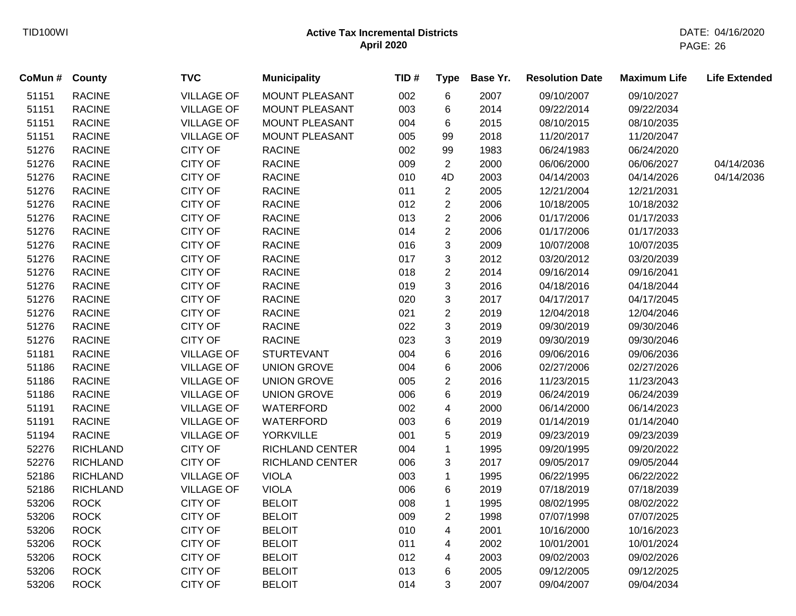| CoMun # County |                 | <b>TVC</b>        | <b>Municipality</b>    | TID# | <b>Type</b>    | Base Yr. | <b>Resolution Date</b> | <b>Maximum Life</b> | <b>Life Extended</b> |
|----------------|-----------------|-------------------|------------------------|------|----------------|----------|------------------------|---------------------|----------------------|
| 51151          | <b>RACINE</b>   | <b>VILLAGE OF</b> | MOUNT PLEASANT         | 002  | $\,6$          | 2007     | 09/10/2007             | 09/10/2027          |                      |
| 51151          | <b>RACINE</b>   | <b>VILLAGE OF</b> | MOUNT PLEASANT         | 003  | 6              | 2014     | 09/22/2014             | 09/22/2034          |                      |
| 51151          | <b>RACINE</b>   | <b>VILLAGE OF</b> | MOUNT PLEASANT         | 004  | 6              | 2015     | 08/10/2015             | 08/10/2035          |                      |
| 51151          | <b>RACINE</b>   | <b>VILLAGE OF</b> | MOUNT PLEASANT         | 005  | 99             | 2018     | 11/20/2017             | 11/20/2047          |                      |
| 51276          | <b>RACINE</b>   | <b>CITY OF</b>    | <b>RACINE</b>          | 002  | 99             | 1983     | 06/24/1983             | 06/24/2020          |                      |
| 51276          | <b>RACINE</b>   | CITY OF           | <b>RACINE</b>          | 009  | $\overline{2}$ | 2000     | 06/06/2000             | 06/06/2027          | 04/14/2036           |
| 51276          | <b>RACINE</b>   | CITY OF           | <b>RACINE</b>          | 010  | 4D             | 2003     | 04/14/2003             | 04/14/2026          | 04/14/2036           |
| 51276          | <b>RACINE</b>   | CITY OF           | <b>RACINE</b>          | 011  | $\mathbf{2}$   | 2005     | 12/21/2004             | 12/21/2031          |                      |
| 51276          | <b>RACINE</b>   | CITY OF           | <b>RACINE</b>          | 012  | $\overline{2}$ | 2006     | 10/18/2005             | 10/18/2032          |                      |
| 51276          | <b>RACINE</b>   | CITY OF           | <b>RACINE</b>          | 013  | $\sqrt{2}$     | 2006     | 01/17/2006             | 01/17/2033          |                      |
| 51276          | <b>RACINE</b>   | CITY OF           | <b>RACINE</b>          | 014  | $\overline{2}$ | 2006     | 01/17/2006             | 01/17/2033          |                      |
| 51276          | <b>RACINE</b>   | CITY OF           | <b>RACINE</b>          | 016  | 3              | 2009     | 10/07/2008             | 10/07/2035          |                      |
| 51276          | <b>RACINE</b>   | CITY OF           | <b>RACINE</b>          | 017  | $\mathbf{3}$   | 2012     | 03/20/2012             | 03/20/2039          |                      |
| 51276          | <b>RACINE</b>   | CITY OF           | <b>RACINE</b>          | 018  | $\overline{2}$ | 2014     | 09/16/2014             | 09/16/2041          |                      |
| 51276          | <b>RACINE</b>   | CITY OF           | <b>RACINE</b>          | 019  | 3              | 2016     | 04/18/2016             | 04/18/2044          |                      |
| 51276          | <b>RACINE</b>   | <b>CITY OF</b>    | <b>RACINE</b>          | 020  | 3              | 2017     | 04/17/2017             | 04/17/2045          |                      |
| 51276          | <b>RACINE</b>   | CITY OF           | <b>RACINE</b>          | 021  | $\overline{2}$ | 2019     | 12/04/2018             | 12/04/2046          |                      |
| 51276          | <b>RACINE</b>   | CITY OF           | <b>RACINE</b>          | 022  | 3              | 2019     | 09/30/2019             | 09/30/2046          |                      |
| 51276          | <b>RACINE</b>   | <b>CITY OF</b>    | <b>RACINE</b>          | 023  | 3              | 2019     | 09/30/2019             | 09/30/2046          |                      |
| 51181          | <b>RACINE</b>   | <b>VILLAGE OF</b> | <b>STURTEVANT</b>      | 004  | 6              | 2016     | 09/06/2016             | 09/06/2036          |                      |
| 51186          | <b>RACINE</b>   | <b>VILLAGE OF</b> | <b>UNION GROVE</b>     | 004  | 6              | 2006     | 02/27/2006             | 02/27/2026          |                      |
| 51186          | <b>RACINE</b>   | <b>VILLAGE OF</b> | <b>UNION GROVE</b>     | 005  | $\overline{2}$ | 2016     | 11/23/2015             | 11/23/2043          |                      |
| 51186          | <b>RACINE</b>   | <b>VILLAGE OF</b> | <b>UNION GROVE</b>     | 006  | $\,6$          | 2019     | 06/24/2019             | 06/24/2039          |                      |
| 51191          | <b>RACINE</b>   | <b>VILLAGE OF</b> | WATERFORD              | 002  | 4              | 2000     | 06/14/2000             | 06/14/2023          |                      |
| 51191          | <b>RACINE</b>   | <b>VILLAGE OF</b> | WATERFORD              | 003  | 6              | 2019     | 01/14/2019             | 01/14/2040          |                      |
| 51194          | <b>RACINE</b>   | <b>VILLAGE OF</b> | <b>YORKVILLE</b>       | 001  | 5              | 2019     | 09/23/2019             | 09/23/2039          |                      |
| 52276          | <b>RICHLAND</b> | CITY OF           | <b>RICHLAND CENTER</b> | 004  | $\mathbf{1}$   | 1995     | 09/20/1995             | 09/20/2022          |                      |
| 52276          | <b>RICHLAND</b> | <b>CITY OF</b>    | <b>RICHLAND CENTER</b> | 006  | 3              | 2017     | 09/05/2017             | 09/05/2044          |                      |
| 52186          | <b>RICHLAND</b> | <b>VILLAGE OF</b> | <b>VIOLA</b>           | 003  | $\mathbf{1}$   | 1995     | 06/22/1995             | 06/22/2022          |                      |
| 52186          | <b>RICHLAND</b> | <b>VILLAGE OF</b> | <b>VIOLA</b>           | 006  | $\,6$          | 2019     | 07/18/2019             | 07/18/2039          |                      |
| 53206          | <b>ROCK</b>     | <b>CITY OF</b>    | <b>BELOIT</b>          | 008  | $\mathbf 1$    | 1995     | 08/02/1995             | 08/02/2022          |                      |
| 53206          | <b>ROCK</b>     | <b>CITY OF</b>    | <b>BELOIT</b>          | 009  | $\sqrt{2}$     | 1998     | 07/07/1998             | 07/07/2025          |                      |
| 53206          | <b>ROCK</b>     | CITY OF           | <b>BELOIT</b>          | 010  | 4              | 2001     | 10/16/2000             | 10/16/2023          |                      |
| 53206          | <b>ROCK</b>     | CITY OF           | <b>BELOIT</b>          | 011  | 4              | 2002     | 10/01/2001             | 10/01/2024          |                      |
| 53206          | <b>ROCK</b>     | CITY OF           | <b>BELOIT</b>          | 012  | 4              | 2003     | 09/02/2003             | 09/02/2026          |                      |
| 53206          | <b>ROCK</b>     | <b>CITY OF</b>    | <b>BELOIT</b>          | 013  | 6              | 2005     | 09/12/2005             | 09/12/2025          |                      |
| 53206          | <b>ROCK</b>     | <b>CITY OF</b>    | <b>BELOIT</b>          | 014  | 3              | 2007     | 09/04/2007             | 09/04/2034          |                      |
|                |                 |                   |                        |      |                |          |                        |                     |                      |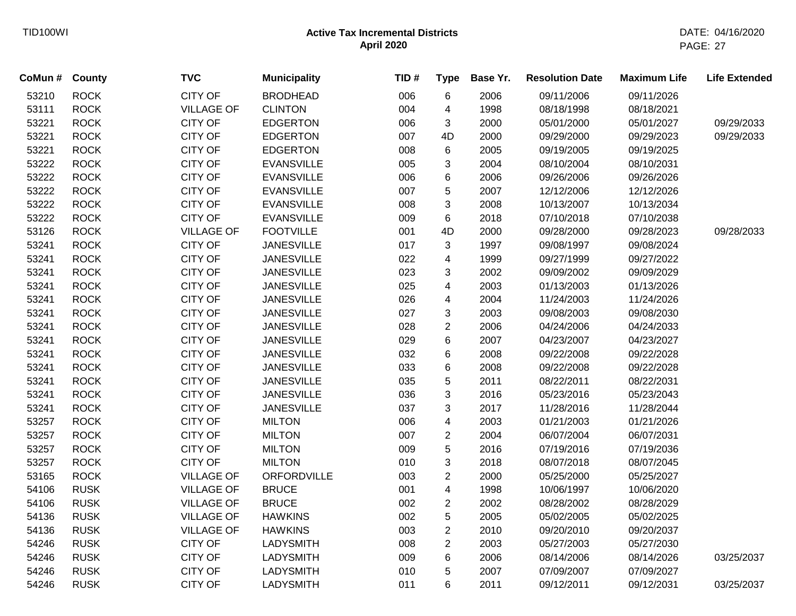| CoMun # | <b>County</b> | <b>TVC</b>        | <b>Municipality</b> | TID# | <b>Type</b>             | Base Yr. | <b>Resolution Date</b> | <b>Maximum Life</b> | <b>Life Extended</b> |
|---------|---------------|-------------------|---------------------|------|-------------------------|----------|------------------------|---------------------|----------------------|
| 53210   | <b>ROCK</b>   | <b>CITY OF</b>    | <b>BRODHEAD</b>     | 006  | 6                       | 2006     | 09/11/2006             | 09/11/2026          |                      |
| 53111   | <b>ROCK</b>   | <b>VILLAGE OF</b> | <b>CLINTON</b>      | 004  | 4                       | 1998     | 08/18/1998             | 08/18/2021          |                      |
| 53221   | <b>ROCK</b>   | <b>CITY OF</b>    | <b>EDGERTON</b>     | 006  | 3                       | 2000     | 05/01/2000             | 05/01/2027          | 09/29/2033           |
| 53221   | <b>ROCK</b>   | <b>CITY OF</b>    | <b>EDGERTON</b>     | 007  | 4D                      | 2000     | 09/29/2000             | 09/29/2023          | 09/29/2033           |
| 53221   | <b>ROCK</b>   | <b>CITY OF</b>    | <b>EDGERTON</b>     | 008  | 6                       | 2005     | 09/19/2005             | 09/19/2025          |                      |
| 53222   | <b>ROCK</b>   | <b>CITY OF</b>    | <b>EVANSVILLE</b>   | 005  | 3                       | 2004     | 08/10/2004             | 08/10/2031          |                      |
| 53222   | <b>ROCK</b>   | <b>CITY OF</b>    | <b>EVANSVILLE</b>   | 006  | 6                       | 2006     | 09/26/2006             | 09/26/2026          |                      |
| 53222   | <b>ROCK</b>   | <b>CITY OF</b>    | <b>EVANSVILLE</b>   | 007  | 5                       | 2007     | 12/12/2006             | 12/12/2026          |                      |
| 53222   | <b>ROCK</b>   | <b>CITY OF</b>    | <b>EVANSVILLE</b>   | 008  | 3                       | 2008     | 10/13/2007             | 10/13/2034          |                      |
| 53222   | <b>ROCK</b>   | <b>CITY OF</b>    | <b>EVANSVILLE</b>   | 009  | 6                       | 2018     | 07/10/2018             | 07/10/2038          |                      |
| 53126   | <b>ROCK</b>   | <b>VILLAGE OF</b> | <b>FOOTVILLE</b>    | 001  | 4D                      | 2000     | 09/28/2000             | 09/28/2023          | 09/28/2033           |
| 53241   | <b>ROCK</b>   | <b>CITY OF</b>    | <b>JANESVILLE</b>   | 017  | 3                       | 1997     | 09/08/1997             | 09/08/2024          |                      |
| 53241   | <b>ROCK</b>   | <b>CITY OF</b>    | <b>JANESVILLE</b>   | 022  | 4                       | 1999     | 09/27/1999             | 09/27/2022          |                      |
| 53241   | <b>ROCK</b>   | <b>CITY OF</b>    | <b>JANESVILLE</b>   | 023  | 3                       | 2002     | 09/09/2002             | 09/09/2029          |                      |
| 53241   | <b>ROCK</b>   | <b>CITY OF</b>    | <b>JANESVILLE</b>   | 025  | 4                       | 2003     | 01/13/2003             | 01/13/2026          |                      |
| 53241   | <b>ROCK</b>   | <b>CITY OF</b>    | <b>JANESVILLE</b>   | 026  | 4                       | 2004     | 11/24/2003             | 11/24/2026          |                      |
| 53241   | <b>ROCK</b>   | <b>CITY OF</b>    | <b>JANESVILLE</b>   | 027  | 3                       | 2003     | 09/08/2003             | 09/08/2030          |                      |
| 53241   | <b>ROCK</b>   | <b>CITY OF</b>    | <b>JANESVILLE</b>   | 028  | $\overline{2}$          | 2006     | 04/24/2006             | 04/24/2033          |                      |
| 53241   | <b>ROCK</b>   | <b>CITY OF</b>    | <b>JANESVILLE</b>   | 029  | 6                       | 2007     | 04/23/2007             | 04/23/2027          |                      |
| 53241   | <b>ROCK</b>   | <b>CITY OF</b>    | <b>JANESVILLE</b>   | 032  | 6                       | 2008     | 09/22/2008             | 09/22/2028          |                      |
| 53241   | <b>ROCK</b>   | <b>CITY OF</b>    | <b>JANESVILLE</b>   | 033  | 6                       | 2008     | 09/22/2008             | 09/22/2028          |                      |
| 53241   | <b>ROCK</b>   | <b>CITY OF</b>    | <b>JANESVILLE</b>   | 035  | 5                       | 2011     | 08/22/2011             | 08/22/2031          |                      |
| 53241   | <b>ROCK</b>   | <b>CITY OF</b>    | <b>JANESVILLE</b>   | 036  | 3                       | 2016     | 05/23/2016             | 05/23/2043          |                      |
| 53241   | <b>ROCK</b>   | <b>CITY OF</b>    | <b>JANESVILLE</b>   | 037  | 3                       | 2017     | 11/28/2016             | 11/28/2044          |                      |
| 53257   | <b>ROCK</b>   | <b>CITY OF</b>    | <b>MILTON</b>       | 006  | 4                       | 2003     | 01/21/2003             | 01/21/2026          |                      |
| 53257   | <b>ROCK</b>   | <b>CITY OF</b>    | <b>MILTON</b>       | 007  | $\overline{c}$          | 2004     | 06/07/2004             | 06/07/2031          |                      |
| 53257   | <b>ROCK</b>   | <b>CITY OF</b>    | <b>MILTON</b>       | 009  | 5                       | 2016     | 07/19/2016             | 07/19/2036          |                      |
| 53257   | <b>ROCK</b>   | <b>CITY OF</b>    | <b>MILTON</b>       | 010  | 3                       | 2018     | 08/07/2018             | 08/07/2045          |                      |
| 53165   | <b>ROCK</b>   | <b>VILLAGE OF</b> | ORFORDVILLE         | 003  | $\overline{2}$          | 2000     | 05/25/2000             | 05/25/2027          |                      |
| 54106   | <b>RUSK</b>   | <b>VILLAGE OF</b> | <b>BRUCE</b>        | 001  | $\overline{\mathbf{4}}$ | 1998     | 10/06/1997             | 10/06/2020          |                      |
| 54106   | <b>RUSK</b>   | <b>VILLAGE OF</b> | <b>BRUCE</b>        | 002  | $\overline{2}$          | 2002     | 08/28/2002             | 08/28/2029          |                      |
| 54136   | <b>RUSK</b>   | <b>VILLAGE OF</b> | <b>HAWKINS</b>      | 002  | 5                       | 2005     | 05/02/2005             | 05/02/2025          |                      |
| 54136   | <b>RUSK</b>   | <b>VILLAGE OF</b> | <b>HAWKINS</b>      | 003  | $\overline{2}$          | 2010     | 09/20/2010             | 09/20/2037          |                      |
| 54246   | <b>RUSK</b>   | <b>CITY OF</b>    | <b>LADYSMITH</b>    | 008  | $\overline{2}$          | 2003     | 05/27/2003             | 05/27/2030          |                      |
| 54246   | <b>RUSK</b>   | <b>CITY OF</b>    | <b>LADYSMITH</b>    | 009  | 6                       | 2006     | 08/14/2006             | 08/14/2026          | 03/25/2037           |
| 54246   | <b>RUSK</b>   | <b>CITY OF</b>    | <b>LADYSMITH</b>    | 010  | 5                       | 2007     | 07/09/2007             | 07/09/2027          |                      |
| 54246   | <b>RUSK</b>   | <b>CITY OF</b>    | <b>LADYSMITH</b>    | 011  | 6                       | 2011     | 09/12/2011             | 09/12/2031          | 03/25/2037           |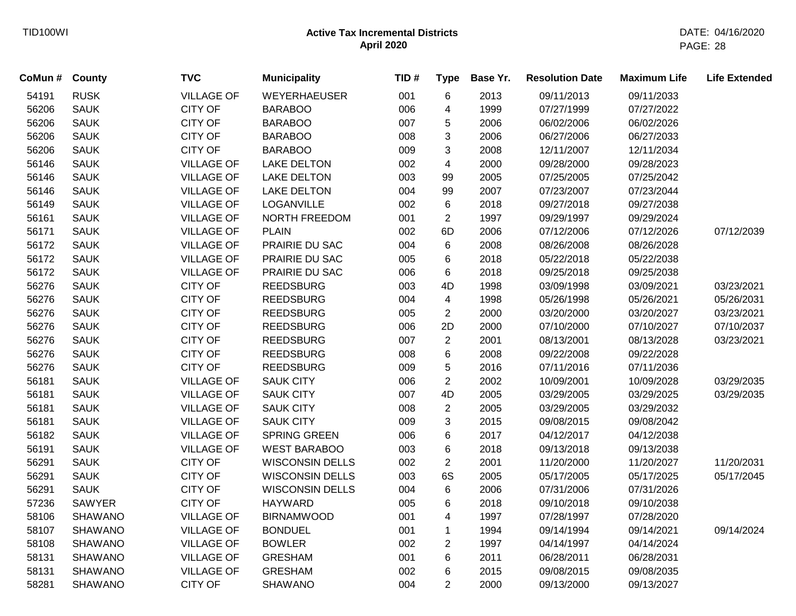| CoMun # | <b>County</b>  | <b>TVC</b>        | <b>Municipality</b>    | TID# | <b>Type</b>    | Base Yr. | <b>Resolution Date</b> | <b>Maximum Life</b> | <b>Life Extended</b> |
|---------|----------------|-------------------|------------------------|------|----------------|----------|------------------------|---------------------|----------------------|
| 54191   | <b>RUSK</b>    | <b>VILLAGE OF</b> | WEYERHAEUSER           | 001  | 6              | 2013     | 09/11/2013             | 09/11/2033          |                      |
| 56206   | <b>SAUK</b>    | <b>CITY OF</b>    | <b>BARABOO</b>         | 006  | 4              | 1999     | 07/27/1999             | 07/27/2022          |                      |
| 56206   | <b>SAUK</b>    | <b>CITY OF</b>    | <b>BARABOO</b>         | 007  | 5              | 2006     | 06/02/2006             | 06/02/2026          |                      |
| 56206   | <b>SAUK</b>    | <b>CITY OF</b>    | <b>BARABOO</b>         | 008  | 3              | 2006     | 06/27/2006             | 06/27/2033          |                      |
| 56206   | <b>SAUK</b>    | <b>CITY OF</b>    | <b>BARABOO</b>         | 009  | 3              | 2008     | 12/11/2007             | 12/11/2034          |                      |
| 56146   | <b>SAUK</b>    | <b>VILLAGE OF</b> | <b>LAKE DELTON</b>     | 002  | 4              | 2000     | 09/28/2000             | 09/28/2023          |                      |
| 56146   | <b>SAUK</b>    | <b>VILLAGE OF</b> | <b>LAKE DELTON</b>     | 003  | 99             | 2005     | 07/25/2005             | 07/25/2042          |                      |
| 56146   | <b>SAUK</b>    | <b>VILLAGE OF</b> | <b>LAKE DELTON</b>     | 004  | 99             | 2007     | 07/23/2007             | 07/23/2044          |                      |
| 56149   | <b>SAUK</b>    | <b>VILLAGE OF</b> | LOGANVILLE             | 002  | $\,6$          | 2018     | 09/27/2018             | 09/27/2038          |                      |
| 56161   | <b>SAUK</b>    | <b>VILLAGE OF</b> | NORTH FREEDOM          | 001  | $\overline{2}$ | 1997     | 09/29/1997             | 09/29/2024          |                      |
| 56171   | <b>SAUK</b>    | <b>VILLAGE OF</b> | <b>PLAIN</b>           | 002  | 6D             | 2006     | 07/12/2006             | 07/12/2026          | 07/12/2039           |
| 56172   | <b>SAUK</b>    | <b>VILLAGE OF</b> | PRAIRIE DU SAC         | 004  | 6              | 2008     | 08/26/2008             | 08/26/2028          |                      |
| 56172   | <b>SAUK</b>    | <b>VILLAGE OF</b> | PRAIRIE DU SAC         | 005  | 6              | 2018     | 05/22/2018             | 05/22/2038          |                      |
| 56172   | <b>SAUK</b>    | <b>VILLAGE OF</b> | PRAIRIE DU SAC         | 006  | 6              | 2018     | 09/25/2018             | 09/25/2038          |                      |
| 56276   | <b>SAUK</b>    | <b>CITY OF</b>    | <b>REEDSBURG</b>       | 003  | 4D             | 1998     | 03/09/1998             | 03/09/2021          | 03/23/2021           |
| 56276   | <b>SAUK</b>    | <b>CITY OF</b>    | <b>REEDSBURG</b>       | 004  | 4              | 1998     | 05/26/1998             | 05/26/2021          | 05/26/2031           |
| 56276   | <b>SAUK</b>    | <b>CITY OF</b>    | <b>REEDSBURG</b>       | 005  | $\overline{2}$ | 2000     | 03/20/2000             | 03/20/2027          | 03/23/2021           |
| 56276   | <b>SAUK</b>    | <b>CITY OF</b>    | <b>REEDSBURG</b>       | 006  | 2D             | 2000     | 07/10/2000             | 07/10/2027          | 07/10/2037           |
| 56276   | <b>SAUK</b>    | <b>CITY OF</b>    | <b>REEDSBURG</b>       | 007  | $\overline{c}$ | 2001     | 08/13/2001             | 08/13/2028          | 03/23/2021           |
| 56276   | <b>SAUK</b>    | <b>CITY OF</b>    | <b>REEDSBURG</b>       | 008  | 6              | 2008     | 09/22/2008             | 09/22/2028          |                      |
| 56276   | <b>SAUK</b>    | <b>CITY OF</b>    | <b>REEDSBURG</b>       | 009  | 5              | 2016     | 07/11/2016             | 07/11/2036          |                      |
| 56181   | <b>SAUK</b>    | <b>VILLAGE OF</b> | <b>SAUK CITY</b>       | 006  | $\overline{2}$ | 2002     | 10/09/2001             | 10/09/2028          | 03/29/2035           |
| 56181   | <b>SAUK</b>    | <b>VILLAGE OF</b> | <b>SAUK CITY</b>       | 007  | 4D             | 2005     | 03/29/2005             | 03/29/2025          | 03/29/2035           |
| 56181   | <b>SAUK</b>    | <b>VILLAGE OF</b> | <b>SAUK CITY</b>       | 008  | $\overline{c}$ | 2005     | 03/29/2005             | 03/29/2032          |                      |
| 56181   | <b>SAUK</b>    | <b>VILLAGE OF</b> | <b>SAUK CITY</b>       | 009  | 3              | 2015     | 09/08/2015             | 09/08/2042          |                      |
| 56182   | <b>SAUK</b>    | <b>VILLAGE OF</b> | <b>SPRING GREEN</b>    | 006  | 6              | 2017     | 04/12/2017             | 04/12/2038          |                      |
| 56191   | <b>SAUK</b>    | <b>VILLAGE OF</b> | <b>WEST BARABOO</b>    | 003  | 6              | 2018     | 09/13/2018             | 09/13/2038          |                      |
| 56291   | <b>SAUK</b>    | <b>CITY OF</b>    | <b>WISCONSIN DELLS</b> | 002  | $\overline{2}$ | 2001     | 11/20/2000             | 11/20/2027          | 11/20/2031           |
| 56291   | <b>SAUK</b>    | <b>CITY OF</b>    | <b>WISCONSIN DELLS</b> | 003  | 6S             | 2005     | 05/17/2005             | 05/17/2025          | 05/17/2045           |
| 56291   | <b>SAUK</b>    | <b>CITY OF</b>    | <b>WISCONSIN DELLS</b> | 004  | 6              | 2006     | 07/31/2006             | 07/31/2026          |                      |
| 57236   | <b>SAWYER</b>  | <b>CITY OF</b>    | <b>HAYWARD</b>         | 005  | 6              | 2018     | 09/10/2018             | 09/10/2038          |                      |
| 58106   | <b>SHAWANO</b> | <b>VILLAGE OF</b> | <b>BIRNAMWOOD</b>      | 001  | 4              | 1997     | 07/28/1997             | 07/28/2020          |                      |
| 58107   | <b>SHAWANO</b> | <b>VILLAGE OF</b> | <b>BONDUEL</b>         | 001  | $\mathbf{1}$   | 1994     | 09/14/1994             | 09/14/2021          | 09/14/2024           |
| 58108   | <b>SHAWANO</b> | <b>VILLAGE OF</b> | <b>BOWLER</b>          | 002  | $\overline{c}$ | 1997     | 04/14/1997             | 04/14/2024          |                      |
| 58131   | <b>SHAWANO</b> | <b>VILLAGE OF</b> | <b>GRESHAM</b>         | 001  | 6              | 2011     | 06/28/2011             | 06/28/2031          |                      |
| 58131   | <b>SHAWANO</b> | <b>VILLAGE OF</b> | <b>GRESHAM</b>         | 002  | 6              | 2015     | 09/08/2015             | 09/08/2035          |                      |
| 58281   | <b>SHAWANO</b> | <b>CITY OF</b>    | <b>SHAWANO</b>         | 004  | $\overline{2}$ | 2000     | 09/13/2000             | 09/13/2027          |                      |
|         |                |                   |                        |      |                |          |                        |                     |                      |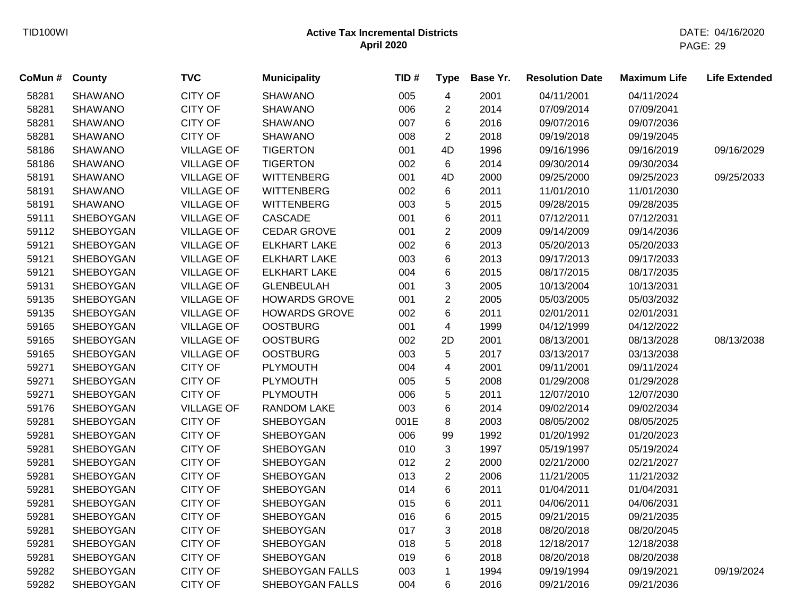| CoMun # | County         | <b>TVC</b>        | <b>Municipality</b>  | TID# | <b>Type</b>             | Base Yr. | <b>Resolution Date</b> | <b>Maximum Life</b> | <b>Life Extended</b> |
|---------|----------------|-------------------|----------------------|------|-------------------------|----------|------------------------|---------------------|----------------------|
| 58281   | <b>SHAWANO</b> | <b>CITY OF</b>    | <b>SHAWANO</b>       | 005  | $\overline{\mathbf{4}}$ | 2001     | 04/11/2001             | 04/11/2024          |                      |
| 58281   | <b>SHAWANO</b> | <b>CITY OF</b>    | <b>SHAWANO</b>       | 006  | $\overline{2}$          | 2014     | 07/09/2014             | 07/09/2041          |                      |
| 58281   | <b>SHAWANO</b> | <b>CITY OF</b>    | <b>SHAWANO</b>       | 007  | 6                       | 2016     | 09/07/2016             | 09/07/2036          |                      |
| 58281   | <b>SHAWANO</b> | <b>CITY OF</b>    | <b>SHAWANO</b>       | 008  | $\overline{2}$          | 2018     | 09/19/2018             | 09/19/2045          |                      |
| 58186   | <b>SHAWANO</b> | <b>VILLAGE OF</b> | <b>TIGERTON</b>      | 001  | 4D                      | 1996     | 09/16/1996             | 09/16/2019          | 09/16/2029           |
| 58186   | <b>SHAWANO</b> | <b>VILLAGE OF</b> | <b>TIGERTON</b>      | 002  | 6                       | 2014     | 09/30/2014             | 09/30/2034          |                      |
| 58191   | <b>SHAWANO</b> | <b>VILLAGE OF</b> | <b>WITTENBERG</b>    | 001  | 4D                      | 2000     | 09/25/2000             | 09/25/2023          | 09/25/2033           |
| 58191   | <b>SHAWANO</b> | <b>VILLAGE OF</b> | <b>WITTENBERG</b>    | 002  | 6                       | 2011     | 11/01/2010             | 11/01/2030          |                      |
| 58191   | <b>SHAWANO</b> | <b>VILLAGE OF</b> | <b>WITTENBERG</b>    | 003  | 5                       | 2015     | 09/28/2015             | 09/28/2035          |                      |
| 59111   | SHEBOYGAN      | <b>VILLAGE OF</b> | <b>CASCADE</b>       | 001  | 6                       | 2011     | 07/12/2011             | 07/12/2031          |                      |
| 59112   | SHEBOYGAN      | <b>VILLAGE OF</b> | <b>CEDAR GROVE</b>   | 001  | $\overline{2}$          | 2009     | 09/14/2009             | 09/14/2036          |                      |
| 59121   | SHEBOYGAN      | <b>VILLAGE OF</b> | <b>ELKHART LAKE</b>  | 002  | 6                       | 2013     | 05/20/2013             | 05/20/2033          |                      |
| 59121   | SHEBOYGAN      | <b>VILLAGE OF</b> | <b>ELKHART LAKE</b>  | 003  | 6                       | 2013     | 09/17/2013             | 09/17/2033          |                      |
| 59121   | SHEBOYGAN      | <b>VILLAGE OF</b> | <b>ELKHART LAKE</b>  | 004  | 6                       | 2015     | 08/17/2015             | 08/17/2035          |                      |
| 59131   | SHEBOYGAN      | <b>VILLAGE OF</b> | <b>GLENBEULAH</b>    | 001  | 3                       | 2005     | 10/13/2004             | 10/13/2031          |                      |
| 59135   | SHEBOYGAN      | <b>VILLAGE OF</b> | <b>HOWARDS GROVE</b> | 001  | $\overline{2}$          | 2005     | 05/03/2005             | 05/03/2032          |                      |
| 59135   | SHEBOYGAN      | <b>VILLAGE OF</b> | <b>HOWARDS GROVE</b> | 002  | 6                       | 2011     | 02/01/2011             | 02/01/2031          |                      |
| 59165   | SHEBOYGAN      | <b>VILLAGE OF</b> | <b>OOSTBURG</b>      | 001  | 4                       | 1999     | 04/12/1999             | 04/12/2022          |                      |
| 59165   | SHEBOYGAN      | <b>VILLAGE OF</b> | <b>OOSTBURG</b>      | 002  | 2D                      | 2001     | 08/13/2001             | 08/13/2028          | 08/13/2038           |
| 59165   | SHEBOYGAN      | <b>VILLAGE OF</b> | <b>OOSTBURG</b>      | 003  | 5                       | 2017     | 03/13/2017             | 03/13/2038          |                      |
| 59271   | SHEBOYGAN      | <b>CITY OF</b>    | <b>PLYMOUTH</b>      | 004  | $\overline{\mathbf{4}}$ | 2001     | 09/11/2001             | 09/11/2024          |                      |
| 59271   | SHEBOYGAN      | <b>CITY OF</b>    | <b>PLYMOUTH</b>      | 005  | 5                       | 2008     | 01/29/2008             | 01/29/2028          |                      |
| 59271   | SHEBOYGAN      | <b>CITY OF</b>    | <b>PLYMOUTH</b>      | 006  | 5                       | 2011     | 12/07/2010             | 12/07/2030          |                      |
| 59176   | SHEBOYGAN      | <b>VILLAGE OF</b> | RANDOM LAKE          | 003  | 6                       | 2014     | 09/02/2014             | 09/02/2034          |                      |
| 59281   | SHEBOYGAN      | <b>CITY OF</b>    | <b>SHEBOYGAN</b>     | 001E | 8                       | 2003     | 08/05/2002             | 08/05/2025          |                      |
| 59281   | SHEBOYGAN      | <b>CITY OF</b>    | SHEBOYGAN            | 006  | 99                      | 1992     | 01/20/1992             | 01/20/2023          |                      |
| 59281   | SHEBOYGAN      | <b>CITY OF</b>    | SHEBOYGAN            | 010  | 3                       | 1997     | 05/19/1997             | 05/19/2024          |                      |
| 59281   | SHEBOYGAN      | CITY OF           | SHEBOYGAN            | 012  | $\overline{2}$          | 2000     | 02/21/2000             | 02/21/2027          |                      |
| 59281   | SHEBOYGAN      | CITY OF           | SHEBOYGAN            | 013  | $\overline{2}$          | 2006     | 11/21/2005             | 11/21/2032          |                      |
| 59281   | SHEBOYGAN      | <b>CITY OF</b>    | <b>SHEBOYGAN</b>     | 014  | 6                       | 2011     | 01/04/2011             | 01/04/2031          |                      |
| 59281   | SHEBOYGAN      | <b>CITY OF</b>    | SHEBOYGAN            | 015  | 6                       | 2011     | 04/06/2011             | 04/06/2031          |                      |
| 59281   | SHEBOYGAN      | <b>CITY OF</b>    | <b>SHEBOYGAN</b>     | 016  | 6                       | 2015     | 09/21/2015             | 09/21/2035          |                      |
| 59281   | SHEBOYGAN      | <b>CITY OF</b>    | SHEBOYGAN            | 017  | 3                       | 2018     | 08/20/2018             | 08/20/2045          |                      |
| 59281   | SHEBOYGAN      | <b>CITY OF</b>    | SHEBOYGAN            | 018  | 5                       | 2018     | 12/18/2017             | 12/18/2038          |                      |
| 59281   | SHEBOYGAN      | <b>CITY OF</b>    | SHEBOYGAN            | 019  | 6                       | 2018     | 08/20/2018             | 08/20/2038          |                      |
| 59282   | SHEBOYGAN      | <b>CITY OF</b>    | SHEBOYGAN FALLS      | 003  | $\mathbf{1}$            | 1994     | 09/19/1994             | 09/19/2021          | 09/19/2024           |
| 59282   | SHEBOYGAN      | <b>CITY OF</b>    | SHEBOYGAN FALLS      | 004  | 6                       | 2016     | 09/21/2016             | 09/21/2036          |                      |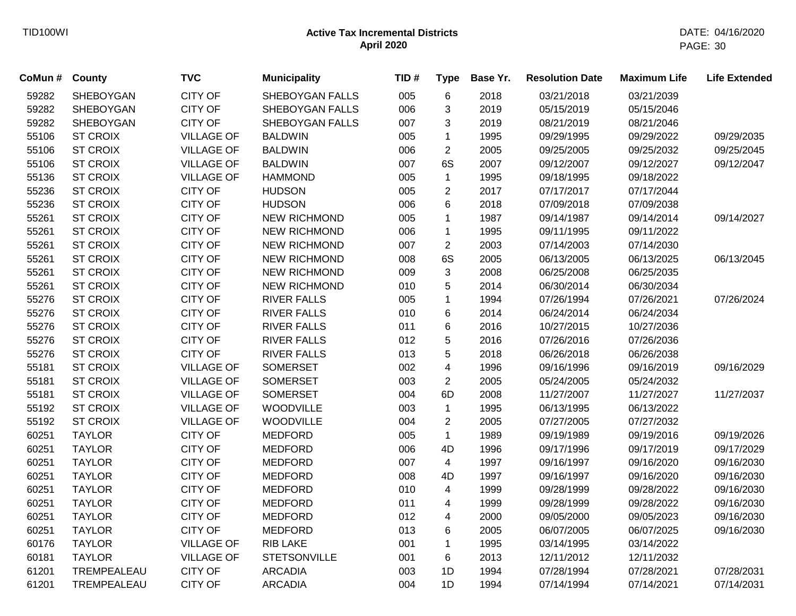| CoMun # | <b>County</b>    | <b>TVC</b>        | <b>Municipality</b> | TID# | <b>Type</b>    | Base Yr. | <b>Resolution Date</b> | <b>Maximum Life</b> | <b>Life Extended</b> |
|---------|------------------|-------------------|---------------------|------|----------------|----------|------------------------|---------------------|----------------------|
| 59282   | SHEBOYGAN        | <b>CITY OF</b>    | SHEBOYGAN FALLS     | 005  | $\,6$          | 2018     | 03/21/2018             | 03/21/2039          |                      |
| 59282   | <b>SHEBOYGAN</b> | <b>CITY OF</b>    | SHEBOYGAN FALLS     | 006  | 3              | 2019     | 05/15/2019             | 05/15/2046          |                      |
| 59282   | <b>SHEBOYGAN</b> | <b>CITY OF</b>    | SHEBOYGAN FALLS     | 007  | 3              | 2019     | 08/21/2019             | 08/21/2046          |                      |
| 55106   | <b>ST CROIX</b>  | <b>VILLAGE OF</b> | <b>BALDWIN</b>      | 005  | 1              | 1995     | 09/29/1995             | 09/29/2022          | 09/29/2035           |
| 55106   | <b>ST CROIX</b>  | <b>VILLAGE OF</b> | <b>BALDWIN</b>      | 006  | $\overline{2}$ | 2005     | 09/25/2005             | 09/25/2032          | 09/25/2045           |
| 55106   | <b>ST CROIX</b>  | <b>VILLAGE OF</b> | <b>BALDWIN</b>      | 007  | 6S             | 2007     | 09/12/2007             | 09/12/2027          | 09/12/2047           |
| 55136   | <b>ST CROIX</b>  | <b>VILLAGE OF</b> | <b>HAMMOND</b>      | 005  | $\mathbf{1}$   | 1995     | 09/18/1995             | 09/18/2022          |                      |
| 55236   | <b>ST CROIX</b>  | <b>CITY OF</b>    | <b>HUDSON</b>       | 005  | $\overline{c}$ | 2017     | 07/17/2017             | 07/17/2044          |                      |
| 55236   | <b>ST CROIX</b>  | <b>CITY OF</b>    | <b>HUDSON</b>       | 006  | 6              | 2018     | 07/09/2018             | 07/09/2038          |                      |
| 55261   | <b>ST CROIX</b>  | <b>CITY OF</b>    | <b>NEW RICHMOND</b> | 005  | $\mathbf{1}$   | 1987     | 09/14/1987             | 09/14/2014          | 09/14/2027           |
| 55261   | <b>ST CROIX</b>  | <b>CITY OF</b>    | <b>NEW RICHMOND</b> | 006  | 1              | 1995     | 09/11/1995             | 09/11/2022          |                      |
| 55261   | <b>ST CROIX</b>  | <b>CITY OF</b>    | <b>NEW RICHMOND</b> | 007  | $\overline{2}$ | 2003     | 07/14/2003             | 07/14/2030          |                      |
| 55261   | <b>ST CROIX</b>  | <b>CITY OF</b>    | <b>NEW RICHMOND</b> | 008  | 6S             | 2005     | 06/13/2005             | 06/13/2025          | 06/13/2045           |
| 55261   | <b>ST CROIX</b>  | <b>CITY OF</b>    | <b>NEW RICHMOND</b> | 009  | $\mathbf{3}$   | 2008     | 06/25/2008             | 06/25/2035          |                      |
| 55261   | <b>ST CROIX</b>  | <b>CITY OF</b>    | <b>NEW RICHMOND</b> | 010  | 5              | 2014     | 06/30/2014             | 06/30/2034          |                      |
| 55276   | <b>ST CROIX</b>  | <b>CITY OF</b>    | <b>RIVER FALLS</b>  | 005  | $\mathbf{1}$   | 1994     | 07/26/1994             | 07/26/2021          | 07/26/2024           |
| 55276   | <b>ST CROIX</b>  | <b>CITY OF</b>    | <b>RIVER FALLS</b>  | 010  | 6              | 2014     | 06/24/2014             | 06/24/2034          |                      |
| 55276   | <b>ST CROIX</b>  | <b>CITY OF</b>    | <b>RIVER FALLS</b>  | 011  | 6              | 2016     | 10/27/2015             | 10/27/2036          |                      |
| 55276   | <b>ST CROIX</b>  | <b>CITY OF</b>    | <b>RIVER FALLS</b>  | 012  | 5              | 2016     | 07/26/2016             | 07/26/2036          |                      |
| 55276   | <b>ST CROIX</b>  | <b>CITY OF</b>    | <b>RIVER FALLS</b>  | 013  | 5              | 2018     | 06/26/2018             | 06/26/2038          |                      |
| 55181   | <b>ST CROIX</b>  | <b>VILLAGE OF</b> | <b>SOMERSET</b>     | 002  | 4              | 1996     | 09/16/1996             | 09/16/2019          | 09/16/2029           |
| 55181   | <b>ST CROIX</b>  | <b>VILLAGE OF</b> | <b>SOMERSET</b>     | 003  | $\overline{c}$ | 2005     | 05/24/2005             | 05/24/2032          |                      |
| 55181   | <b>ST CROIX</b>  | <b>VILLAGE OF</b> | <b>SOMERSET</b>     | 004  | 6D             | 2008     | 11/27/2007             | 11/27/2027          | 11/27/2037           |
| 55192   | <b>ST CROIX</b>  | <b>VILLAGE OF</b> | <b>WOODVILLE</b>    | 003  | $\mathbf{1}$   | 1995     | 06/13/1995             | 06/13/2022          |                      |
| 55192   | <b>ST CROIX</b>  | <b>VILLAGE OF</b> | WOODVILLE           | 004  | $\overline{c}$ | 2005     | 07/27/2005             | 07/27/2032          |                      |
| 60251   | <b>TAYLOR</b>    | <b>CITY OF</b>    | <b>MEDFORD</b>      | 005  | $\mathbf{1}$   | 1989     | 09/19/1989             | 09/19/2016          | 09/19/2026           |
| 60251   | <b>TAYLOR</b>    | <b>CITY OF</b>    | <b>MEDFORD</b>      | 006  | 4D             | 1996     | 09/17/1996             | 09/17/2019          | 09/17/2029           |
| 60251   | <b>TAYLOR</b>    | <b>CITY OF</b>    | <b>MEDFORD</b>      | 007  | $\overline{4}$ | 1997     | 09/16/1997             | 09/16/2020          | 09/16/2030           |
| 60251   | <b>TAYLOR</b>    | <b>CITY OF</b>    | <b>MEDFORD</b>      | 008  | 4D             | 1997     | 09/16/1997             | 09/16/2020          | 09/16/2030           |
| 60251   | <b>TAYLOR</b>    | <b>CITY OF</b>    | <b>MEDFORD</b>      | 010  | $\overline{4}$ | 1999     | 09/28/1999             | 09/28/2022          | 09/16/2030           |
| 60251   | <b>TAYLOR</b>    | <b>CITY OF</b>    | <b>MEDFORD</b>      | 011  | 4              | 1999     | 09/28/1999             | 09/28/2022          | 09/16/2030           |
| 60251   | <b>TAYLOR</b>    | <b>CITY OF</b>    | <b>MEDFORD</b>      | 012  | 4              | 2000     | 09/05/2000             | 09/05/2023          | 09/16/2030           |
| 60251   | <b>TAYLOR</b>    | <b>CITY OF</b>    | <b>MEDFORD</b>      | 013  | 6              | 2005     | 06/07/2005             | 06/07/2025          | 09/16/2030           |
| 60176   | <b>TAYLOR</b>    | <b>VILLAGE OF</b> | <b>RIB LAKE</b>     | 001  | $\mathbf{1}$   | 1995     | 03/14/1995             | 03/14/2022          |                      |
| 60181   | <b>TAYLOR</b>    | <b>VILLAGE OF</b> | <b>STETSONVILLE</b> | 001  | 6              | 2013     | 12/11/2012             | 12/11/2032          |                      |
| 61201   | TREMPEALEAU      | <b>CITY OF</b>    | <b>ARCADIA</b>      | 003  | 1D             | 1994     | 07/28/1994             | 07/28/2021          | 07/28/2031           |
| 61201   | TREMPEALEAU      | <b>CITY OF</b>    | <b>ARCADIA</b>      | 004  | 1D             | 1994     | 07/14/1994             | 07/14/2021          | 07/14/2031           |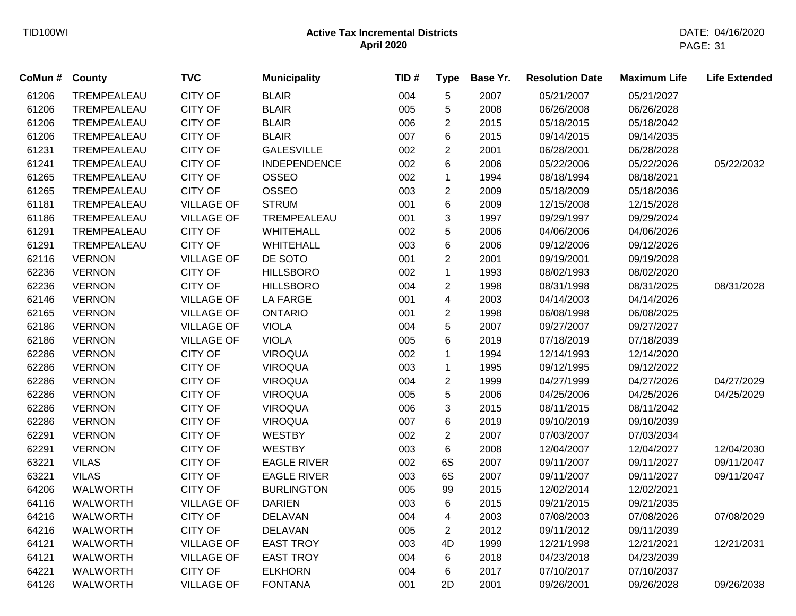| CoMun # | County          | <b>TVC</b>        | <b>Municipality</b> | TID# | <b>Type</b>             | Base Yr. | <b>Resolution Date</b> | <b>Maximum Life</b> | <b>Life Extended</b> |
|---------|-----------------|-------------------|---------------------|------|-------------------------|----------|------------------------|---------------------|----------------------|
| 61206   | TREMPEALEAU     | <b>CITY OF</b>    | <b>BLAIR</b>        | 004  | 5                       | 2007     | 05/21/2007             | 05/21/2027          |                      |
| 61206   | TREMPEALEAU     | <b>CITY OF</b>    | <b>BLAIR</b>        | 005  | 5                       | 2008     | 06/26/2008             | 06/26/2028          |                      |
| 61206   | TREMPEALEAU     | <b>CITY OF</b>    | <b>BLAIR</b>        | 006  | 2                       | 2015     | 05/18/2015             | 05/18/2042          |                      |
| 61206   | TREMPEALEAU     | <b>CITY OF</b>    | <b>BLAIR</b>        | 007  | 6                       | 2015     | 09/14/2015             | 09/14/2035          |                      |
| 61231   | TREMPEALEAU     | <b>CITY OF</b>    | <b>GALESVILLE</b>   | 002  | $\overline{c}$          | 2001     | 06/28/2001             | 06/28/2028          |                      |
| 61241   | TREMPEALEAU     | <b>CITY OF</b>    | <b>INDEPENDENCE</b> | 002  | 6                       | 2006     | 05/22/2006             | 05/22/2026          | 05/22/2032           |
| 61265   | TREMPEALEAU     | <b>CITY OF</b>    | OSSEO               | 002  | $\mathbf{1}$            | 1994     | 08/18/1994             | 08/18/2021          |                      |
| 61265   | TREMPEALEAU     | <b>CITY OF</b>    | OSSEO               | 003  | $\overline{c}$          | 2009     | 05/18/2009             | 05/18/2036          |                      |
| 61181   | TREMPEALEAU     | <b>VILLAGE OF</b> | <b>STRUM</b>        | 001  | 6                       | 2009     | 12/15/2008             | 12/15/2028          |                      |
| 61186   | TREMPEALEAU     | <b>VILLAGE OF</b> | TREMPEALEAU         | 001  | 3                       | 1997     | 09/29/1997             | 09/29/2024          |                      |
| 61291   | TREMPEALEAU     | <b>CITY OF</b>    | <b>WHITEHALL</b>    | 002  | 5                       | 2006     | 04/06/2006             | 04/06/2026          |                      |
| 61291   | TREMPEALEAU     | <b>CITY OF</b>    | <b>WHITEHALL</b>    | 003  | 6                       | 2006     | 09/12/2006             | 09/12/2026          |                      |
| 62116   | <b>VERNON</b>   | <b>VILLAGE OF</b> | DE SOTO             | 001  | $\overline{c}$          | 2001     | 09/19/2001             | 09/19/2028          |                      |
| 62236   | <b>VERNON</b>   | <b>CITY OF</b>    | <b>HILLSBORO</b>    | 002  | $\mathbf{1}$            | 1993     | 08/02/1993             | 08/02/2020          |                      |
| 62236   | <b>VERNON</b>   | <b>CITY OF</b>    | <b>HILLSBORO</b>    | 004  | $\overline{c}$          | 1998     | 08/31/1998             | 08/31/2025          | 08/31/2028           |
| 62146   | <b>VERNON</b>   | <b>VILLAGE OF</b> | <b>LA FARGE</b>     | 001  | 4                       | 2003     | 04/14/2003             | 04/14/2026          |                      |
| 62165   | <b>VERNON</b>   | <b>VILLAGE OF</b> | <b>ONTARIO</b>      | 001  | $\overline{c}$          | 1998     | 06/08/1998             | 06/08/2025          |                      |
| 62186   | <b>VERNON</b>   | <b>VILLAGE OF</b> | <b>VIOLA</b>        | 004  | 5                       | 2007     | 09/27/2007             | 09/27/2027          |                      |
| 62186   | <b>VERNON</b>   | <b>VILLAGE OF</b> | <b>VIOLA</b>        | 005  | 6                       | 2019     | 07/18/2019             | 07/18/2039          |                      |
| 62286   | <b>VERNON</b>   | <b>CITY OF</b>    | <b>VIROQUA</b>      | 002  | 1                       | 1994     | 12/14/1993             | 12/14/2020          |                      |
| 62286   | <b>VERNON</b>   | <b>CITY OF</b>    | <b>VIROQUA</b>      | 003  | $\mathbf{1}$            | 1995     | 09/12/1995             | 09/12/2022          |                      |
| 62286   | <b>VERNON</b>   | <b>CITY OF</b>    | <b>VIROQUA</b>      | 004  | $\overline{\mathbf{c}}$ | 1999     | 04/27/1999             | 04/27/2026          | 04/27/2029           |
| 62286   | <b>VERNON</b>   | <b>CITY OF</b>    | <b>VIROQUA</b>      | 005  | 5                       | 2006     | 04/25/2006             | 04/25/2026          | 04/25/2029           |
| 62286   | <b>VERNON</b>   | <b>CITY OF</b>    | <b>VIROQUA</b>      | 006  | 3                       | 2015     | 08/11/2015             | 08/11/2042          |                      |
| 62286   | <b>VERNON</b>   | <b>CITY OF</b>    | <b>VIROQUA</b>      | 007  | 6                       | 2019     | 09/10/2019             | 09/10/2039          |                      |
| 62291   | <b>VERNON</b>   | <b>CITY OF</b>    | <b>WESTBY</b>       | 002  | $\overline{2}$          | 2007     | 07/03/2007             | 07/03/2034          |                      |
| 62291   | <b>VERNON</b>   | <b>CITY OF</b>    | <b>WESTBY</b>       | 003  | 6                       | 2008     | 12/04/2007             | 12/04/2027          | 12/04/2030           |
| 63221   | <b>VILAS</b>    | <b>CITY OF</b>    | <b>EAGLE RIVER</b>  | 002  | 6S                      | 2007     | 09/11/2007             | 09/11/2027          | 09/11/2047           |
| 63221   | <b>VILAS</b>    | <b>CITY OF</b>    | <b>EAGLE RIVER</b>  | 003  | 6S                      | 2007     | 09/11/2007             | 09/11/2027          | 09/11/2047           |
| 64206   | <b>WALWORTH</b> | <b>CITY OF</b>    | <b>BURLINGTON</b>   | 005  | 99                      | 2015     | 12/02/2014             | 12/02/2021          |                      |
| 64116   | <b>WALWORTH</b> | <b>VILLAGE OF</b> | <b>DARIEN</b>       | 003  | 6                       | 2015     | 09/21/2015             | 09/21/2035          |                      |
| 64216   | <b>WALWORTH</b> | <b>CITY OF</b>    | <b>DELAVAN</b>      | 004  | 4                       | 2003     | 07/08/2003             | 07/08/2026          | 07/08/2029           |
| 64216   | <b>WALWORTH</b> | <b>CITY OF</b>    | <b>DELAVAN</b>      | 005  | $\overline{2}$          | 2012     | 09/11/2012             | 09/11/2039          |                      |
| 64121   | <b>WALWORTH</b> | <b>VILLAGE OF</b> | <b>EAST TROY</b>    | 003  | 4D                      | 1999     | 12/21/1998             | 12/21/2021          | 12/21/2031           |
| 64121   | <b>WALWORTH</b> | <b>VILLAGE OF</b> | <b>EAST TROY</b>    | 004  | 6                       | 2018     | 04/23/2018             | 04/23/2039          |                      |
| 64221   | <b>WALWORTH</b> | <b>CITY OF</b>    | <b>ELKHORN</b>      | 004  | 6                       | 2017     | 07/10/2017             | 07/10/2037          |                      |
| 64126   | <b>WALWORTH</b> | <b>VILLAGE OF</b> | <b>FONTANA</b>      | 001  | 2D                      | 2001     | 09/26/2001             | 09/26/2028          | 09/26/2038           |
|         |                 |                   |                     |      |                         |          |                        |                     |                      |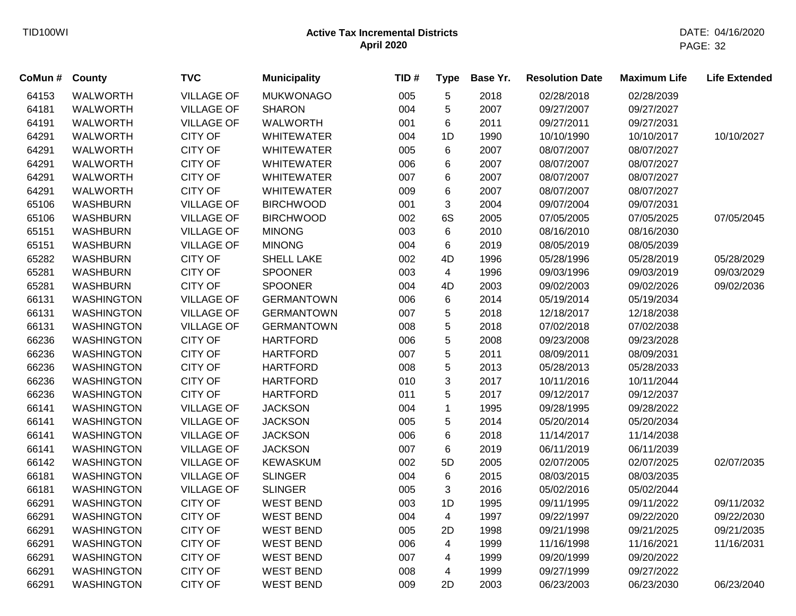| CoMun # | <b>County</b>     | <b>TVC</b>        | <b>Municipality</b> | TID# | <b>Type</b>    | Base Yr. | <b>Resolution Date</b> | <b>Maximum Life</b> | <b>Life Extended</b> |
|---------|-------------------|-------------------|---------------------|------|----------------|----------|------------------------|---------------------|----------------------|
| 64153   | <b>WALWORTH</b>   | <b>VILLAGE OF</b> | <b>MUKWONAGO</b>    | 005  | 5              | 2018     | 02/28/2018             | 02/28/2039          |                      |
| 64181   | <b>WALWORTH</b>   | <b>VILLAGE OF</b> | <b>SHARON</b>       | 004  | 5              | 2007     | 09/27/2007             | 09/27/2027          |                      |
| 64191   | <b>WALWORTH</b>   | <b>VILLAGE OF</b> | <b>WALWORTH</b>     | 001  | 6              | 2011     | 09/27/2011             | 09/27/2031          |                      |
| 64291   | <b>WALWORTH</b>   | <b>CITY OF</b>    | <b>WHITEWATER</b>   | 004  | 1D             | 1990     | 10/10/1990             | 10/10/2017          | 10/10/2027           |
| 64291   | <b>WALWORTH</b>   | <b>CITY OF</b>    | <b>WHITEWATER</b>   | 005  | 6              | 2007     | 08/07/2007             | 08/07/2027          |                      |
| 64291   | <b>WALWORTH</b>   | <b>CITY OF</b>    | <b>WHITEWATER</b>   | 006  | 6              | 2007     | 08/07/2007             | 08/07/2027          |                      |
| 64291   | <b>WALWORTH</b>   | <b>CITY OF</b>    | <b>WHITEWATER</b>   | 007  | 6              | 2007     | 08/07/2007             | 08/07/2027          |                      |
| 64291   | <b>WALWORTH</b>   | <b>CITY OF</b>    | <b>WHITEWATER</b>   | 009  | 6              | 2007     | 08/07/2007             | 08/07/2027          |                      |
| 65106   | <b>WASHBURN</b>   | <b>VILLAGE OF</b> | <b>BIRCHWOOD</b>    | 001  | 3              | 2004     | 09/07/2004             | 09/07/2031          |                      |
| 65106   | <b>WASHBURN</b>   | <b>VILLAGE OF</b> | <b>BIRCHWOOD</b>    | 002  | 6S             | 2005     | 07/05/2005             | 07/05/2025          | 07/05/2045           |
| 65151   | <b>WASHBURN</b>   | <b>VILLAGE OF</b> | <b>MINONG</b>       | 003  | 6              | 2010     | 08/16/2010             | 08/16/2030          |                      |
| 65151   | <b>WASHBURN</b>   | <b>VILLAGE OF</b> | <b>MINONG</b>       | 004  | 6              | 2019     | 08/05/2019             | 08/05/2039          |                      |
| 65282   | <b>WASHBURN</b>   | <b>CITY OF</b>    | <b>SHELL LAKE</b>   | 002  | 4D             | 1996     | 05/28/1996             | 05/28/2019          | 05/28/2029           |
| 65281   | <b>WASHBURN</b>   | <b>CITY OF</b>    | <b>SPOONER</b>      | 003  | $\overline{4}$ | 1996     | 09/03/1996             | 09/03/2019          | 09/03/2029           |
| 65281   | <b>WASHBURN</b>   | <b>CITY OF</b>    | <b>SPOONER</b>      | 004  | 4D             | 2003     | 09/02/2003             | 09/02/2026          | 09/02/2036           |
| 66131   | <b>WASHINGTON</b> | <b>VILLAGE OF</b> | <b>GERMANTOWN</b>   | 006  | 6              | 2014     | 05/19/2014             | 05/19/2034          |                      |
| 66131   | <b>WASHINGTON</b> | <b>VILLAGE OF</b> | <b>GERMANTOWN</b>   | 007  | 5              | 2018     | 12/18/2017             | 12/18/2038          |                      |
| 66131   | <b>WASHINGTON</b> | <b>VILLAGE OF</b> | <b>GERMANTOWN</b>   | 008  | 5              | 2018     | 07/02/2018             | 07/02/2038          |                      |
| 66236   | <b>WASHINGTON</b> | <b>CITY OF</b>    | <b>HARTFORD</b>     | 006  | 5              | 2008     | 09/23/2008             | 09/23/2028          |                      |
| 66236   | <b>WASHINGTON</b> | <b>CITY OF</b>    | <b>HARTFORD</b>     | 007  | 5              | 2011     | 08/09/2011             | 08/09/2031          |                      |
| 66236   | <b>WASHINGTON</b> | <b>CITY OF</b>    | <b>HARTFORD</b>     | 008  | 5              | 2013     | 05/28/2013             | 05/28/2033          |                      |
| 66236   | <b>WASHINGTON</b> | <b>CITY OF</b>    | <b>HARTFORD</b>     | 010  | 3              | 2017     | 10/11/2016             | 10/11/2044          |                      |
| 66236   | <b>WASHINGTON</b> | <b>CITY OF</b>    | <b>HARTFORD</b>     | 011  | 5              | 2017     | 09/12/2017             | 09/12/2037          |                      |
| 66141   | <b>WASHINGTON</b> | <b>VILLAGE OF</b> | <b>JACKSON</b>      | 004  | 1              | 1995     | 09/28/1995             | 09/28/2022          |                      |
| 66141   | <b>WASHINGTON</b> | <b>VILLAGE OF</b> | <b>JACKSON</b>      | 005  | 5              | 2014     | 05/20/2014             | 05/20/2034          |                      |
| 66141   | <b>WASHINGTON</b> | <b>VILLAGE OF</b> | <b>JACKSON</b>      | 006  | 6              | 2018     | 11/14/2017             | 11/14/2038          |                      |
| 66141   | <b>WASHINGTON</b> | <b>VILLAGE OF</b> | <b>JACKSON</b>      | 007  | 6              | 2019     | 06/11/2019             | 06/11/2039          |                      |
| 66142   | <b>WASHINGTON</b> | <b>VILLAGE OF</b> | <b>KEWASKUM</b>     | 002  | 5D             | 2005     | 02/07/2005             | 02/07/2025          | 02/07/2035           |
| 66181   | <b>WASHINGTON</b> | <b>VILLAGE OF</b> | <b>SLINGER</b>      | 004  | 6              | 2015     | 08/03/2015             | 08/03/2035          |                      |
| 66181   | <b>WASHINGTON</b> | <b>VILLAGE OF</b> | <b>SLINGER</b>      | 005  | 3              | 2016     | 05/02/2016             | 05/02/2044          |                      |
| 66291   | <b>WASHINGTON</b> | <b>CITY OF</b>    | <b>WEST BEND</b>    | 003  | 1D             | 1995     | 09/11/1995             | 09/11/2022          | 09/11/2032           |
| 66291   | <b>WASHINGTON</b> | <b>CITY OF</b>    | <b>WEST BEND</b>    | 004  | $\overline{4}$ | 1997     | 09/22/1997             | 09/22/2020          | 09/22/2030           |
| 66291   | <b>WASHINGTON</b> | <b>CITY OF</b>    | <b>WEST BEND</b>    | 005  | 2D             | 1998     | 09/21/1998             | 09/21/2025          | 09/21/2035           |
| 66291   | <b>WASHINGTON</b> | <b>CITY OF</b>    | <b>WEST BEND</b>    | 006  | 4              | 1999     | 11/16/1998             | 11/16/2021          | 11/16/2031           |
| 66291   | <b>WASHINGTON</b> | <b>CITY OF</b>    | <b>WEST BEND</b>    | 007  | 4              | 1999     | 09/20/1999             | 09/20/2022          |                      |
| 66291   | <b>WASHINGTON</b> | <b>CITY OF</b>    | <b>WEST BEND</b>    | 008  | 4              | 1999     | 09/27/1999             | 09/27/2022          |                      |
| 66291   | <b>WASHINGTON</b> | <b>CITY OF</b>    | <b>WEST BEND</b>    | 009  | 2D             | 2003     | 06/23/2003             | 06/23/2030          | 06/23/2040           |
|         |                   |                   |                     |      |                |          |                        |                     |                      |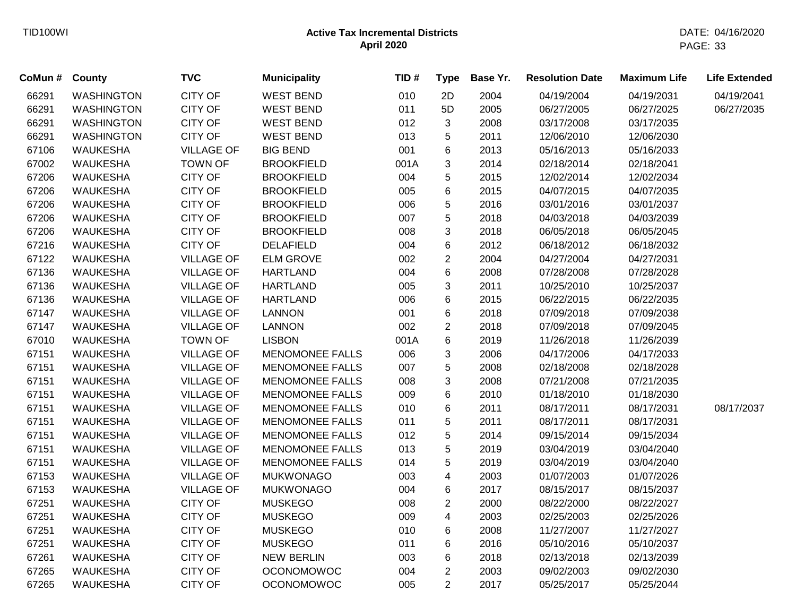| CoMun # County |                   | <b>TVC</b>        | <b>Municipality</b>    | TID# | <b>Type</b>    | Base Yr. | <b>Resolution Date</b> | <b>Maximum Life</b> | <b>Life Extended</b> |
|----------------|-------------------|-------------------|------------------------|------|----------------|----------|------------------------|---------------------|----------------------|
| 66291          | <b>WASHINGTON</b> | <b>CITY OF</b>    | <b>WEST BEND</b>       | 010  | 2D             | 2004     | 04/19/2004             | 04/19/2031          | 04/19/2041           |
| 66291          | <b>WASHINGTON</b> | <b>CITY OF</b>    | <b>WEST BEND</b>       | 011  | 5D             | 2005     | 06/27/2005             | 06/27/2025          | 06/27/2035           |
| 66291          | <b>WASHINGTON</b> | <b>CITY OF</b>    | <b>WEST BEND</b>       | 012  | 3              | 2008     | 03/17/2008             | 03/17/2035          |                      |
| 66291          | <b>WASHINGTON</b> | CITY OF           | <b>WEST BEND</b>       | 013  | 5              | 2011     | 12/06/2010             | 12/06/2030          |                      |
| 67106          | <b>WAUKESHA</b>   | <b>VILLAGE OF</b> | <b>BIG BEND</b>        | 001  | 6              | 2013     | 05/16/2013             | 05/16/2033          |                      |
| 67002          | <b>WAUKESHA</b>   | <b>TOWN OF</b>    | <b>BROOKFIELD</b>      | 001A | 3              | 2014     | 02/18/2014             | 02/18/2041          |                      |
| 67206          | <b>WAUKESHA</b>   | <b>CITY OF</b>    | <b>BROOKFIELD</b>      | 004  | 5              | 2015     | 12/02/2014             | 12/02/2034          |                      |
| 67206          | <b>WAUKESHA</b>   | <b>CITY OF</b>    | <b>BROOKFIELD</b>      | 005  | 6              | 2015     | 04/07/2015             | 04/07/2035          |                      |
| 67206          | <b>WAUKESHA</b>   | <b>CITY OF</b>    | <b>BROOKFIELD</b>      | 006  | 5              | 2016     | 03/01/2016             | 03/01/2037          |                      |
| 67206          | <b>WAUKESHA</b>   | <b>CITY OF</b>    | <b>BROOKFIELD</b>      | 007  | 5              | 2018     | 04/03/2018             | 04/03/2039          |                      |
| 67206          | <b>WAUKESHA</b>   | CITY OF           | <b>BROOKFIELD</b>      | 008  | 3              | 2018     | 06/05/2018             | 06/05/2045          |                      |
| 67216          | <b>WAUKESHA</b>   | CITY OF           | <b>DELAFIELD</b>       | 004  | 6              | 2012     | 06/18/2012             | 06/18/2032          |                      |
| 67122          | <b>WAUKESHA</b>   | <b>VILLAGE OF</b> | <b>ELM GROVE</b>       | 002  | $\overline{2}$ | 2004     | 04/27/2004             | 04/27/2031          |                      |
| 67136          | <b>WAUKESHA</b>   | <b>VILLAGE OF</b> | <b>HARTLAND</b>        | 004  | 6              | 2008     | 07/28/2008             | 07/28/2028          |                      |
| 67136          | <b>WAUKESHA</b>   | <b>VILLAGE OF</b> | <b>HARTLAND</b>        | 005  | 3              | 2011     | 10/25/2010             | 10/25/2037          |                      |
| 67136          | <b>WAUKESHA</b>   | <b>VILLAGE OF</b> | <b>HARTLAND</b>        | 006  | 6              | 2015     | 06/22/2015             | 06/22/2035          |                      |
| 67147          | <b>WAUKESHA</b>   | <b>VILLAGE OF</b> | <b>LANNON</b>          | 001  | 6              | 2018     | 07/09/2018             | 07/09/2038          |                      |
| 67147          | <b>WAUKESHA</b>   | <b>VILLAGE OF</b> | <b>LANNON</b>          | 002  | 2              | 2018     | 07/09/2018             | 07/09/2045          |                      |
| 67010          | <b>WAUKESHA</b>   | <b>TOWN OF</b>    | <b>LISBON</b>          | 001A | 6              | 2019     | 11/26/2018             | 11/26/2039          |                      |
| 67151          | <b>WAUKESHA</b>   | <b>VILLAGE OF</b> | <b>MENOMONEE FALLS</b> | 006  | 3              | 2006     | 04/17/2006             | 04/17/2033          |                      |
| 67151          | <b>WAUKESHA</b>   | <b>VILLAGE OF</b> | <b>MENOMONEE FALLS</b> | 007  | 5              | 2008     | 02/18/2008             | 02/18/2028          |                      |
| 67151          | <b>WAUKESHA</b>   | <b>VILLAGE OF</b> | <b>MENOMONEE FALLS</b> | 008  | 3              | 2008     | 07/21/2008             | 07/21/2035          |                      |
| 67151          | <b>WAUKESHA</b>   | <b>VILLAGE OF</b> | <b>MENOMONEE FALLS</b> | 009  | 6              | 2010     | 01/18/2010             | 01/18/2030          |                      |
| 67151          | <b>WAUKESHA</b>   | <b>VILLAGE OF</b> | <b>MENOMONEE FALLS</b> | 010  | 6              | 2011     | 08/17/2011             | 08/17/2031          | 08/17/2037           |
| 67151          | <b>WAUKESHA</b>   | <b>VILLAGE OF</b> | <b>MENOMONEE FALLS</b> | 011  | 5              | 2011     | 08/17/2011             | 08/17/2031          |                      |
| 67151          | <b>WAUKESHA</b>   | <b>VILLAGE OF</b> | <b>MENOMONEE FALLS</b> | 012  | 5              | 2014     | 09/15/2014             | 09/15/2034          |                      |
| 67151          | <b>WAUKESHA</b>   | <b>VILLAGE OF</b> | <b>MENOMONEE FALLS</b> | 013  | 5              | 2019     | 03/04/2019             | 03/04/2040          |                      |
| 67151          | <b>WAUKESHA</b>   | <b>VILLAGE OF</b> | <b>MENOMONEE FALLS</b> | 014  | 5              | 2019     | 03/04/2019             | 03/04/2040          |                      |
| 67153          | <b>WAUKESHA</b>   | <b>VILLAGE OF</b> | <b>MUKWONAGO</b>       | 003  | 4              | 2003     | 01/07/2003             | 01/07/2026          |                      |
| 67153          | <b>WAUKESHA</b>   | <b>VILLAGE OF</b> | <b>MUKWONAGO</b>       | 004  | 6              | 2017     | 08/15/2017             | 08/15/2037          |                      |
| 67251          | <b>WAUKESHA</b>   | <b>CITY OF</b>    | <b>MUSKEGO</b>         | 008  | $\overline{2}$ | 2000     | 08/22/2000             | 08/22/2027          |                      |
| 67251          | <b>WAUKESHA</b>   | <b>CITY OF</b>    | <b>MUSKEGO</b>         | 009  | 4              | 2003     | 02/25/2003             | 02/25/2026          |                      |
| 67251          | <b>WAUKESHA</b>   | <b>CITY OF</b>    | <b>MUSKEGO</b>         | 010  | 6              | 2008     | 11/27/2007             | 11/27/2027          |                      |
| 67251          | <b>WAUKESHA</b>   | <b>CITY OF</b>    | <b>MUSKEGO</b>         | 011  | 6              | 2016     | 05/10/2016             | 05/10/2037          |                      |
| 67261          | <b>WAUKESHA</b>   | CITY OF           | <b>NEW BERLIN</b>      | 003  | 6              | 2018     | 02/13/2018             | 02/13/2039          |                      |
| 67265          | <b>WAUKESHA</b>   | <b>CITY OF</b>    | <b>OCONOMOWOC</b>      | 004  | $\overline{2}$ | 2003     | 09/02/2003             | 09/02/2030          |                      |
| 67265          | <b>WAUKESHA</b>   | <b>CITY OF</b>    | <b>OCONOMOWOC</b>      | 005  | $\overline{2}$ | 2017     | 05/25/2017             | 05/25/2044          |                      |
|                |                   |                   |                        |      |                |          |                        |                     |                      |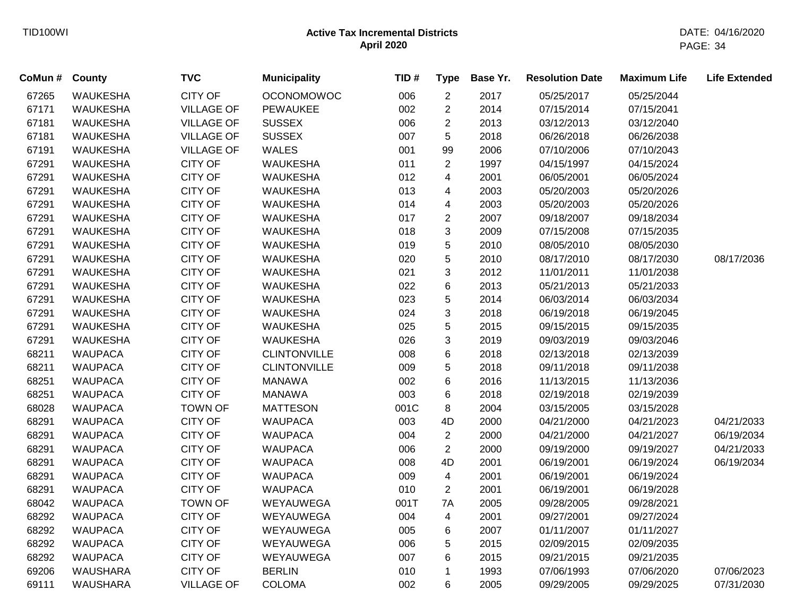| CoMun# | <b>County</b>   | <b>TVC</b>        | <b>Municipality</b> | TID# | <b>Type</b>    | Base Yr. | <b>Resolution Date</b> | <b>Maximum Life</b> | <b>Life Extended</b> |
|--------|-----------------|-------------------|---------------------|------|----------------|----------|------------------------|---------------------|----------------------|
| 67265  | <b>WAUKESHA</b> | <b>CITY OF</b>    | <b>OCONOMOWOC</b>   | 006  | 2              | 2017     | 05/25/2017             | 05/25/2044          |                      |
| 67171  | <b>WAUKESHA</b> | <b>VILLAGE OF</b> | PEWAUKEE            | 002  | $\overline{2}$ | 2014     | 07/15/2014             | 07/15/2041          |                      |
| 67181  | <b>WAUKESHA</b> | <b>VILLAGE OF</b> | <b>SUSSEX</b>       | 006  | $\overline{2}$ | 2013     | 03/12/2013             | 03/12/2040          |                      |
| 67181  | <b>WAUKESHA</b> | <b>VILLAGE OF</b> | <b>SUSSEX</b>       | 007  | 5              | 2018     | 06/26/2018             | 06/26/2038          |                      |
| 67191  | <b>WAUKESHA</b> | <b>VILLAGE OF</b> | <b>WALES</b>        | 001  | 99             | 2006     | 07/10/2006             | 07/10/2043          |                      |
| 67291  | <b>WAUKESHA</b> | <b>CITY OF</b>    | <b>WAUKESHA</b>     | 011  | $\overline{2}$ | 1997     | 04/15/1997             | 04/15/2024          |                      |
| 67291  | <b>WAUKESHA</b> | <b>CITY OF</b>    | <b>WAUKESHA</b>     | 012  | $\overline{4}$ | 2001     | 06/05/2001             | 06/05/2024          |                      |
| 67291  | <b>WAUKESHA</b> | <b>CITY OF</b>    | <b>WAUKESHA</b>     | 013  | $\overline{4}$ | 2003     | 05/20/2003             | 05/20/2026          |                      |
| 67291  | <b>WAUKESHA</b> | <b>CITY OF</b>    | <b>WAUKESHA</b>     | 014  | $\overline{4}$ | 2003     | 05/20/2003             | 05/20/2026          |                      |
| 67291  | <b>WAUKESHA</b> | <b>CITY OF</b>    | <b>WAUKESHA</b>     | 017  | $\overline{2}$ | 2007     | 09/18/2007             | 09/18/2034          |                      |
| 67291  | <b>WAUKESHA</b> | <b>CITY OF</b>    | <b>WAUKESHA</b>     | 018  | 3              | 2009     | 07/15/2008             | 07/15/2035          |                      |
| 67291  | <b>WAUKESHA</b> | <b>CITY OF</b>    | <b>WAUKESHA</b>     | 019  | 5              | 2010     | 08/05/2010             | 08/05/2030          |                      |
| 67291  | <b>WAUKESHA</b> | <b>CITY OF</b>    | <b>WAUKESHA</b>     | 020  | 5              | 2010     | 08/17/2010             | 08/17/2030          | 08/17/2036           |
| 67291  | <b>WAUKESHA</b> | <b>CITY OF</b>    | <b>WAUKESHA</b>     | 021  | 3              | 2012     | 11/01/2011             | 11/01/2038          |                      |
| 67291  | <b>WAUKESHA</b> | <b>CITY OF</b>    | <b>WAUKESHA</b>     | 022  | 6              | 2013     | 05/21/2013             | 05/21/2033          |                      |
| 67291  | <b>WAUKESHA</b> | <b>CITY OF</b>    | <b>WAUKESHA</b>     | 023  | 5              | 2014     | 06/03/2014             | 06/03/2034          |                      |
| 67291  | <b>WAUKESHA</b> | <b>CITY OF</b>    | <b>WAUKESHA</b>     | 024  | 3              | 2018     | 06/19/2018             | 06/19/2045          |                      |
| 67291  | <b>WAUKESHA</b> | <b>CITY OF</b>    | <b>WAUKESHA</b>     | 025  | 5              | 2015     | 09/15/2015             | 09/15/2035          |                      |
| 67291  | <b>WAUKESHA</b> | <b>CITY OF</b>    | <b>WAUKESHA</b>     | 026  | 3              | 2019     | 09/03/2019             | 09/03/2046          |                      |
| 68211  | <b>WAUPACA</b>  | CITY OF           | <b>CLINTONVILLE</b> | 008  | $6\phantom{1}$ | 2018     | 02/13/2018             | 02/13/2039          |                      |
| 68211  | <b>WAUPACA</b>  | <b>CITY OF</b>    | <b>CLINTONVILLE</b> | 009  | 5              | 2018     | 09/11/2018             | 09/11/2038          |                      |
| 68251  | <b>WAUPACA</b>  | <b>CITY OF</b>    | <b>MANAWA</b>       | 002  | $6\phantom{1}$ | 2016     | 11/13/2015             | 11/13/2036          |                      |
| 68251  | <b>WAUPACA</b>  | <b>CITY OF</b>    | <b>MANAWA</b>       | 003  | 6              | 2018     | 02/19/2018             | 02/19/2039          |                      |
| 68028  | <b>WAUPACA</b>  | <b>TOWN OF</b>    | <b>MATTESON</b>     | 001C | 8              | 2004     | 03/15/2005             | 03/15/2028          |                      |
| 68291  | <b>WAUPACA</b>  | <b>CITY OF</b>    | <b>WAUPACA</b>      | 003  | 4D             | 2000     | 04/21/2000             | 04/21/2023          | 04/21/2033           |
| 68291  | <b>WAUPACA</b>  | <b>CITY OF</b>    | <b>WAUPACA</b>      | 004  | $\overline{2}$ | 2000     | 04/21/2000             | 04/21/2027          | 06/19/2034           |
| 68291  | <b>WAUPACA</b>  | <b>CITY OF</b>    | <b>WAUPACA</b>      | 006  | $\overline{2}$ | 2000     | 09/19/2000             | 09/19/2027          | 04/21/2033           |
| 68291  | <b>WAUPACA</b>  | <b>CITY OF</b>    | <b>WAUPACA</b>      | 008  | 4D             | 2001     | 06/19/2001             | 06/19/2024          | 06/19/2034           |
| 68291  | <b>WAUPACA</b>  | <b>CITY OF</b>    | <b>WAUPACA</b>      | 009  | $\overline{4}$ | 2001     | 06/19/2001             | 06/19/2024          |                      |
| 68291  | <b>WAUPACA</b>  | <b>CITY OF</b>    | <b>WAUPACA</b>      | 010  | $\overline{2}$ | 2001     | 06/19/2001             | 06/19/2028          |                      |
| 68042  | <b>WAUPACA</b>  | <b>TOWN OF</b>    | WEYAUWEGA           | 001T | 7A             | 2005     | 09/28/2005             | 09/28/2021          |                      |
| 68292  | <b>WAUPACA</b>  | <b>CITY OF</b>    | WEYAUWEGA           | 004  | $\overline{4}$ | 2001     | 09/27/2001             | 09/27/2024          |                      |
| 68292  | <b>WAUPACA</b>  | <b>CITY OF</b>    | WEYAUWEGA           | 005  | 6              | 2007     | 01/11/2007             | 01/11/2027          |                      |
| 68292  | <b>WAUPACA</b>  | CITY OF           | WEYAUWEGA           | 006  | 5              | 2015     | 02/09/2015             | 02/09/2035          |                      |
| 68292  | <b>WAUPACA</b>  | CITY OF           | WEYAUWEGA           | 007  | 6              | 2015     | 09/21/2015             | 09/21/2035          |                      |
| 69206  | <b>WAUSHARA</b> | <b>CITY OF</b>    | <b>BERLIN</b>       | 010  | $\mathbf{1}$   | 1993     | 07/06/1993             | 07/06/2020          | 07/06/2023           |
| 69111  | <b>WAUSHARA</b> | <b>VILLAGE OF</b> | <b>COLOMA</b>       | 002  | $6\phantom{1}$ | 2005     | 09/29/2005             | 09/29/2025          | 07/31/2030           |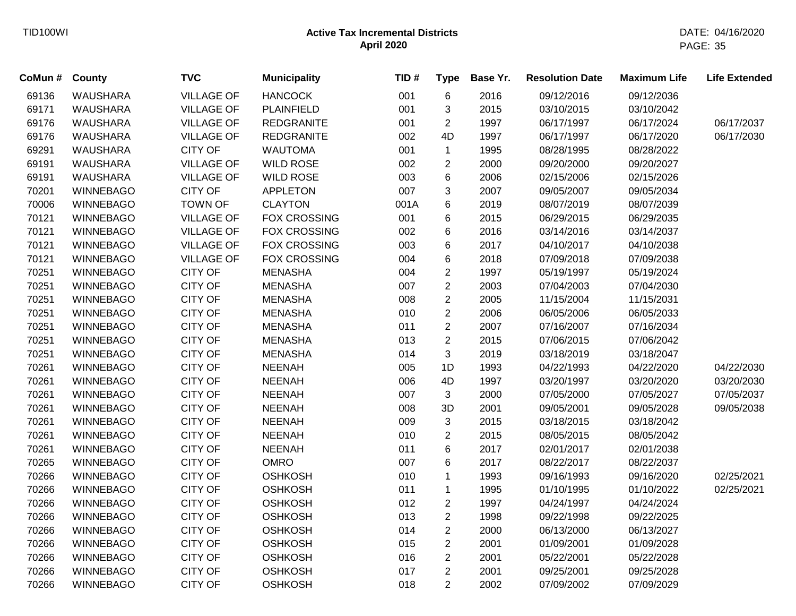| CoMun # | County           | <b>TVC</b>        | <b>Municipality</b> | TID# | <b>Type</b>    | Base Yr. | <b>Resolution Date</b> | <b>Maximum Life</b> | <b>Life Extended</b> |
|---------|------------------|-------------------|---------------------|------|----------------|----------|------------------------|---------------------|----------------------|
| 69136   | <b>WAUSHARA</b>  | <b>VILLAGE OF</b> | <b>HANCOCK</b>      | 001  | 6              | 2016     | 09/12/2016             | 09/12/2036          |                      |
| 69171   | <b>WAUSHARA</b>  | <b>VILLAGE OF</b> | <b>PLAINFIELD</b>   | 001  | 3              | 2015     | 03/10/2015             | 03/10/2042          |                      |
| 69176   | <b>WAUSHARA</b>  | <b>VILLAGE OF</b> | <b>REDGRANITE</b>   | 001  | $\overline{c}$ | 1997     | 06/17/1997             | 06/17/2024          | 06/17/2037           |
| 69176   | <b>WAUSHARA</b>  | <b>VILLAGE OF</b> | <b>REDGRANITE</b>   | 002  | 4D             | 1997     | 06/17/1997             | 06/17/2020          | 06/17/2030           |
| 69291   | <b>WAUSHARA</b>  | <b>CITY OF</b>    | <b>WAUTOMA</b>      | 001  | $\mathbf{1}$   | 1995     | 08/28/1995             | 08/28/2022          |                      |
| 69191   | <b>WAUSHARA</b>  | <b>VILLAGE OF</b> | <b>WILD ROSE</b>    | 002  | 2              | 2000     | 09/20/2000             | 09/20/2027          |                      |
| 69191   | <b>WAUSHARA</b>  | <b>VILLAGE OF</b> | <b>WILD ROSE</b>    | 003  | 6              | 2006     | 02/15/2006             | 02/15/2026          |                      |
| 70201   | <b>WINNEBAGO</b> | <b>CITY OF</b>    | <b>APPLETON</b>     | 007  | 3              | 2007     | 09/05/2007             | 09/05/2034          |                      |
| 70006   | <b>WINNEBAGO</b> | <b>TOWN OF</b>    | <b>CLAYTON</b>      | 001A | 6              | 2019     | 08/07/2019             | 08/07/2039          |                      |
| 70121   | <b>WINNEBAGO</b> | <b>VILLAGE OF</b> | <b>FOX CROSSING</b> | 001  | 6              | 2015     | 06/29/2015             | 06/29/2035          |                      |
| 70121   | <b>WINNEBAGO</b> | <b>VILLAGE OF</b> | FOX CROSSING        | 002  | 6              | 2016     | 03/14/2016             | 03/14/2037          |                      |
| 70121   | <b>WINNEBAGO</b> | <b>VILLAGE OF</b> | <b>FOX CROSSING</b> | 003  | 6              | 2017     | 04/10/2017             | 04/10/2038          |                      |
| 70121   | <b>WINNEBAGO</b> | <b>VILLAGE OF</b> | <b>FOX CROSSING</b> | 004  | 6              | 2018     | 07/09/2018             | 07/09/2038          |                      |
| 70251   | <b>WINNEBAGO</b> | <b>CITY OF</b>    | <b>MENASHA</b>      | 004  | $\overline{2}$ | 1997     | 05/19/1997             | 05/19/2024          |                      |
| 70251   | <b>WINNEBAGO</b> | <b>CITY OF</b>    | <b>MENASHA</b>      | 007  | $\overline{c}$ | 2003     | 07/04/2003             | 07/04/2030          |                      |
| 70251   | <b>WINNEBAGO</b> | <b>CITY OF</b>    | <b>MENASHA</b>      | 008  | $\overline{2}$ | 2005     | 11/15/2004             | 11/15/2031          |                      |
| 70251   | <b>WINNEBAGO</b> | <b>CITY OF</b>    | <b>MENASHA</b>      | 010  | $\overline{c}$ | 2006     | 06/05/2006             | 06/05/2033          |                      |
| 70251   | <b>WINNEBAGO</b> | <b>CITY OF</b>    | <b>MENASHA</b>      | 011  | $\overline{2}$ | 2007     | 07/16/2007             | 07/16/2034          |                      |
| 70251   | <b>WINNEBAGO</b> | <b>CITY OF</b>    | <b>MENASHA</b>      | 013  | $\overline{2}$ | 2015     | 07/06/2015             | 07/06/2042          |                      |
| 70251   | <b>WINNEBAGO</b> | <b>CITY OF</b>    | <b>MENASHA</b>      | 014  | 3              | 2019     | 03/18/2019             | 03/18/2047          |                      |
| 70261   | <b>WINNEBAGO</b> | <b>CITY OF</b>    | <b>NEENAH</b>       | 005  | 1D             | 1993     | 04/22/1993             | 04/22/2020          | 04/22/2030           |
| 70261   | <b>WINNEBAGO</b> | <b>CITY OF</b>    | <b>NEENAH</b>       | 006  | 4D             | 1997     | 03/20/1997             | 03/20/2020          | 03/20/2030           |
| 70261   | <b>WINNEBAGO</b> | <b>CITY OF</b>    | <b>NEENAH</b>       | 007  | 3              | 2000     | 07/05/2000             | 07/05/2027          | 07/05/2037           |
| 70261   | <b>WINNEBAGO</b> | <b>CITY OF</b>    | <b>NEENAH</b>       | 008  | 3D             | 2001     | 09/05/2001             | 09/05/2028          | 09/05/2038           |
| 70261   | <b>WINNEBAGO</b> | <b>CITY OF</b>    | <b>NEENAH</b>       | 009  | 3              | 2015     | 03/18/2015             | 03/18/2042          |                      |
| 70261   | <b>WINNEBAGO</b> | <b>CITY OF</b>    | <b>NEENAH</b>       | 010  | $\overline{2}$ | 2015     | 08/05/2015             | 08/05/2042          |                      |
| 70261   | <b>WINNEBAGO</b> | <b>CITY OF</b>    | <b>NEENAH</b>       | 011  | 6              | 2017     | 02/01/2017             | 02/01/2038          |                      |
| 70265   | <b>WINNEBAGO</b> | <b>CITY OF</b>    | <b>OMRO</b>         | 007  | 6              | 2017     | 08/22/2017             | 08/22/2037          |                      |
| 70266   | <b>WINNEBAGO</b> | <b>CITY OF</b>    | <b>OSHKOSH</b>      | 010  | 1              | 1993     | 09/16/1993             | 09/16/2020          | 02/25/2021           |
| 70266   | <b>WINNEBAGO</b> | <b>CITY OF</b>    | <b>OSHKOSH</b>      | 011  | $\mathbf 1$    | 1995     | 01/10/1995             | 01/10/2022          | 02/25/2021           |
| 70266   | <b>WINNEBAGO</b> | <b>CITY OF</b>    | <b>OSHKOSH</b>      | 012  | $\overline{c}$ | 1997     | 04/24/1997             | 04/24/2024          |                      |
| 70266   | <b>WINNEBAGO</b> | <b>CITY OF</b>    | <b>OSHKOSH</b>      | 013  | $\overline{2}$ | 1998     | 09/22/1998             | 09/22/2025          |                      |
| 70266   | <b>WINNEBAGO</b> | <b>CITY OF</b>    | <b>OSHKOSH</b>      | 014  | $\overline{2}$ | 2000     | 06/13/2000             | 06/13/2027          |                      |
| 70266   | <b>WINNEBAGO</b> | <b>CITY OF</b>    | <b>OSHKOSH</b>      | 015  | $\overline{2}$ | 2001     | 01/09/2001             | 01/09/2028          |                      |
| 70266   | <b>WINNEBAGO</b> | <b>CITY OF</b>    | <b>OSHKOSH</b>      | 016  | $\overline{2}$ | 2001     | 05/22/2001             | 05/22/2028          |                      |
| 70266   | <b>WINNEBAGO</b> | <b>CITY OF</b>    | <b>OSHKOSH</b>      | 017  | $\overline{2}$ | 2001     | 09/25/2001             | 09/25/2028          |                      |
| 70266   | <b>WINNEBAGO</b> | <b>CITY OF</b>    | <b>OSHKOSH</b>      | 018  | $\overline{2}$ | 2002     | 07/09/2002             | 07/09/2029          |                      |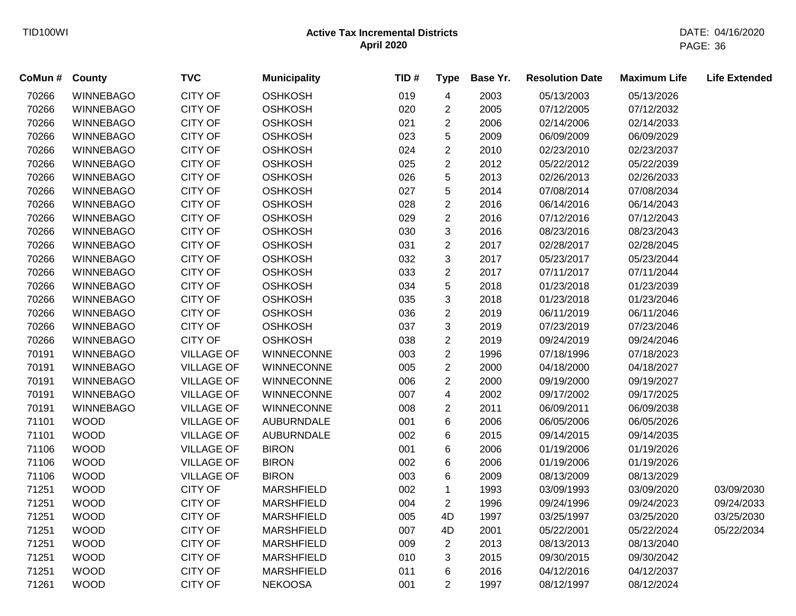| CoMun # | <b>County</b>    | <b>TVC</b>        | <b>Municipality</b> | TID# | <b>Type</b>    | Base Yr. | <b>Resolution Date</b> | <b>Maximum Life</b> | <b>Life Extended</b> |
|---------|------------------|-------------------|---------------------|------|----------------|----------|------------------------|---------------------|----------------------|
| 70266   | <b>WINNEBAGO</b> | <b>CITY OF</b>    | <b>OSHKOSH</b>      | 019  | 4              | 2003     | 05/13/2003             | 05/13/2026          |                      |
| 70266   | <b>WINNEBAGO</b> | <b>CITY OF</b>    | <b>OSHKOSH</b>      | 020  | $\overline{c}$ | 2005     | 07/12/2005             | 07/12/2032          |                      |
| 70266   | <b>WINNEBAGO</b> | <b>CITY OF</b>    | <b>OSHKOSH</b>      | 021  | $\overline{c}$ | 2006     | 02/14/2006             | 02/14/2033          |                      |
| 70266   | <b>WINNEBAGO</b> | CITY OF           | <b>OSHKOSH</b>      | 023  | 5              | 2009     | 06/09/2009             | 06/09/2029          |                      |
| 70266   | <b>WINNEBAGO</b> | <b>CITY OF</b>    | <b>OSHKOSH</b>      | 024  | $\overline{c}$ | 2010     | 02/23/2010             | 02/23/2037          |                      |
| 70266   | <b>WINNEBAGO</b> | <b>CITY OF</b>    | <b>OSHKOSH</b>      | 025  | $\overline{2}$ | 2012     | 05/22/2012             | 05/22/2039          |                      |
| 70266   | <b>WINNEBAGO</b> | <b>CITY OF</b>    | <b>OSHKOSH</b>      | 026  | 5              | 2013     | 02/26/2013             | 02/26/2033          |                      |
| 70266   | <b>WINNEBAGO</b> | <b>CITY OF</b>    | <b>OSHKOSH</b>      | 027  | 5              | 2014     | 07/08/2014             | 07/08/2034          |                      |
| 70266   | <b>WINNEBAGO</b> | <b>CITY OF</b>    | <b>OSHKOSH</b>      | 028  | $\overline{c}$ | 2016     | 06/14/2016             | 06/14/2043          |                      |
| 70266   | <b>WINNEBAGO</b> | CITY OF           | <b>OSHKOSH</b>      | 029  | $\overline{2}$ | 2016     | 07/12/2016             | 07/12/2043          |                      |
| 70266   | <b>WINNEBAGO</b> | <b>CITY OF</b>    | <b>OSHKOSH</b>      | 030  | 3              | 2016     | 08/23/2016             | 08/23/2043          |                      |
| 70266   | <b>WINNEBAGO</b> | <b>CITY OF</b>    | <b>OSHKOSH</b>      | 031  | $\overline{2}$ | 2017     | 02/28/2017             | 02/28/2045          |                      |
| 70266   | <b>WINNEBAGO</b> | <b>CITY OF</b>    | <b>OSHKOSH</b>      | 032  | 3              | 2017     | 05/23/2017             | 05/23/2044          |                      |
| 70266   | <b>WINNEBAGO</b> | <b>CITY OF</b>    | <b>OSHKOSH</b>      | 033  | $\overline{2}$ | 2017     | 07/11/2017             | 07/11/2044          |                      |
| 70266   | <b>WINNEBAGO</b> | <b>CITY OF</b>    | <b>OSHKOSH</b>      | 034  | 5              | 2018     | 01/23/2018             | 01/23/2039          |                      |
| 70266   | <b>WINNEBAGO</b> | <b>CITY OF</b>    | <b>OSHKOSH</b>      | 035  | 3              | 2018     | 01/23/2018             | 01/23/2046          |                      |
| 70266   | <b>WINNEBAGO</b> | <b>CITY OF</b>    | <b>OSHKOSH</b>      | 036  | $\overline{c}$ | 2019     | 06/11/2019             | 06/11/2046          |                      |
| 70266   | <b>WINNEBAGO</b> | <b>CITY OF</b>    | <b>OSHKOSH</b>      | 037  | 3              | 2019     | 07/23/2019             | 07/23/2046          |                      |
| 70266   | <b>WINNEBAGO</b> | <b>CITY OF</b>    | <b>OSHKOSH</b>      | 038  | $\overline{2}$ | 2019     | 09/24/2019             | 09/24/2046          |                      |
| 70191   | <b>WINNEBAGO</b> | <b>VILLAGE OF</b> | <b>WINNECONNE</b>   | 003  | $\overline{2}$ | 1996     | 07/18/1996             | 07/18/2023          |                      |
| 70191   | <b>WINNEBAGO</b> | <b>VILLAGE OF</b> | <b>WINNECONNE</b>   | 005  | $\overline{2}$ | 2000     | 04/18/2000             | 04/18/2027          |                      |
| 70191   | <b>WINNEBAGO</b> | <b>VILLAGE OF</b> | <b>WINNECONNE</b>   | 006  | $\overline{c}$ | 2000     | 09/19/2000             | 09/19/2027          |                      |
| 70191   | <b>WINNEBAGO</b> | <b>VILLAGE OF</b> | WINNECONNE          | 007  | 4              | 2002     | 09/17/2002             | 09/17/2025          |                      |
| 70191   | <b>WINNEBAGO</b> | <b>VILLAGE OF</b> | WINNECONNE          | 008  | $\overline{c}$ | 2011     | 06/09/2011             | 06/09/2038          |                      |
| 71101   | <b>WOOD</b>      | <b>VILLAGE OF</b> | <b>AUBURNDALE</b>   | 001  | 6              | 2006     | 06/05/2006             | 06/05/2026          |                      |
| 71101   | <b>WOOD</b>      | <b>VILLAGE OF</b> | <b>AUBURNDALE</b>   | 002  | 6              | 2015     | 09/14/2015             | 09/14/2035          |                      |
| 71106   | <b>WOOD</b>      | <b>VILLAGE OF</b> | <b>BIRON</b>        | 001  | 6              | 2006     | 01/19/2006             | 01/19/2026          |                      |
| 71106   | <b>WOOD</b>      | <b>VILLAGE OF</b> | <b>BIRON</b>        | 002  | 6              | 2006     | 01/19/2006             | 01/19/2026          |                      |
| 71106   | <b>WOOD</b>      | <b>VILLAGE OF</b> | <b>BIRON</b>        | 003  | 6              | 2009     | 08/13/2009             | 08/13/2029          |                      |
| 71251   | <b>WOOD</b>      | <b>CITY OF</b>    | <b>MARSHFIELD</b>   | 002  | $\mathbf 1$    | 1993     | 03/09/1993             | 03/09/2020          | 03/09/2030           |
| 71251   | <b>WOOD</b>      | CITY OF           | <b>MARSHFIELD</b>   | 004  | $\overline{2}$ | 1996     | 09/24/1996             | 09/24/2023          | 09/24/2033           |
| 71251   | <b>WOOD</b>      | <b>CITY OF</b>    | <b>MARSHFIELD</b>   | 005  | 4D             | 1997     | 03/25/1997             | 03/25/2020          | 03/25/2030           |
| 71251   | <b>WOOD</b>      | <b>CITY OF</b>    | <b>MARSHFIELD</b>   | 007  | 4D             | 2001     | 05/22/2001             | 05/22/2024          | 05/22/2034           |
| 71251   | <b>WOOD</b>      | <b>CITY OF</b>    | <b>MARSHFIELD</b>   | 009  | $\overline{c}$ | 2013     | 08/13/2013             | 08/13/2040          |                      |
| 71251   | <b>WOOD</b>      | <b>CITY OF</b>    | <b>MARSHFIELD</b>   | 010  | 3              | 2015     | 09/30/2015             | 09/30/2042          |                      |
| 71251   | <b>WOOD</b>      | <b>CITY OF</b>    | <b>MARSHFIELD</b>   | 011  | 6              | 2016     | 04/12/2016             | 04/12/2037          |                      |
| 71261   | <b>WOOD</b>      | <b>CITY OF</b>    | <b>NEKOOSA</b>      | 001  | $\overline{2}$ | 1997     | 08/12/1997             | 08/12/2024          |                      |